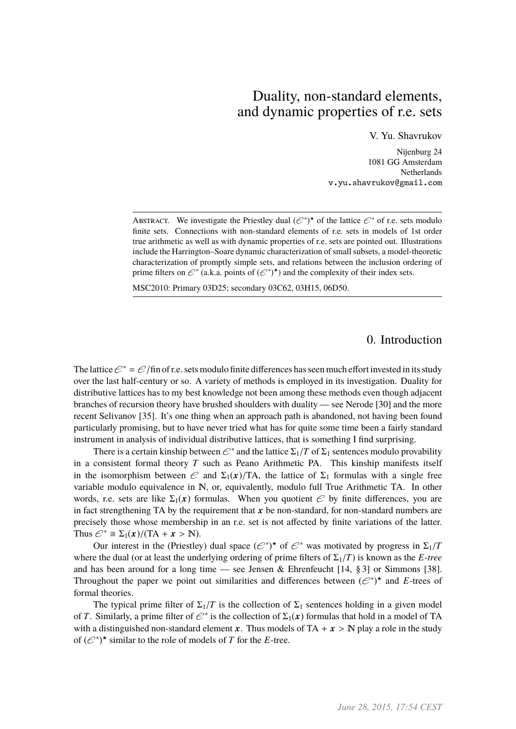# Duality, non-standard elements, and dynamic properties of r.e. sets

V. Yu. Shavrukov

Nijenburg 24 1081 GG Amsterdam Netherlands v.yu.shavrukov@gmail.com

ABSTRACT. We investigate the Priestley dual  $(\mathcal{C}^*)^{\star}$  of the lattice  $\mathcal{C}^*$  of r.e. sets modulo finite sets. Connections with non-standard elements of r.e. sets in models of 1st order true arithmetic as well as with dynamic properties of r.e. sets are pointed out. Illustrations include the Harrington–Soare dynamic characterization of small subsets, a model-theoretic characterization of promptly simple sets, and relations between the inclusion ordering of prime filters on  $\mathcal{C}^*$  (a.k.a. points of  $(\mathcal{C}^*)^*$ ) and the complexity of their index sets.

MSC2010: Primary 03D25; secondary 03C62, 03H15, 06D50.

0. Introduction

The lattice  $\mathcal{C}^* = \mathcal{C}/\text{fin}$  of r.e. sets modulo finite differences has seen much effort invested in its study over the last half-century or so. A variety of methods is employed in its investigation. Duality for distributive lattices has to my best knowledge not been among these methods even though adjacent branches of recursion theory have brushed shoulders with duality — see Nerode [30] and the more recent Selivanov [35]. It's one thing when an approach path is abandoned, not having been found particularly promising, but to have never tried what has for quite some time been a fairly standard instrument in analysis of individual distributive lattices, that is something I find surprising.

There is a certain kinship between  $\mathcal{E}^*$  and the lattice  $\Sigma_1/T$  of  $\Sigma_1$  sentences modulo provability consistent formal theory  $T$  such as Peano Arithmetic PA. This kinship manifests itself in a consistent formal theory *T* such as Peano Arithmetic PA. This kinship manifests itself in the isomorphism between  $\mathcal E$  and  $\Sigma_1(x)/TA$ , the lattice of  $\Sigma_1$  formulas with a single free variable modulo equivalence in N, or, equivalently, modulo full True Arithmetic TA. In other words, r.e. sets are like  $\Sigma_1(x)$  formulas. When you quotient  $\mathscr E$  by finite differences, you are in fact strengthening TA by the requirement that  $x$  be non-standard, for non-standard numbers are precisely those whose membership in an r.e. set is not affected by finite variations of the latter. Thus  $\mathcal{C}^* \cong \Sigma_1(x) / (TA + x > N).$ 

Our interest in the (Priestley) dual space  $(e^*)^*$  of  $e^*$  was motivated by progress in  $\Sigma_1/T$ <br>e the dual (or at least the underlying ordering of prime filters of  $\Sigma_1/T$ ) is known as the *E-tree* where the dual (or at least the underlying ordering of prime filters of  $\Sigma_1/T$ ) is known as the *E*-tree and has been around for a long time — see Jensen & Ehrenfeucht  $[14, §3]$  or Simmons [38]. Throughout the paper we point out similarities and differences between  $(\mathcal{E}^*)^*$  and *E*-trees of formal theories.

The typical prime filter of  $\Sigma_1/T$  is the collection of  $\Sigma_1$  sentences holding in a given model of *T*. Similarly, a prime filter of  $\mathcal{E}^*$  is the collection of  $\Sigma_1(\mathbf{x})$  formulas that hold in a model of TA with a distinguished non-standard element x. Thus models of TA +  $x > N$  play a role in the study of  $(\mathcal{C}^*)^*$  similar to the role of models of *T* for the *E*-tree.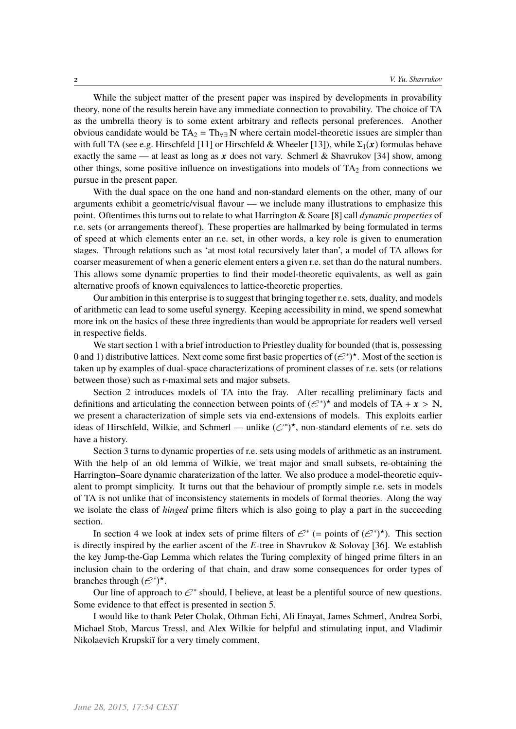While the subject matter of the present paper was inspired by developments in provability theory, none of the results herein have any immediate connection to provability. The choice of TA as the umbrella theory is to some extent arbitrary and reflects personal preferences. Another obvious candidate would be  $TA_2 = Th_{\forall}N$  where certain model-theoretic issues are simpler than with full TA (see e.g. Hirschfeld [11] or Hirschfeld & Wheeler [13]), while  $\Sigma_1(x)$  formulas behave exactly the same — at least as long as x does not vary. Schmerl & Shavrukov [34] show, among other things, some positive influence on investigations into models of  $TA<sub>2</sub>$  from connections we pursue in the present paper.

With the dual space on the one hand and non-standard elements on the other, many of our arguments exhibit a geometric/visual flavour — we include many illustrations to emphasize this point. Oftentimes this turns out to relate to what Harrington & Soare [8] call *dynamic properties* of r.e. sets (or arrangements thereof). These properties are hallmarked by being formulated in terms of speed at which elements enter an r.e. set, in other words, a key role is given to enumeration stages. Through relations such as 'at most total recursively later than', a model of TA allows for coarser measurement of when a generic element enters a given r.e. set than do the natural numbers. This allows some dynamic properties to find their model-theoretic equivalents, as well as gain alternative proofs of known equivalences to lattice-theoretic properties.

Our ambition in this enterprise is to suggest that bringing together r.e. sets, duality, and models of arithmetic can lead to some useful synergy. Keeping accessibility in mind, we spend somewhat more ink on the basics of these three ingredients than would be appropriate for readers well versed in respective fields.

We start section 1 with a brief introduction to Priestley duality for bounded (that is, possessing 0 and 1) distributive lattices. Next come some first basic properties of  $(\mathcal{C}^*)^{\star}$ . Most of the section is taken up by examples of dual-space characterizations of prominent classes of r.e. sets (or relations between those) such as r-maximal sets and major subsets.

Section 2 introduces models of TA into the fray. After recalling preliminary facts and definitions and articulating the connection between points of  $(e^*)^*$  and models of TA +  $x > N$ ,<br>we present a characterization of simple sets via end-extensions of models. This exploits earlier we present a characterization of simple sets via end-extensions of models. This exploits earlier ideas of Hirschfeld, Wilkie, and Schmerl — unlike  $(\mathcal{C}^*)^*$ , non-standard elements of r.e. sets do have a history.

Section 3 turns to dynamic properties of r.e. sets using models of arithmetic as an instrument. With the help of an old lemma of Wilkie, we treat major and small subsets, re-obtaining the Harrington–Soare dynamic charaterization of the latter. We also produce a model-theoretic equivalent to prompt simplicity. It turns out that the behaviour of promptly simple r.e. sets in models of TA is not unlike that of inconsistency statements in models of formal theories. Along the way we isolate the class of *hinged* prime filters which is also going to play a part in the succeeding section.

In section 4 we look at index sets of prime filters of  $\mathcal{C}^*$  (= points of  $(\mathcal{C}^*)^*$ ). This section is directly inspired by the earlier ascent of the *E*-tree in Shavrukov & Solovay [36]. We establish the key Jump-the-Gap Lemma which relates the Turing complexity of hinged prime filters in an inclusion chain to the ordering of that chain, and draw some consequences for order types of branches through  $(\mathcal{C}^*)^{\star}$ .

Our line of approach to  $\mathcal{C}^*$  should, I believe, at least be a plentiful source of new questions. Some evidence to that effect is presented in section 5.

I would like to thank Peter Cholak, Othman Echi, Ali Enayat, James Schmerl, Andrea Sorbi, Michael Stob, Marcus Tressl, and Alex Wilkie for helpful and stimulating input, and Vladimir Nikolaevich Krupskiĭ for a very timely comment.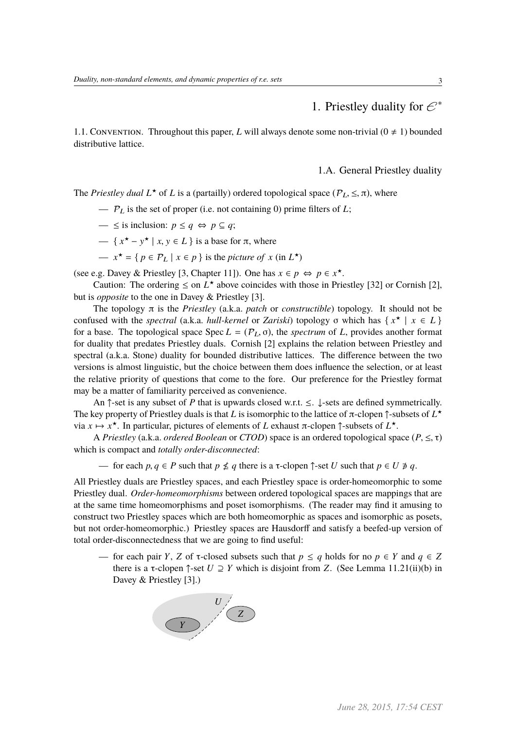1. Priestley duality for  $\mathcal{C}^*$ 

1.1. CONVENTION. Throughout this paper, *L* will always denote some non-trivial  $(0 \neq 1)$  bounded distributive lattice.

1.A. General Priestley duality

The *Priestley dual*  $L^*$  of *L* is a (partailly) ordered topological space ( $P_L \leq \pi$ ), where

- $P_L$  is the set of proper (i.e. not containing 0) prime filters of *L*;
- $\le$  is inclusion: *p*  $\le$  *q*  $\Leftrightarrow$  *p*  $\subseteq$  *q*;
- $\left\{ x^* y^* \mid x, y \in L \right\}$  is a base for  $\pi$ , where
- $x^* = \{ p \in P_L \mid x \in p \}$  is the *picture of*  $x$  (in  $L^*$ )

(see e.g. Davey & Priestley [3, Chapter 11]). One has  $x \in p \Leftrightarrow p \in x^*$ .

Caution: The ordering  $\leq$  on  $L^*$  above coincides with those in Priestley [32] or Cornish [2], but is *opposite* to the one in Davey & Priestley [3].

The topology π is the *Priestley* (a.k.a. *patch* or *constructible*) topology. It should not be confused with the *spectral* (a.k.a. *hull-kernel* or *Zariski*) topology σ which has  $\{x^* \mid x \in L\}$ for a base. The topological space Spec  $L = (P_L, \sigma)$ , the *spectrum* of L, provides another format for duality that predates Priestley duals. Cornish [2] explains the relation between Priestley and spectral (a.k.a. Stone) duality for bounded distributive lattices. The difference between the two versions is almost linguistic, but the choice between them does influence the selection, or at least the relative priority of questions that come to the fore. Our preference for the Priestley format may be a matter of familiarity perceived as convenience.

An ↑-set is any subset of *P* that is upwards closed w.r.t. ≤. ↓-sets are defined symmetrically. The key property of Priestley duals is that *L* is isomorphic to the lattice of  $\pi$ -clopen  $\uparrow$ -subsets of  $L^{\star}$ via *x* 7→ *x* ?. In particular, pictures of elements of *L* exhaust π-clopen ↑-subsets of *L* ?.

<sup>A</sup> *Priestley* (a.k.a. *ordered Boolean* or *CTOD*) space is an ordered topological space (*P*, <sup>≤</sup>, <sup>τ</sup>) which is compact and *totally order-disconnected*:

— for each *p*, *q* ∈ *P* such that *p*  $\nleq$  *q* there is a τ-clopen  $\uparrow$ -set *U* such that *p* ∈ *U* ∌ *q*.

All Priestley duals are Priestley spaces, and each Priestley space is order-homeomorphic to some Priestley dual. *Order-homeomorphisms* between ordered topological spaces are mappings that are at the same time homeomorphisms and poset isomorphisms. (The reader may find it amusing to construct two Priestley spaces which are both homeomorphic as spaces and isomorphic as posets, but not order-homeomorphic.) Priestley spaces are Hausdorff and satisfy a beefed-up version of total order-disconnectedness that we are going to find useful:

— for each pair *Y*, *Z* of  $\tau$ -closed subsets such that  $p \leq q$  holds for no  $p \in Y$  and  $q \in Z$ there is a  $\tau$ -clopen  $\uparrow$ -set  $U \supseteq Y$  which is disjoint from *Z*. (See Lemma 11.21(ii)(b) in Davey & Priestley [3].)

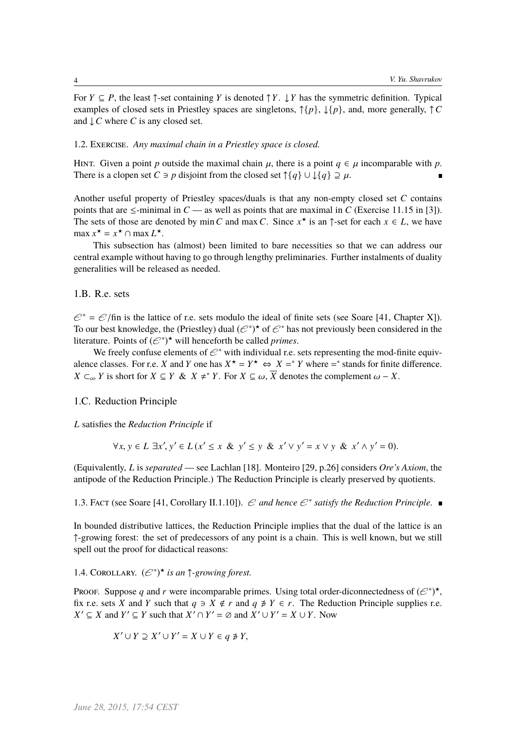For  $Y \subseteq P$ , the least  $\uparrow$ -set containing *Y* is denoted  $\uparrow Y$ .  $\downarrow Y$  has the symmetric definition. Typical examples of closed sets in Priestley spaces are singletons, ↑{*p*}, ↓{*p*}, and, more generally, ↑*C* and ↓*C* where *C* is any closed set.

### 1.2. Exercise. *Any maximal chain in a Priestley space is closed.*

HINT. Given a point *p* outside the maximal chain  $\mu$ , there is a point  $q \in \mu$  incomparable with *p*. There is a clopen set *C*  $\ni$  *p* disjoint from the closed set  $\uparrow$ {*q*}  $\cup \downarrow$ {*q*}  $\supseteq \mu$ .

Another useful property of Priestley spaces/duals is that any non-empty closed set *C* contains points that are  $\le$ -minimal in *C* — as well as points that are maximal in *C* (Exercise 11.15 in [3]). The sets of those are denoted by min C and max C. Since  $x^*$  is an  $\uparrow$ -set for each  $x \in L$ , we have  $\max x^* = x^* \cap \max L^*$ .

This subsection has (almost) been limited to bare necessities so that we can address our central example without having to go through lengthy preliminaries. Further instalments of duality generalities will be released as needed.

### 1.B. R.e. sets

 $\mathcal{C}^* = \mathcal{C}/\text{fin}$  is the lattice of r.e. sets modulo the ideal of finite sets (see Soare [41, Chapter X]). To our best knowledge, the (Priestley) dual  $(\mathcal{C}^*)^*$  of  $\mathcal{C}^*$  has not previously been considered in the literature. Points of  $(e^{*\ast})^*$  will henceforth be called *primes*.

We freely confuse elements of  $\mathcal{C}^*$  with individual r.e. sets representing the mod-finite equivalence classes. For r.e. *X* and *Y* one has  $X^* = Y^* \Leftrightarrow X =^* Y$  where  $=^*$  stands for finite difference. *X* ⊂<sub>∞</sub> *Y* is short for *X* ⊆ *Y* & *X*  $\neq$  \* *Y*. For *X* ⊆ ω,  $\overline{X}$  denotes the complement ω − *X*.

### 1.C. Reduction Principle

*L* satisfies the *Reduction Principle* if

$$
\forall x, y \in L \exists x', y' \in L \ (x' \leq x \& y' \leq y \& x' \vee y' = x \vee y \& x' \wedge y' = 0).
$$

(Equivalently, *L* is *separated* — see Lachlan [18]. Monteiro [29, p.26] considers *Ore's Axiom*, the antipode of the Reduction Principle.) The Reduction Principle is clearly preserved by quotients.

1.3. Fact (see Soare [41, Corollary II.1.10]).  $\mathcal C$  and hence  $\mathcal C^*$  satisfy the Reduction Principle.

In bounded distributive lattices, the Reduction Principle implies that the dual of the lattice is an ↑-growing forest: the set of predecessors of any point is a chain. This is well known, but we still spell out the proof for didactical reasons:

## 1.4. COROLLARY.  $(\mathcal{C}^*)^{\star}$  *is an*  $\uparrow$ *-growing forest.*

Proof. Suppose q and r were incomparable primes. Using total order-diconnectedness of  $(\mathcal{C}^*)^*$ , fix r.e. sets *X* and *Y* such that  $q \ni X \notin r$  and  $q \not\ni Y \in r$ . The Reduction Principle supplies r.e. *X*<sup> $\prime$ </sup> ⊆ *X* and *Y*<sup> $\prime$ </sup> ⊆ *Y* such that *X*<sup> $\prime$ </sup> ∩ *Y*<sup> $\prime$ </sup> = ∅ and *X*<sup> $\prime$ </sup> ∪ *Y*<sup> $\prime$ </sup> = *X* ∪ *Y*. Now

$$
X' \cup Y \supseteq X' \cup Y' = X \cup Y \in q \not\ni Y,
$$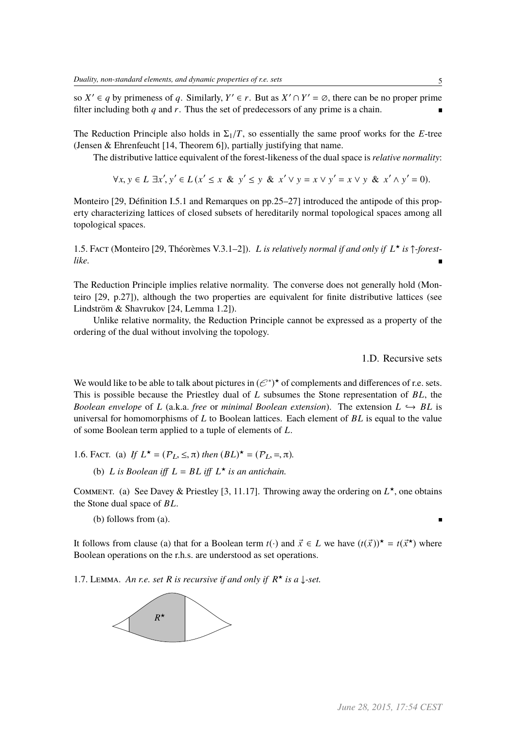so  $X' \in q$  by primeness of q. Similarly,  $Y' \in r$ . But as  $X' \cap Y' = \emptyset$ , there can be no proper prime filter including both *q* and *r*. Thus the set of predecessors of any prime is a chain.

The Reduction Principle also holds in  $\Sigma_1/T$ , so essentially the same proof works for the *E*-tree (Jensen & Ehrenfeucht [14, Theorem 6]), partially justifying that name.

The distributive lattice equivalent of the forest-likeness of the dual space is *relative normality*:

 $\forall x, y \in L \exists x', y' \in L(x' \leq x \& y' \leq y \& x' \lor y = x \lor y' = x \lor y \& x' \land y' = 0).$ 

Monteiro [29, Définition I.5.1 and Remarques on pp.25–27] introduced the antipode of this property characterizing lattices of closed subsets of hereditarily normal topological spaces among all topological spaces.

1.5. Fact (Monteiro [29, Théorèmes V.3.1–2]). *L is relatively normal if and only if L* ? *is* ↑*-forestlike.*

The Reduction Principle implies relative normality. The converse does not generally hold (Monteiro [29, p.27]), although the two properties are equivalent for finite distributive lattices (see Lindström & Shavrukov [24, Lemma 1.2]).

Unlike relative normality, the Reduction Principle cannot be expressed as a property of the ordering of the dual without involving the topology.

1.D. Recursive sets

We would like to be able to talk about pictures in  $(\mathcal{C}^*)^*$  of complements and differences of r.e. sets. This is possible because the Priestley dual of *L* subsumes the Stone representation of *BL*, the *Boolean envelope* of *L* (a.k.a. *free* or *minimal Boolean extension*). The extension  $L \leftrightarrow BL$  is universal for homomorphisms of *L* to Boolean lattices. Each element of *BL* is equal to the value of some Boolean term applied to a tuple of elements of *L*.

1.6. FACT. (a) *If*  $L^* = (P_L, \leq, \pi)$  *then*  $(BL)^* = (P_L, =, \pi)$ *.* 

(b) *L* is *Boolean* iff  $L = BL$  iff  $L^*$  is an antichain.

COMMENT. (a) See Davey & Priestley [3, 11.17]. Throwing away the ordering on  $L^*$ , one obtains the Stone dual space of *BL*.

(b) follows from (a).

It follows from clause (a) that for a Boolean term  $t(\cdot)$  and  $\vec{x} \in L$  we have  $(t(\vec{x}))^* = t(\vec{x}^*)$  where Boolean operations on the r.h.s. are understood as set operations.

1.7. LEMMA. An r.e. set R is recursive if and only if  $R^*$  is a  $\downarrow$ -set.

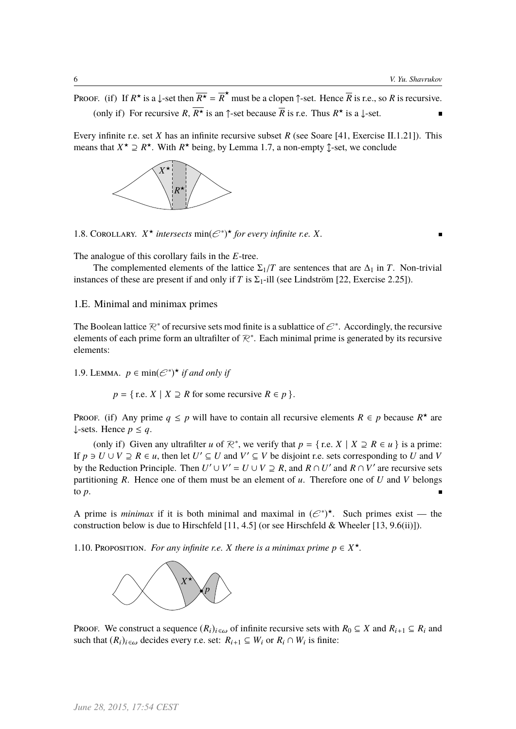Proof. (if) If  $R^*$  is a  $\downarrow$ -set then  $\overline{R^*} = \overline{R}^*$  must be a clopen  $\uparrow$ -set. Hence  $\overline{R}$  is r.e., so  $R$  is recursive. (only if) For recursive *R*,  $R^*$  is an  $\uparrow$ -set because *R* is r.e. Thus  $R^*$  is a  $\downarrow$ -set.

Every infinite r.e. set *X* has an infinite recursive subset *R* (see Soare [41, Exercise II.1.21]). This means that  $X^* \supseteq R^*$ . With  $R^*$  being, by Lemma 1.7, a non-empty  $\oint$ -set, we conclude



1.8. COROLLARY.  $X^{\star}$  *intersects*  $\min(\mathcal{C}^*)^{\star}$  *for every infinite r.e.*  $X$ *.* 

The analogue of this corollary fails in the *E*-tree.

The complemented elements of the lattice  $\Sigma_1/T$  are sentences that are  $\Delta_1$  in *T*. Non-trivial instances of these are present if and only if *T* is  $\Sigma_1$ -ill (see Lindström [22, Exercise 2.25]).

### 1.E. Minimal and minimax primes

The Boolean lattice  $\mathcal{R}^*$  of recursive sets mod finite is a sublattice of  $\mathcal{C}^*$ . Accordingly, the recursive elements of each prime form an ultrafilter of  $\mathcal{R}^*$ . Each minimal prime is generated by its recursive elements:

1.9. LEMMA.  $p \in \text{min}(\mathcal{C}^*)^{\star}$  *if and only if* 

 $p = \{$  r.e. *X* | *X*  $\supseteq$  *R* for some recursive  $R \in p$  }.

Proof. (if) Any prime  $q \leq p$  will have to contain all recursive elements  $R \in p$  because  $R^*$  are ↓-sets. Hence *p* ≤ *q*.

(only if) Given any ultrafilter *u* of  $\mathbb{R}^*$ , we verify that  $p = \{$  r.e.  $X \mid X \supseteq R \in u\}$  is a prime: If  $p \ni U \cup V \supseteq R \in u$ , then let  $U' \subseteq U$  and  $V' \subseteq V$  be disjoint r.e. sets corresponding to *U* and *V* by the Reduction Principle. Then  $U' \cup V' = U \cup V \supseteq R$ , and  $R \cap U'$  and  $R \cap V'$  are recursive sets partitioning *R*. Hence one of them must be an element of *u*. Therefore one of *U* and *V* belongs to *p*.

A prime is *minimax* if it is both minimal and maximal in  $(\mathcal{C}^*)^*$ . Such primes exist — the construction below is due to Hirschfeld [11, 4.5] (or see Hirschfeld & Wheeler [13, 9.6(ii)]).

1.10. PROPOSITION. *For any infinite r.e. X there is a minimax prime*  $p \in X^*$ .



Proof. We construct a sequence  $(R_i)_{i \in \omega}$  of infinite recursive sets with  $R_0 \subseteq X$  and  $R_{i+1} \subseteq R_i$  and such that  $(R_i)_{i \in \omega}$  decides every r.e. set:  $R_{i+1} \subseteq W_i$  or  $R_i \cap W_i$  is finite: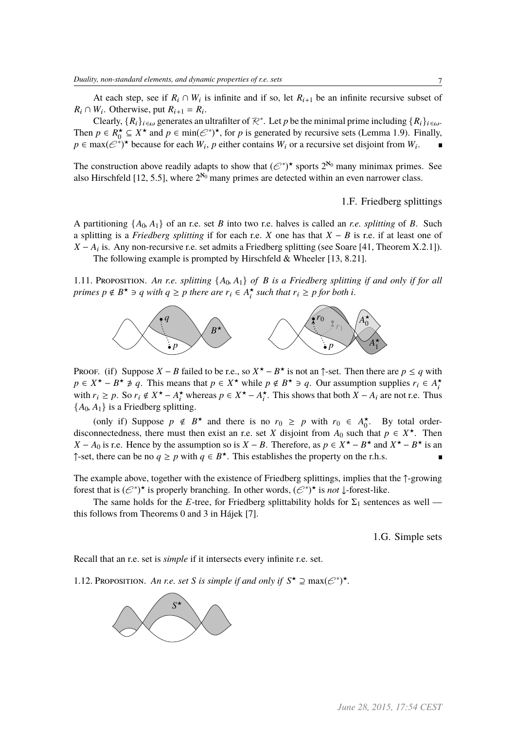At each step, see if  $R_i \cap W_i$  is infinite and if so, let  $R_{i+1}$  be an infinite recursive subset of  $R_i \cap W_i$ . Otherwise, put  $R_{i+1} = R_i$ .

Clearly,  ${R_i}_{i \in \omega}$  generates an ultrafilter of  $\mathcal{R}^*$ . Let *p* be the minimal prime including  ${R_i}_{i \in \omega}$ . Then  $p \in R_0^* \subseteq X^*$  and  $p \in \min(\mathcal{C}^*)^*$ , for *p* is generated by recursive sets (Lemma 1.9). Finally,  $p \in \max(\mathcal{C}^*)^*$  because for each  $W_i$ ,  $p$  either contains  $W_i$  or a recursive set disjoint from  $W_i$ .

The construction above readily adapts to show that  $(e^{*\cdot})^*$  sports  $2^{\aleph_0}$  many minimax primes. See also Hirschfeld [12, 5.5], where  $2^{\aleph_0}$  many primes are detected within an even narrower class.

1.F. Friedberg splittings

A partitioning  $\{A_0, A_1\}$  of an r.e. set *B* into two r.e. halves is called an *r.e. splitting* of *B*. Such a splitting is a *Friedberg splitting* if for each r.e. *X* one has that *X* − *B* is r.e. if at least one of  $X - A_i$  is. Any non-recursive r.e. set admits a Friedberg splitting (see Soare [41, Theorem X.2.1]). The following example is prompted by Hirschfeld & Wheeler [13, 8.21].

1.11. Proposition. *An r.e. splitting* {*A*0, *<sup>A</sup>*1} *of <sup>B</sup> is a Friedberg splitting if and only if for all primes*  $p \notin B^* \ni q$  *with*  $q \geq p$  *there are*  $r_i \in A_i^*$  *such that*  $r_i \geq p$  *for both i*.



Proof. (if) Suppose  $X - B$  failed to be r.e., so  $X^* - B^*$  is not an  $\uparrow$ -set. Then there are  $p \le q$  with  $p \in X^* - B^* \neq q$ . This means that  $p \in X^*$  while  $p \notin B^* \ni q$ . Our assumption supplies  $r_i \in A_i^*$ with  $r_i \ge p$ . So  $r_i \notin X^* - A_i^*$  whereas  $p \in X^* - A_i^*$ . This shows that both  $X - A_i$  are not r.e. Thus  ${A_0, A_1}$  is a Friedberg splitting.

(only if) Suppose  $p \notin B^*$  and there is no  $r_0 \ge p$  with  $r_0 \in A_0^*$ . By total orderdisconnectedness, there must then exist an r.e. set *X* disjoint from  $A_0$  such that  $p \in X^*$ . Then *X* − *A*<sup>0</sup> is r.e. Hence by the assumption so is *X* − *B*. Therefore, as  $p \in X^{\star} - B^{\star}$  and  $X^{\star} - B^{\star}$  is an ↑-set, there can be no *q* ≥ *p* with *q* ∈ *B*<sup>★</sup>. This establishes the property on the r.h.s.

The example above, together with the existence of Friedberg splittings, implies that the ↑-growing forest that is  $(\mathcal{C}^*)^*$  is properly branching. In other words,  $(\mathcal{C}^*)^*$  is *not*  $\downarrow$ -forest-like.

The same holds for the *E*-tree, for Friedberg splittability holds for  $\Sigma_1$  sentences as well this follows from Theorems 0 and 3 in Hájek [7].

1.G. Simple sets

Recall that an r.e. set is *simple* if it intersects every infinite r.e. set.

1.12. PROPOSITION. An r.e. set *S* is simple if and only if  $S^{\star} \supseteq \max(\mathcal{E}^*)^{\star}$ .

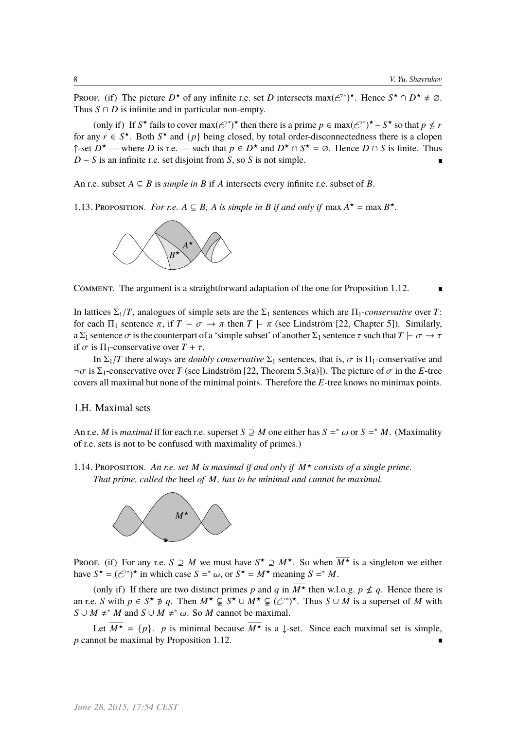Proof. (if) The picture  $D^*$  of any infinite r.e. set *D* intersects max $(\mathcal{C}^*)^*$ . Hence  $S^* \cap D^* \neq \emptyset$ . Thus  $S \cap D$  is infinite and in particular non-empty.

(only if) If  $S^*$  fails to cover  $\max(\mathcal{C}^*)^*$  then there is a prime  $p \in \max(\mathcal{C}^*)^* - S^*$  so that  $p \nleq r$ for any  $r \in S^*$ . Both  $S^*$  and  $\{p\}$  being closed, by total order-disconnectedness there is a clopen ↑-set *D*<sup>★</sup> — where *D* is r.e. — such that  $p \in D^*$  and  $D^* \cap S^* = \emptyset$ . Hence  $D \cap S$  is finite. Thus *D* − *S* is an infinite r.e. set disjoint from *S*, so *S* is not simple.

An r.e. subset  $A \subseteq B$  is *simple in*  $B$  if  $A$  intersects every infinite r.e. subset of  $B$ .

1.13. PROPOSITION. *For r.e.*  $A \subseteq B$ , *A* is simple in *B* if and only if max  $A^* = \max B^*$ .



Comment. The argument is a straightforward adaptation of the one for Proposition 1.12.

In lattices  $\Sigma_1/T$ , analogues of simple sets are the  $\Sigma_1$  sentences which are  $\Pi_1$ -*conservative* over *T*: for each  $\Pi_1$  sentence  $\pi$ , if  $T \vdash \sigma \rightarrow \pi$  then  $T \vdash \pi$  (see Lindström [22, Chapter 5]). Similarly, a  $\Sigma_1$  sentence  $\sigma$  is the counterpart of a 'simple subset' of another  $\Sigma_1$  sentence  $\tau$  such that  $T \vdash \sigma \to \tau$ if  $\sigma$  is  $\Pi_1$ -conservative over  $T + \tau$ .

In  $\Sigma_1/T$  there always are *doubly conservative*  $\Sigma_1$  sentences, that is,  $\sigma$  is  $\Pi_1$ -conservative and  $\neg \sigma$  is  $\Sigma_1$ -conservative over *T* (see Lindström [22, Theorem 5.3(a)]). The picture of  $\sigma$  in the *E*-tree covers all maximal but none of the minimal points. Therefore the *E*-tree knows no minimax points.

### 1.H. Maximal sets

An r.e. *M* is *maximal* if for each r.e. superset  $S \supseteq M$  one either has  $S =^* \omega$  or  $S =^* M$ . (Maximality of r.e. sets is not to be confused with maximality of primes.)

1.14. Proposition. An r.e. set M is maximal if and only if  $\overline{M^*}$  consists of a single prime. *That prime, called the* heel *of M, has to be minimal and cannot be maximal.*



Proof. (if) For any r.e.  $S \supseteq M$  we must have  $S^* \supseteq M^*$ . So when  $\overline{M^*}$  is a singleton we either have  $S^* = (\mathcal{C}^*)^*$  in which case  $S =^* \omega$ , or  $S^* = M^*$  meaning  $S =^* M$ .

(only if) If there are two distinct primes p and q in  $\overline{M^*}$  then w.l.o.g.  $p \nleq q$ . Hence there is an r.e. *S* with  $p \in S^* \not\ni q$ . Then  $M^* \subsetneq S^* \cup M^* \subsetneq (\mathcal{C}^*)^*$ . Thus  $S \cup M$  is a superset of *M* with  $S \cup M \neq^* M$  and  $S \cup M \neq^* \omega$ . So *M* cannot be maximal.

Let  $\overline{M^*} = \{p\}$ . *p* is minimal because  $\overline{M^*}$  is a ↓-set. Since each maximal set is simple, *p* cannot be maximal by Proposition 1.12.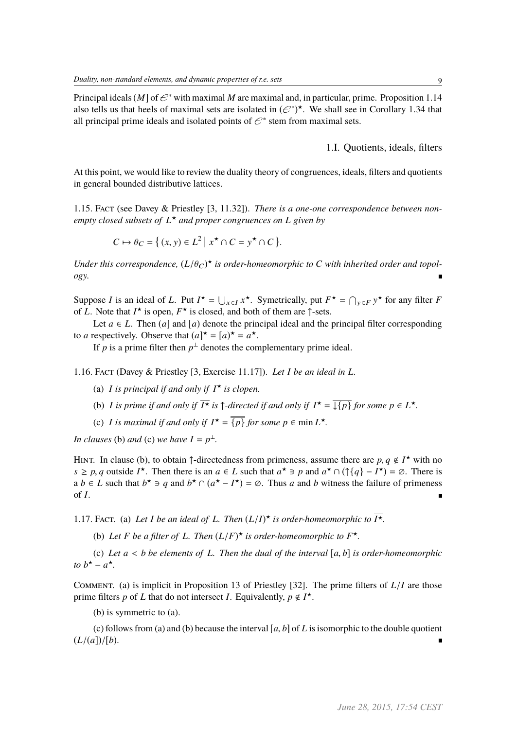Principal ideals (*M*] of  $\mathcal{C}^*$  with maximal *M* are maximal and, in particular, prime. Proposition 1.14 also tells us that heels of maximal sets are isolated in  $(e^*)^*$ . We shall see in Corollary 1.34 that all principal prime ideals and isolated points of  $\mathcal{C}^*$  stem from maximal sets.

1.I. Quotients, ideals, filters

At this point, we would like to review the duality theory of congruences, ideals, filters and quotients in general bounded distributive lattices.

1.15. Fact (see Davey & Priestley [3, 11.32]). *There is a one-one correspondence between nonempty closed subsets of L* ? *and proper congruences on L given by*

$$
C \mapsto \theta_C = \left\{ (x, y) \in L^2 \mid x^\star \cap C = y^\star \cap C \right\}.
$$

*Under this correspondence,*  $(L/\theta_C)^*$  *is order-homeomorphic to C with inherited order and topology.*

Suppose *I* is an ideal of *L*. Put  $I^* = \bigcup_{x \in I} x^*$ . Symetrically, put  $F^* = \bigcap_{y \in F} y^*$  for any filter *F* of *L*. Note that  $I^*$  is open,  $F^*$  is closed, and both of them are  $\uparrow$ -sets.

Let  $a \in L$ . Then (*a*) and [*a*) denote the principal ideal and the principal filter corresponding to *a* respectively. Observe that  $(a)^{\star} = [a)^{\star} = a^{\star}$ .

If *p* is a prime filter then  $p^{\perp}$  denotes the complementary prime ideal.

1.16. Fact (Davey & Priestley [3, Exercise 11.17]). *Let I be an ideal in L.*

- (a) *I* is principal if and only if  $I^*$  is clopen.
- (b) *I* is prime if and only if  $\overline{I^*}$  is  $\uparrow$ -directed if and only if  $I^* = \overline{\downarrow \{p\}}$  for some  $p \in L^*$ .
- (c) *I* is maximal if and only if  $I^* = \{p\}$  for some  $p \in \min L^*$ .

*In clauses* (b) *and* (c) *we have*  $I = p^{\perp}$ *.* 

HINT. In clause (b), to obtain  $\uparrow$ -directedness from primeness, assume there are  $p, q \notin I^*$  with no  $s > p$ , *q* outside  $I^*$ . Then there is an  $q \in I$  such that  $q^* \geq p$  and  $q^* \cap (\uparrow q) = I^* = \emptyset$ . There is *s* ≥ *p*, *q* outside *I*<sup>\*</sup>. Then there is an *a* ∈ *L* such that  $a^*$  ∋ *p* and  $a^*$  ∩ ( $\uparrow$ {*q*} − *I*<sup>\*</sup>) = ∅. There is a *b* ∈ *L* such that  $b^*$  ∋ *q* and  $b^*$  ∩  $(a^* - I^*) = \emptyset$ . Thus *a* and *b* witness the failure of primeness of *I*.

1.17. Fact. (a) Let *I* be an ideal of L. Then  $(L/I)^{\star}$  is order-homeomorphic to  $\overline{I^{\star}}$ .

(b) Let *F* be a filter of L. Then  $(L/F)^{\star}$  is order-homeomorphic to  $F^{\star}$ .

(c) *Let <sup>a</sup>* < *<sup>b</sup> be elements of <sup>L</sup>. Then the dual of the interval* [*a*, *<sup>b</sup>*] *is order-homeomorphic to*  $b^* - a^*$ .

Comment. (a) is implicit in Proposition 13 of Priestley [32]. The prime filters of *<sup>L</sup>*/*<sup>I</sup>* are those prime filters *p* of *L* that do not intersect *I*. Equivalently,  $p \notin I^*$ .

(b) is symmetric to (a).

(c) follows from (a) and (b) because the interval [*a*, *<sup>b</sup>*] of *<sup>L</sup>* is isomorphic to the double quotient  $(L/(a))/[b)$ .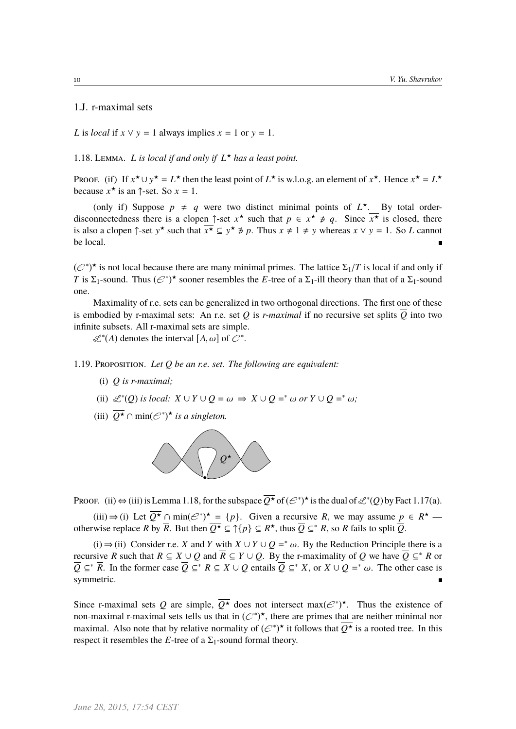### 1.J. r-maximal sets

*L* is *local* if  $x \vee y = 1$  always implies  $x = 1$  or  $y = 1$ .

## 1.18. LEMMA. *L* is local if and only if  $L^*$  has a least point.

Proof. (if) If  $x^* \cup y^* = L^*$  then the least point of  $L^*$  is w.l.o.g. an element of  $x^*$ . Hence  $x^* = L^*$ because  $x^*$  is an  $\uparrow$ -set. So  $x = 1$ .

(only if) Suppose  $p \neq q$  were two distinct minimal points of  $L^*$ . By total orderdisconnectedness there is a clopen  $\uparrow$ -set  $x^*$  such that  $p \in x^* \neq q$ . Since  $\overline{x^*}$  is closed, there is also a clopen  $\uparrow$ -set  $y^*$  such that  $\overline{x^*} \subseteq y^* \not\ni p$ . Thus  $x \neq 1 \neq y$  whereas  $x \vee y = 1$ . So *L* cannot be local.

 $(\mathcal{C}^*)^*$  is not local because there are many minimal primes. The lattice  $\Sigma_1/T$  is local if and only if  $T$  is  $\Sigma_1$ -sound. Thus  $(\mathcal{C}^*)^*$  sooner resembles the  $F_1$ -tree of a  $\Sigma_1$ -sill theory than that of a  $\S$ *T* is  $\Sigma_1$ -sound. Thus  $(\mathcal{C}^*)^*$  sooner resembles the *E*-tree of a  $\Sigma_1$ -ill theory than that of a  $\Sigma_1$ -sound one.

Maximality of r.e. sets can be generalized in two orthogonal directions. The first one of these is embodied by r-maximal sets: An r.e. set Q is *r-maximal* if no recursive set splits  $\overline{Q}$  into two infinite subsets. All r-maximal sets are simple.

 $\mathscr{L}^*(A)$  denotes the interval  $[A, \omega]$  of  $\mathscr{C}^*$ .

1.19. Proposition. *Let Q be an r.e. set. The following are equivalent:*

- (i) *Q is r-maximal;*
- (ii)  $\mathcal{L}^*(Q)$  *is local:*  $X \cup Y \cup Q = \omega \implies X \cup Q =^* \omega$  *or*  $Y \cup Q =^* \omega$ ;
- (iii)  $\overline{Q^{\star}} \cap \min(\mathcal{C}^*)^{\star}$  *is a singleton.*



Proof. (ii)  $\Leftrightarrow$  (iii) is Lemma 1.18, for the subspace  $\overline{Q^*}$  of  $(\mathcal{C}^*)^*$  is the dual of  $\mathcal{L}^*(Q)$  by Fact 1.17(a).

(iii) ⇒ (i) Let  $\overline{Q^*}$  ∩ min( $\mathcal{C}^*$ )<sup>\*</sup> = {*p*}. Given a recursive *R*, we may assume  $\underline{p} \in R^*$  otherwise replace *R* by  $\overline{R}$ . But then  $\overline{Q^*} \subseteq \uparrow \{p\} \subseteq R^*$ , thus  $\overline{Q} \subseteq^* R$ , so *R* fails to split  $\overline{Q}$ .

(i) ⇒ (ii) Consider r.e. *X* and *Y* with *X* ∪ *Y* ∪ *Q* =<sup>\*</sup> ω. By the Reduction Principle there is a size *R* such that *R* ⊂ *X* ⊥ *Q* and  $\overline{R}$  ⊂ *X* ⊥ *Q* By the *r* maximality of *Q* we have  $\overline{Q}$  ⊂ \* *R* or recursive *R* such that  $R \subseteq X \cup Q$  and  $\overline{R} \subseteq Y \cup Q$ . By the r-maximality of *Q* we have  $\overline{Q} \subseteq^* R$  or  $\overline{Q}$  ⊆<sup>\*</sup>  $\overline{R}$ . In the former case  $\overline{Q}$  ⊆<sup>\*</sup>  $R \subseteq X \cup Q$  entails  $\overline{Q}$  ⊆<sup>\*</sup>  $X$ , or  $X \cup Q$  =<sup>\*</sup> ω. The other case is nonsymmetric.

Since r-maximal sets Q are simple,  $\overline{Q^*}$  does not intersect max $(\mathcal{C}^*)^*$ . Thus the existence of non-maximal r-maximal sets tells us that in  $(e^*)^*$ , there are primes that are neither minimal nor maximal. Also note that by relative normality of  $(e^*)^*$  it follows that  $\overline{Q^*}$  is a rooted tree. In this respect it resembles the *E*-tree of a  $\Sigma_1$ -sound formal theory.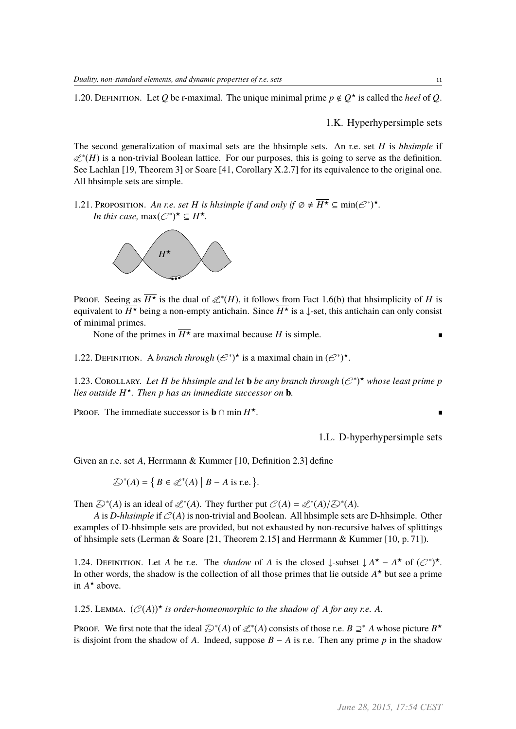1.20. Definition. Let *Q* be r-maximal. The unique minimal prime  $p \notin Q^*$  is called the *heel* of *Q*.

1.K. Hyperhypersimple sets

The second generalization of maximal sets are the hhsimple sets. An r.e. set *H* is *hhsimple* if L∗ (*H*) is a non-trivial Boolean lattice. For our purposes, this is going to serve as the definition. See Lachlan [19, Theorem 3] or Soare [41, Corollary X.2.7] for its equivalence to the original one. All hhsimple sets are simple.

1.21. Proposition. An r.e. set *H* is hhsimple if and only if  $\emptyset \neq \overline{H^*} \subseteq \min(\mathcal{E}^*)^*$ . *In this case,*  $\max(\mathcal{C}^*)^{\star} \subseteq H^{\star}$ *.* 



Proof. Seeing as  $\overline{H^*}$  is the dual of  $\mathcal{L}^*(H)$ , it follows from Fact 1.6(b) that hhsimplicity of *H* is equivalent to  $\overline{H^*}$  being a non-empty antichain. Since  $\overline{H^*}$  is a ↓-set, this antichain can only consist of minimal primes.

None of the primes in  $\overline{H^*}$  are maximal because *H* is simple.

1.22. DEFINITION. A *branch through*  $(\mathcal{C}^*)^*$  is a maximal chain in  $(\mathcal{C}^*)^*$ .

1.23. COROLLARY. Let *H* be hhsimple and let **b** be any branch through  $(e^*)^*$  whose least prime p *lies outside H* ?*. Then p has an immediate successor on* **b***.*

PROOF. The immediate successor is **b**  $\cap$  min  $H^*$ .

1.L. D-hyperhypersimple sets

 $\blacksquare$ 

Given an r.e. set *A*, Herrmann & Kummer [10, Definition 2.3] define

$$
\mathcal{D}^*(A) = \{ B \in \mathcal{L}^*(A) \mid B - A \text{ is r.e.} \}.
$$

Then  $\mathcal{D}^*(A)$  is an ideal of  $\mathcal{L}^*(A)$ . They further put  $\mathcal{C}(A) = \mathcal{L}^*(A)/\mathcal{D}^*(A)$ .<br>A is *D*-hhsimple if  $\mathcal{C}(A)$  is pop-trivial and Boolean. All hhsimple sets a

*A* is *D-hhsimple* if  $C(A)$  is non-trivial and Boolean. All hhsimple sets are D-hhsimple. Other examples of D-hhsimple sets are provided, but not exhausted by non-recursive halves of splittings of hhsimple sets (Lerman & Soare [21, Theorem 2.15] and Herrmann & Kummer [10, p. 71]).

1.24. DEFINITION. Let *A* be r.e. The *shadow* of *A* is the closed ↓-subset  $\downarrow A^* - A^*$  of  $(\mathcal{C}^*)^*$ . In other words, the shadow is the collection of all those primes that lie outside  $A^*$  but see a prime in  $A^*$  above.

1.25. LEMMA.  $(C(A))^*$  *is order-homeomorphic to the shadow of A for any r.e.* A.

Proof. We first note that the ideal  $\mathcal{D}^*(A)$  of  $\mathcal{L}^*(A)$  consists of those r.e.  $B \supseteq^* A$  whose picture  $B^*$ is disjoint from the shadow of *A*. Indeed, suppose  $B - A$  is r.e. Then any prime *p* in the shadow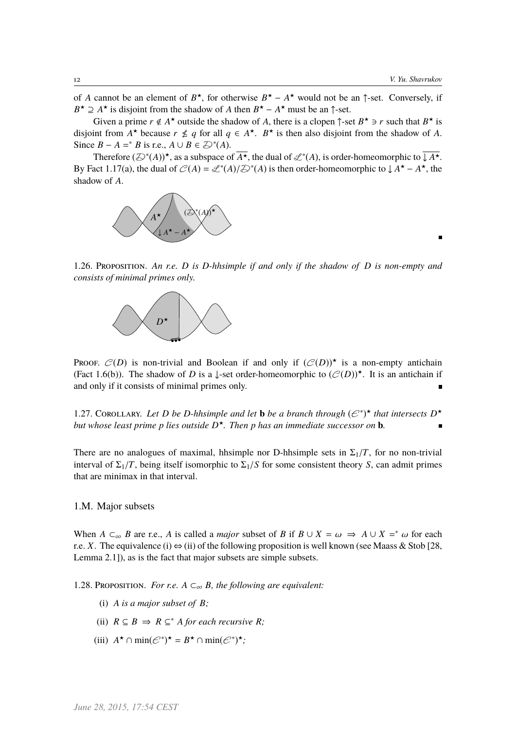п

of *A* cannot be an element of  $B^*$ , for otherwise  $B^* - A^*$  would not be an  $\uparrow$ -set. Conversely, if  $B^{\star} \supseteq A^{\star}$  is disjoint from the shadow of *A* then  $B^{\star} - A^{\star}$  must be an  $\uparrow$ -set.

Given a prime  $r \notin A^*$  outside the shadow of A, there is a clopen  $\uparrow$ -set  $B^* \ni r$  such that  $B^*$  is disjoint from  $A^*$  because  $r \nleq q$  for all  $q \in A^*$ .  $B^*$  is then also disjoint from the shadow of *A*. Since  $B - A =^* B$  is r.e.,  $A \cup B \in \mathcal{D}^*(A)$ .

Therefore  $(\mathcal{D}^*(A))^*$ , as a subspace of  $\overline{A^*}$ , the dual of  $\mathcal{L}^*(A)$ , is order-homeomorphic to  $\overline{\downarrow A^*}$ . By Fact 1.17(a), the dual of  $C(A) = \mathcal{L}^*(A)/\mathcal{D}^*(A)$  is then order-homeomorphic to  $\downarrow A^* - A^*$ , the shadow of *A*.



1.26. Proposition. *An r.e. D is D-hhsimple if and only if the shadow of D is non-empty and consists of minimal primes only.*



Proof.  $C(D)$  is non-trivial and Boolean if and only if  $(C(D))^*$  is a non-empty antichain (Fact 1.6(b)). The shadow of *D* is a ↓-set order-homeomorphic to  $(\mathcal{C}(D))$ <sup>\*</sup>. It is an antichain if and only if it consists of minimal primes only.

1.27. COROLLARY. Let D be D-hhsimple and let **b** be a branch through  $(\mathcal{C}^*)^*$  that intersects  $D^*$ *but whose least prime p lies outside D* ?*. Then p has an immediate successor on* **b***.*

There are no analogues of maximal, hhsimple nor D-hhsimple sets in  $\Sigma_1/T$ , for no non-trivial interval of  $\Sigma_1/T$ , being itself isomorphic to  $\Sigma_1/S$  for some consistent theory *S*, can admit primes that are minimax in that interval.

### 1.M. Major subsets

When *A*  $\subset_{\infty}$  *B* are r.e., *A* is called a *major* subset of *B* if  $B \cup X = \omega \Rightarrow A \cup X =^* \omega$  for each  $\Gamma$  as  $X$ . The equivalence (i)  $\hookrightarrow$  (ii) of the following proposition is well known (see Magss & Stob 128) r.e. *X*. The equivalence (i)  $\Leftrightarrow$  (ii) of the following proposition is well known (see Maass & Stob [28, Lemma 2.1]), as is the fact that major subsets are simple subsets.

1.28. PROPOSITION. *For r.e.*  $A \subset_{\infty} B$ *, the following are equivalent:* 

- (i) *A is a major subset of B;*
- (ii)  $R \subseteq B \implies R \subseteq^* A$  *for each recursive R*;
- (iii)  $A^{\star} \cap \min(\mathcal{C}^*)^{\star} = B^{\star} \cap \min(\mathcal{C}^*)^{\star};$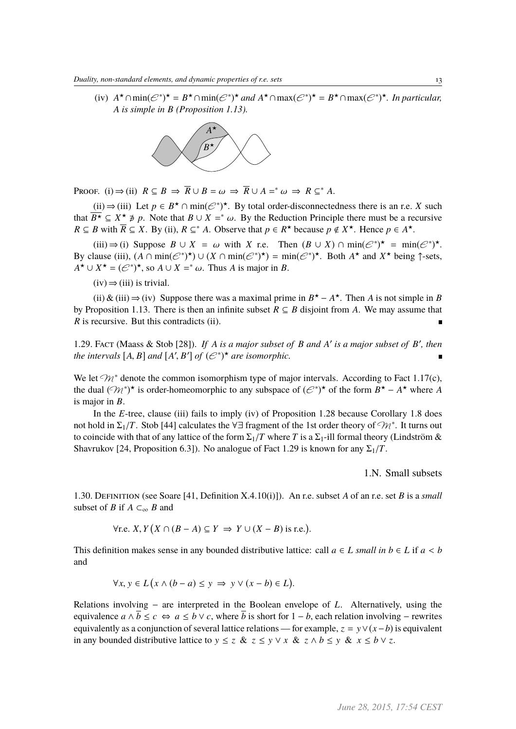(iv)  $A^{\star} \cap \min(\mathcal{C}^*)^{\star} = B^{\star} \cap \min(\mathcal{C}^*)^{\star}$  and  $A^{\star} \cap \max(\mathcal{C}^*)^{\star} = B^{\star} \cap \max(\mathcal{C}^*)^{\star}$ . In particular, *A is simple in B (Proposition 1.13).*



PROOF. (i)  $\Rightarrow$  (ii)  $R \subseteq B \Rightarrow \overline{R} \cup B = \omega \Rightarrow \overline{R} \cup A =^* \omega \Rightarrow R \subseteq^* A$ .

 $(iii)$  ⇒ (iii) Let  $p \in B^{\star} \cap \min(\mathcal{C}^*)^{\star}$ . By total order-disconnectedness there is an r.e. *X* such that  $\overline{B^{\star}} \subseteq X^{\star} \not\ni p$ . Note that  $B \cup X =^* \omega$ . By the Reduction Principle there must be a recursive  $B \subset B$  with  $\overline{B} \subset Y$ . By (ii)  $B \subset^* A$ . Observe that  $p \in B^{\star}$  because  $p \notin X^{\star}$ . Hence  $p \in A^{\star}$ *R* ⊆ *B* with  $\overline{R}$  ⊆ *X*. By (ii),  $R \subseteq^* A$ . Observe that  $p \in R^*$  because  $p \notin X^*$ . Hence  $p \in A^*$ .

(iii)  $\Rightarrow$  (i) Suppose  $B \cup X = \omega$  with *X* r.e. Then  $(B \cup X) \cap \min(\mathcal{C}^*)^* = \min(\mathcal{C}^*)^*$ .<br>
[ause (iii)  $(A \cap \min(\mathcal{C}^*)^* + |1| (Y \cap \min(\mathcal{C}^*)^*) - \min(\mathcal{C}^*)^*$ . Both  $A^*$  and  $Y^*$  being 1-sets By clause (iii),  $(A \cap \min(\mathcal{C}^*)^*) \cup (X \cap \min(\mathcal{C}^*)^*) = \min(\mathcal{C}^*)^*$ . Both  $A^*$  and  $X^*$  being  $\uparrow$ -sets,  $A^{\star} \cup X^{\star} = (\mathcal{C}^*)^{\star}$ , so  $A \cup X =^{\ast} \omega$ . Thus *A* is major in *B*.

 $(iv) \Rightarrow (iii)$  is trivial.

(ii)  $\&$  (iii)  $\Rightarrow$  (iv) Suppose there was a maximal prime in *B*<sup>★</sup> – *A*<sup>★</sup>. Then *A* is not simple in *B* by Proposition 1.13. There is then an infinite subset  $R \subseteq B$  disjoint from A. We may assume that *R* is recursive. But this contradicts (ii).

1.29. Fact (Maass & Stob [28]). *If A is a major subset of B and A' is a major subset of B', then* the intervals  $[A, B]$  and  $[A', B']$  of  $(\mathcal{E}^*)^{\star}$  are isomorphic.

We let  $\mathcal{M}^*$  denote the common isomorphism type of major intervals. According to Fact 1.17(c), the dual  $(\mathcal{M}^*)^*$  is order-homeomorphic to any subspace of  $(\mathcal{C}^*)^*$  of the form  $B^* - A^*$  where *A* is major in *B*.

In the *E*-tree, clause (iii) fails to imply (iv) of Proposition 1.28 because Corollary 1.8 does not hold in  $\Sigma_1/T$ . Stob [44] calculates the ∀∃ fragment of the 1st order theory of  $\mathcal{M}^*$ . It turns out to coincide with that of any lattice of the form  $\Sigma_1/T$  where  $T$  is a  $\Sigma_2$  ill formal theory (Lindström  $\&$ to coincide with that of any lattice of the form  $\Sigma_1/T$  where *T* is a  $\Sigma_1$ -ill formal theory (Lindström & Shavrukov [24, Proposition 6.3]). No analogue of Fact 1.29 is known for any  $\Sigma_1/T$ .

1.N. Small subsets

1.30. Definition (see Soare [41, Definition X.4.10(i)]). An r.e. subset *A* of an r.e. set *B* is a *small* subset of *B* if  $A \subset_{\infty} B$  and

> <sup>∀</sup>r.e. *<sup>X</sup>*,*<sup>Y</sup>*  $(X \cap (B - A) \subseteq Y \implies Y \cup (X - B)$  is r.e.)

This definition makes sense in any bounded distributive lattice: call  $a \in L$  *small in*  $b \in L$  if  $a < b$ and

$$
\forall x, y \in L (x \land (b - a) \le y \implies y \lor (x - b) \in L).
$$

Relations involving − are interpreted in the Boolean envelope of *L*. Alternatively, using the equivalence  $a \wedge \overline{b} \leq c \Leftrightarrow a \leq b \vee c$ , where  $\overline{b}$  is short for  $1 - b$ , each relation involving – rewrites equivalently as a conjunction of several lattice relations — for example,  $z = y \vee (x - b)$  is equivalent in any bounded distributive lattice to  $y \le z \& z \le y \vee x \& z \wedge b \le y \& x \le b \vee z$ .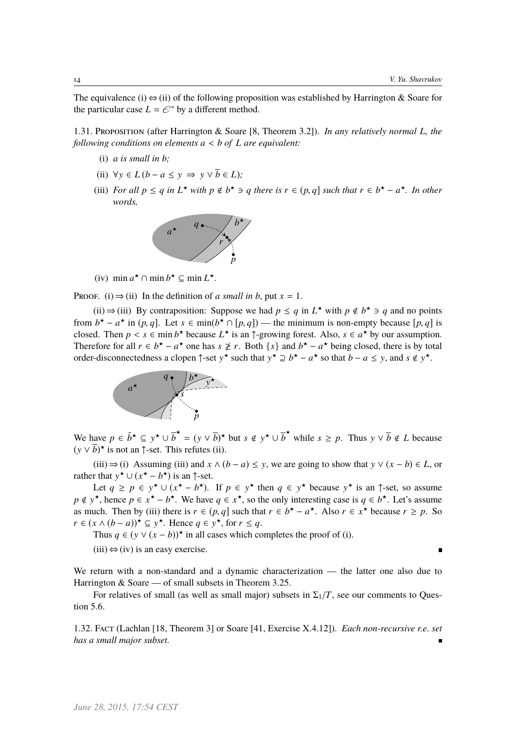The equivalence (i)  $\Leftrightarrow$  (ii) of the following proposition was established by Harrington & Soare for the particular case  $L = \mathcal{C}^*$  by a different method.

1.31. Proposition (after Harrington & Soare [8, Theorem 3.2]). *In any relatively normal L, the following conditions on elements <sup>a</sup>* < *<sup>b</sup> of <sup>L</sup> are equivalent:*

- (i) *a* is small in *b*:
- (ii)  $\forall y \in L (b a \leq y \implies y \vee \overline{b} \in L);$
- (iii) *For all*  $p \le q$  *in*  $L^*$  *with*  $p \notin b^* \ni q$  *there is*  $r \in (p, q]$  *such that*  $r \in b^* a^*$ *. In other words,*



(iv)  $\min a^* \cap \min b^* \subseteq \min L^*$ .

PROOF. (i)  $\Rightarrow$  (ii) In the definition of *a small in b*, put  $x = 1$ .

(ii) ⇒ (iii) By contraposition: Suppose we had  $p \le q$  in  $L^*$  with  $p \notin b^* \ni q$  and no points from  $b^* - a^*$  in  $(p, q]$ . Let  $s \in \min(b^* \cap [p, q])$  — the minimum is non-empty because  $[p, q]$  is closed. Then  $p \le s \in \min(b^*)$  because  $I^*$  is an i-growing forest. Also,  $s \in a^*$  by our assumption closed. Then  $p \lt s \in \min b^*$  because  $L^*$  is an  $\uparrow$ -growing forest. Also,  $s \in a^*$  by our assumption.<br>Therefore for all  $r \in b^* - a^*$  one has  $s \times r$ . Both *Ls*) and  $b^* - a^*$  being closed, there is by total Therefore for all  $r \in b^* - a^*$  one has  $s \not\geq r$ . Both  $\{s\}$  and  $b^* - a^*$  being closed, there is by total order-disconnectedness a clopen  $\uparrow$ -set  $y^*$  such that  $y^* \supseteq b^* - a^*$  so that  $b - a \leq y$ , and  $s \notin y^*$ .



We have  $p \in \bar{b}^{\star} \subseteq y^{\star} \cup \bar{b}^{\star} = (y \vee \bar{b})^{\star}$  but  $s \notin y^{\star} \cup \bar{b}^{\star}$  while  $s \geq p$ . Thus  $y \vee \bar{b} \notin L$  because  $(y \vee \overline{b})^{\star}$  is not an  $\uparrow$ -set. This refutes (ii).

(iii)  $\Rightarrow$  (i) Assuming (iii) and *x* ∧ (*b* − *a*) ≤ *y*, we are going to show that *y* ∨ (*x* − *b*) ∈ *L*, or rather that  $y^* \cup (x^* - b^*)$  is an  $\uparrow$ -set.

Let  $q \ge p \in y^* \cup (x^* - b^*)$ . If  $p \in y^*$  then  $q \in y^*$  because  $y^*$  is an  $\uparrow$ -set, so assume  $p \notin y^*$ , hence  $p \in x^* - b^*$ . We have  $q \in x^*$ , so the only interesting case is  $q \in b^*$ . Let's assume as much. Then by (iii) there is  $r \in (p, q]$  such that  $r \in b^* - a^*$ . Also  $r \in x^*$  because  $r \ge p$ . So  $r \in (x \land (b-a))^* \subseteq y^*$ . Hence  $a \in y^*$  for  $r \le a$ . *r* ∈  $(x \land (b - a))^*$  ⊆  $y^*$ . Hence  $q \in y^*$ , for  $r \leq q$ .

Thus  $q \in (y \vee (x - b))$ <sup>\*</sup> in all cases which completes the proof of (i).

 $(iii) \Leftrightarrow (iv)$  is an easy exercise.

We return with a non-standard and a dynamic characterization — the latter one also due to Harrington & Soare — of small subsets in Theorem 3.25.

For relatives of small (as well as small major) subsets in  $\Sigma_1/T$ , see our comments to Question 5.6.

1.32. Fact (Lachlan [18, Theorem 3] or Soare [41, Exercise X.4.12]). *Each non-recursive r.e. set has a small major subset.*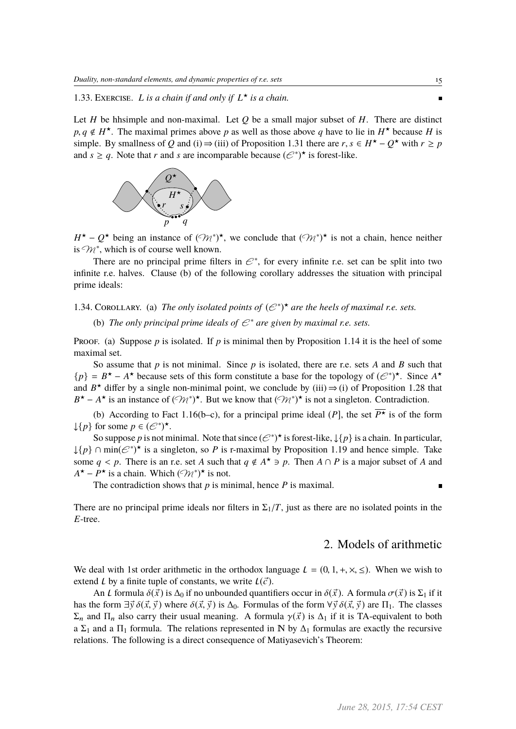1.33. EXERCISE. L is a chain if and only if  $L^*$  is a chain.

Let *H* be hhsimple and non-maximal. Let *Q* be a small major subset of *H*. There are distinct  $p, q \notin H^*$ . The maximal primes above *p* as well as those above *q* have to lie in  $H^*$  because *H* is simple. By smallness of *Q* and (i)  $\rightarrow$  (iii) of Proposition 1.31 there are  $r, s \in H^* - Q^*$  with  $r > n$ simple. By smallness of *Q* and (i)  $\Rightarrow$  (iii) of Proposition 1.31 there are *r*, *s* ∈ *H*<sup>\*</sup> – *Q*<sup>\*</sup> with *r* ≥ *p* and *s* > *a*. Note that *r* and *s* are incomparable because  $(e^{s})$ <sup>\*</sup> is forest-like and  $s \ge q$ . Note that *r* and *s* are incomparable because  $(\mathcal{C}^*)^*$  is forest-like.



 $H^*$  –  $Q^*$  being an instance of  $(\mathcal{M}^*)^*$ , we conclude that  $(\mathcal{M}^*)^*$  is not a chain, hence neither is  $\mathcal{M}^*$ , which is of course well known.

There are no principal prime filters in  $\mathcal{C}^*$ , for every infinite r.e. set can be split into two infinite r.e. halves. Clause (b) of the following corollary addresses the situation with principal prime ideals:

1.34. COROLLARY. (a) The only isolated points of  $(\mathcal{C}^*)^{\star}$  are the heels of maximal r.e. sets.

(b) *The only principal prime ideals of*  $\mathcal{C}^*$  *are given by maximal r.e. sets.* 

Proof. (a) Suppose  $p$  is isolated. If  $p$  is minimal then by Proposition 1.14 it is the heel of some maximal set.

So assume that *p* is not minimal. Since *p* is isolated, there are r.e. sets *A* and *B* such that  ${p} = B^* - A^*$  because sets of this form constitute a base for the topology of  $(\mathcal{C}^*)^*$ . Since  $A^*$ and  $B^*$  differ by a single non-minimal point, we conclude by (iii)  $\Rightarrow$  (i) of Proposition 1.28 that  $B^* - A^*$  is an instance of  $(\mathcal{M}^*)^*$ . But we know that  $(\mathcal{M}^*)^*$  is not a singleton. Contradiction.

(b) According to Fact 1.16(b–c), for a principal prime ideal (*P*), the set  $\overline{P^*}$  is of the form  $\downarrow$ {*p*} for some  $p \in (\mathcal{C}^*)^{\star}$ .

So suppose *p* is not minimal. Note that since  $(\mathcal{C}^*)^*$  is forest-like,  $\downarrow$  {*p*} is a chain. In particular,  $\downarrow$ {*p*} ∩ min( $\mathcal{C}^*$ )<sup>\*</sup> is a singleton, so *P* is r-maximal by Proposition 1.19 and hence simple. Take some *q* < *p*. There is an r.e. set *A* such that  $q \notin A^* \ni p$ . Then  $A \cap P$  is a major subset of *A* and  $A^* = P^*$  is a chain. Which  $(\bigcirc_{A^*})^*$  is not  $A^{\star} - P^{\star}$  is a chain. Which  $(\Im \mathcal{W}^*)^{\star}$  is not.

The contradiction shows that *p* is minimal, hence *P* is maximal.

There are no principal prime ideals nor filters in  $\Sigma_1/T$ , just as there are no isolated points in the *E*-tree.

### 2. Models of arithmetic

n.

We deal with 1st order arithmetic in the orthodox language  $L = (0, 1, +, \times, \leq)$ . When we wish to extend L by a finite tuple of constants, we write  $L(\vec{c})$ .

An L formula  $\delta(\vec{x})$  is  $\Delta_0$  if no unbounded quantifiers occur in  $\delta(\vec{x})$ . A formula  $\sigma(\vec{x})$  is  $\Sigma_1$  if it has the form  $\exists \vec{y} \, \delta(\vec{x}, \vec{y})$  where  $\delta(\vec{x}, \vec{y})$  is  $\Delta_0$ . Formulas of the form  $\forall \vec{y} \, \delta(\vec{x}, \vec{y})$  are  $\Pi_1$ . The classes  $\Sigma_n$  and  $\Pi_n$  also carry their usual meaning. A formula  $\gamma(\vec{x})$  is  $\Delta_1$  if it is TA-equivalent to both a  $\Sigma_1$  and a  $\Pi_1$  formula. The relations represented in N by  $\Delta_1$  formulas are exactly the recursive relations. The following is a direct consequence of Matiyasevich's Theorem: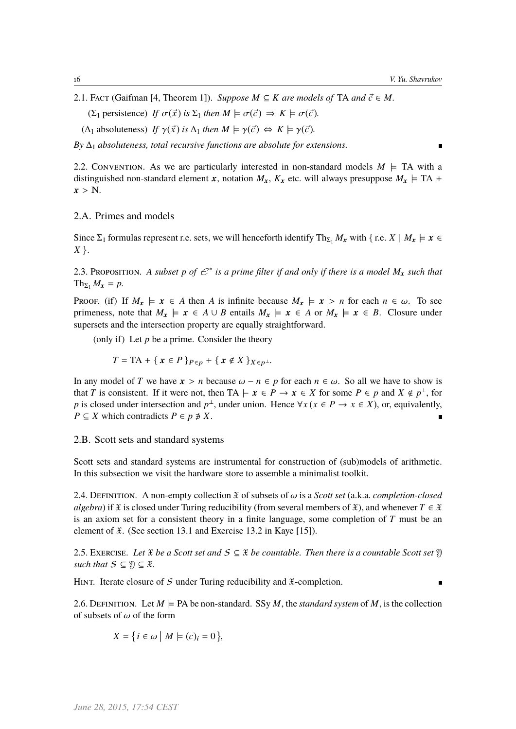n.

2.1. FACT (Gaifman [4, Theorem 1]). *Suppose*  $M \subseteq K$  *are models of* TA *and*  $\vec{c} \in M$ .

 $(\Sigma_1$  persistence) *If*  $\sigma(\vec{x})$  *is*  $\Sigma_1$  *then*  $M \models \sigma(\vec{c}) \Rightarrow K \models \sigma(\vec{c})$ *.* 

 $(\Delta_1$  absoluteness) *If*  $\gamma(\vec{x})$  *is*  $\Delta_1$  *then*  $M \models \gamma(\vec{c}) \Leftrightarrow K \models \gamma(\vec{c})$ *.* 

 $By \Delta_1$  *absoluteness, total recursive functions are absolute for extensions.* 

2.2. CONVENTION. As we are particularly interested in non-standard models  $M \models TA$  with a distinguished non-standard element x, notation  $M_x$ ,  $K_x$  etc. will always presuppose  $M_x \models TA +$  $x > N$ .

2.A. Primes and models

Since  $\Sigma_1$  formulas represent r.e. sets, we will henceforth identify Th<sub> $\Sigma_1$ </sub> *M*<sub>x</sub> with { r.e. *X* | *M*<sub>x</sub>  $\models$  *x* ∈ *X* }.

2.3. Proposition. A subset p of  $\mathcal{C}^*$  is a prime filter if and only if there is a model  $M_x$  such that  $\text{Th}_{\Sigma_1} M_{\mathbf{r}} = p$ .

Proof. (if) If  $M_x \models x \in A$  then *A* is infinite because  $M_x \models x > n$  for each  $n \in \omega$ . To see primeness, note that  $M_x \models x \in A \cup B$  entails  $M_x \models x \in A$  or  $M_x \models x \in B$ . Closure under supersets and the intersection property are equally straightforward.

(only if) Let  $p$  be a prime. Consider the theory

$$
T = \mathrm{TA} + \{ \mathbf{x} \in P \}_{P \in p} + \{ \mathbf{x} \notin X \}_{X \in p^{\perp}}.
$$

In any model of *T* we have  $x > n$  because  $\omega - n \in p$  for each  $n \in \omega$ . So all we have to show is that *T* is consistent. If it were not, then TA  $\vdash x \in P \rightarrow x \in X$  for some  $P \in p$  and  $X \notin p^{\perp}$ , for *p* is closed under intersection and  $p^{\perp}$ , under union. Hence  $\forall x (x \in P \rightarrow x \in X)$ , or, equivalently,  $P \subseteq X$  which contradicts  $P \in p \not\supseteq X$ .

2.B. Scott sets and standard systems

Scott sets and standard systems are instrumental for construction of (sub)models of arithmetic. In this subsection we visit the hardware store to assemble a minimalist toolkit.

2.4. DEFINITION. A non-empty collection  $\mathfrak X$  of subsets of  $\omega$  is a *Scott set* (a.k.a. *completion-closed algebra*) if  $\mathfrak X$  is closed under Turing reducibility (from several members of  $\mathfrak X$ ), and whenever  $T \in \mathfrak X$ is an axiom set for a consistent theory in a finite language, some completion of *T* must be an element of  $\mathfrak{X}$ . (See section 13.1 and Exercise 13.2 in Kaye [15]).

2.5. EXERCISE. Let  $\mathfrak X$  *be a Scott set and*  $S \subseteq \mathfrak X$  *be countable. Then there is a countable Scott set*  $\mathfrak Y$ *such that*  $S \subseteq \mathfrak{Y} \subseteq \mathfrak{X}$ *.* 

HINT. Iterate closure of S under Turing reducibility and  $\mathfrak{X}$ -completion.

2.6. DEFINITION. Let  $M \models PA$  be non-standard. SSy M, the *standard system* of M, is the collection of subsets of  $\omega$  of the form

$$
X = \{ i \in \omega \mid M \models (c)_i = 0 \},
$$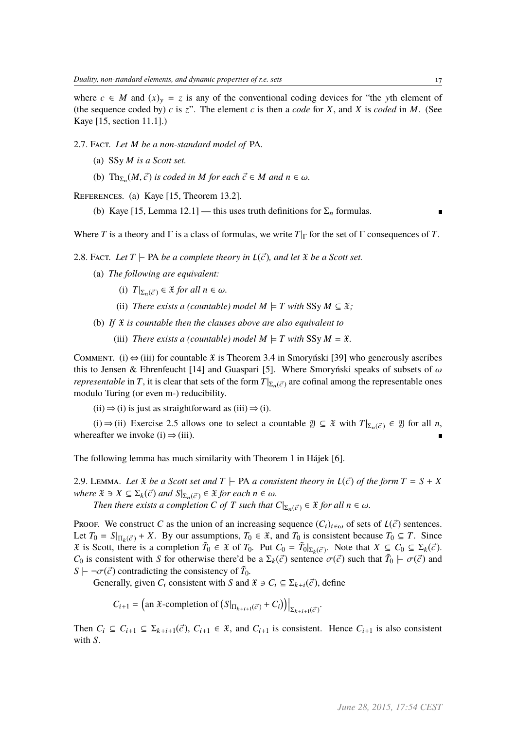where  $c \in M$  and  $(x)_y = z$  is any of the conventional coding devices for "the yth element of (the sequence coded by)  $c$  is  $z$ ". The element  $c$  is then a *code* for  $X$ , and  $X$  is *coded* in  $M$ . (See Kaye [15, section 11.1].)

2.7. Fact. *Let M be a non-standard model of* PA*.*

- (a) SSy *M is a Scott set.*
- (b)  $\text{Th}_{\Sigma_n}(M, \vec{c})$  *is coded in M for each*  $\vec{c} \in M$  *and*  $n \in \omega$ *.*

REFERENCES. (a) Kaye [15, Theorem 13.2].

(b) Kaye [15, Lemma 12.1] — this uses truth definitions for  $\Sigma_n$  formulas.

Where *T* is a theory and  $\Gamma$  is a class of formulas, we write  $T|\Gamma$  for the set of  $\Gamma$  consequences of *T*.

- 2.8. FACT. Let  $T \vdash PA$  *be a complete theory in*  $L(\vec{c})$ *, and let*  $\vec{x}$  *be a Scott set.* 
	- (a) *The following are equivalent:*
		- (i)  $T|_{\Sigma_n(\vec{c})} \in \mathfrak{X}$  *for all*  $n \in \omega$ *.*
		- (ii) *There exists a (countable) model*  $M \models T$  *with* SSy  $M \subseteq \mathfrak{X}$ ;
	- (b) *If* X *is countable then the clauses above are also equivalent to*
		- (iii) *There exists a (countable) model*  $M \models T$  *with* SSy  $M = \mathcal{X}$ *.*

COMMENT. (i)  $\Leftrightarrow$  (iii) for countable X is Theorem 3.4 in Smoryński [39] who generously ascribes this to Jensen & Ehrenfeucht [14] and Guaspari [5]. Where Smoryński speaks of subsets of  $\omega$ *representable* in *T*, it is clear that sets of the form  $T|_{\Sigma_n(\vec{c})}$  are cofinal among the representable ones modulo Turing (or even m-) reducibility.

 $(ii) \Rightarrow (i)$  is just as straightforward as  $(iii) \Rightarrow (i)$ .

(i) ⇒ (ii) Exercise 2.5 allows one to select a countable  $\mathcal{Y} \subseteq \mathcal{X}$  with  $T|_{\Sigma_n(\vec{c})} \in \mathcal{Y}$  for all *n*, whereafter we invoke (i)  $\Rightarrow$  (iii).

The following lemma has much similarity with Theorem 1 in Hájek [6].

2.9. LEMMA. Let  $\mathfrak X$  *be a Scott set and*  $T$   $\vdash$  PA *a consistent theory in*  $\mathcal L(\vec c)$  *of the form*  $T = S + X$ *where*  $\mathfrak{X} \ni X \subseteq \Sigma_k(\vec{c})$  *and*  $S|_{\Sigma_n(\vec{c})} \in \mathfrak{X}$  *for each*  $n \in \omega$ *.* 

*Then there exists a completion C of T such that*  $C|_{\Sigma_n(\vec{c})} \in \mathcal{X}$  *for all*  $n \in \omega$ *.* 

**Proof.** We construct *C* as the union of an increasing sequence  $(C_i)_{i \in \omega}$  of sets of  $L(\vec{c})$  sentences. Let  $T_0 = S|_{\Pi_k(\vec{c})} + X$ . By our assumptions,  $T_0 \in \mathcal{X}$ , and  $T_0$  is consistent because  $T_0 \subseteq T$ . Since  $\mathfrak{X}$  is Scott, there is a completion  $\tilde{T}_0 \in \mathfrak{X}$  of  $T_0$ . Put  $C_0 = \tilde{T}_0|_{\Sigma_k(\vec{c})}$ . Note that  $X \subseteq C_0 \subseteq \Sigma_k(\vec{c})$ . *C*<sub>0</sub> is consistent with *S* for otherwise there'd be a  $\Sigma_k(\vec{c})$  sentence  $\sigma(\vec{c})$  such that  $\tilde{T}_0 \vdash \sigma(\vec{c})$  and  $S \vdash \neg \sigma(\vec{c})$  contradicting the consistency of  $\tilde{T}_c$ .  $S \vdash \neg \sigma(\vec{c})$  contradicting the consistency of  $\tilde{T}_0$ .<br>Consistent with *S* and

Generally, given  $C_i$  consistent with *S* and  $\mathcal{X} \ni C_i \subseteq \Sigma_{k+i}(\vec{c})$ , define

$$
C_{i+1} = \left(\text{an } \mathfrak{X}\text{-completion of }\left(S|_{\Pi_{k+i+1}(\vec{c})} + C_i\right)\right)\Big|_{\Sigma_{k+i+1}(\vec{c})}.
$$

Then  $C_i \subseteq C_{i+1} \subseteq \Sigma_{k+i+1}(\vec{c}), C_{i+1} \in \mathcal{X}$ , and  $C_{i+1}$  is consistent. Hence  $C_{i+1}$  is also consistent with *S*.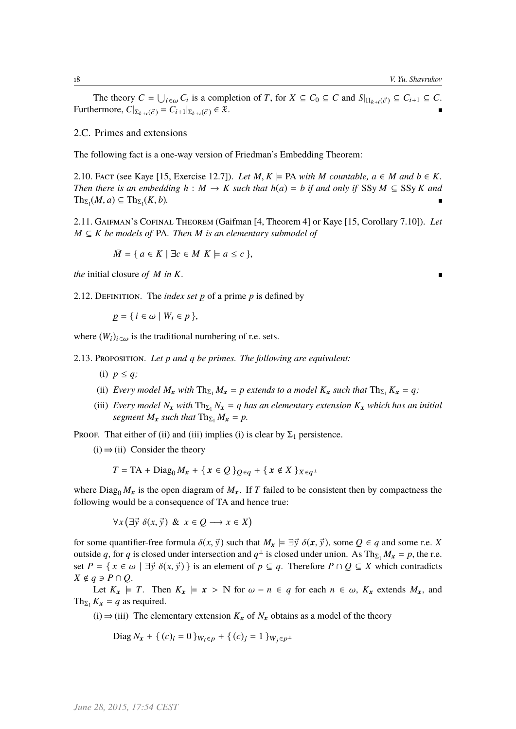The theory  $C = \bigcup_{i \in \omega} C_i$  is a completion of *T*, for  $X \subseteq C_0 \subseteq C$  and  $S|_{\Pi_{k+i}(\vec{c})} \subseteq C_{i+1} \subseteq C$ . Furthermore,  $C|_{\Sigma_{k+i}(\vec{c})} = C_{i+1}|_{\Sigma_{k+i}(\vec{c})} \in \mathfrak{X}.$ 

### 2.C. Primes and extensions

The following fact is a one-way version of Friedman's Embedding Theorem:

2.10. FACT (see Kaye [15, Exercise 12.7]). Let  $M, K \models PA$  with  $M$  countable,  $a \in M$  and  $b \in K$ . *Then there is an embedding*  $h : M \to K$  *such that*  $h(a) = b$  *if and only if* SSy  $M \subseteq S$ Sy  $K$  *and*  $\text{Th}_{\Sigma_1}(M, a) \subseteq \text{Th}_{\Sigma_1}(K, b).$ 

2.11. Gaifman's Cofinal Theorem (Gaifman [4, Theorem 4] or Kaye [15, Corollary 7.10]). *Let M* ⊆ *K be models of* PA*. Then M is an elementary submodel of*

 $\overline{M} = \{ a \in K \mid \exists c \in M \; K \models a \leq c \}$ 

*the* initial closure *of M in K.*

2.12. DEFINITION. The *index set*  $p$  of a prime  $p$  is defined by

 $p = \{ i \in \omega \mid W_i \in p \},\$ 

where  $(W_i)_{i \in \omega}$  is the traditional numbering of r.e. sets.

2.13. Proposition. *Let p and q be primes. The following are equivalent:*

(i)  $p \leq q$ ;

- (ii) *Every model*  $M_x$  *with*  $\text{Th}_{\Sigma_1} M_x = p$  *extends to a model*  $K_x$  *such that*  $\text{Th}_{\Sigma_1} K_x = q$ ;
- (iii) *Every model*  $N_x$  *with*  $Th_{\Sigma_1} N_x = q$  *has an elementary extension*  $K_x$  *which has an initial segment*  $M_x$  *such that*  $\text{Th}_{\Sigma_1} M_x = p$ .

PROOF. That either of (ii) and (iii) implies (i) is clear by  $\Sigma_1$  persistence.

 $(i) \Rightarrow (ii)$  Consider the theory

$$
T = \text{TA} + \text{Diag}_0 M_x + \{ \mathbf{x} \in \mathcal{Q} \}_{\mathcal{Q} \in q} + \{ \mathbf{x} \notin X \}_{X \in q^{\perp}}
$$

where Diag<sub>0</sub>  $M_x$  is the open diagram of  $M_x$ . If *T* failed to be consistent then by compactness the following would be a consequence of TA and hence true:

> ∀*x*  $\overline{a}$  $\exists \vec{y} \; \delta(x, \vec{y}) \; \& \; x \in Q \longrightarrow x \in X$  $\overline{a}$

for some quantifier-free formula  $\delta(x, \vec{y})$  such that  $M_x \models \exists \vec{y} \; \delta(x, \vec{y})$ , some  $Q \in q$  and some r.e. *X* outside *q*, for *q* is closed under intersection and  $q^{\perp}$  is closed under union. As Th<sub>Σ1</sub>  $M_x = p$ , the r.e. set  $P = \{ x \in \omega \mid \exists \vec{y} \; \delta(x, \vec{y}) \}$  is an element of  $p \subseteq q$ . Therefore  $P \cap Q \subseteq X$  which contradicts  $X \notin q$  ∋  $P \cap Q$ .

Let  $K_x \models T$ . Then  $K_x \models x > \mathbb{N}$  for  $\omega - n \in q$  for each  $n \in \omega$ ,  $K_x$  extends  $M_x$ , and Th<sub> $\Sigma_1$ </sub>  $K_x = q$  as required.

(i)  $\Rightarrow$  (iii) The elementary extension  $K_x$  of  $N_x$  obtains as a model of the theory

Diag  $N_x + \{(c)_i = 0\}$  $W_i \in p + \{(c)_j = 1\}$  $W_j \in p^{\perp}$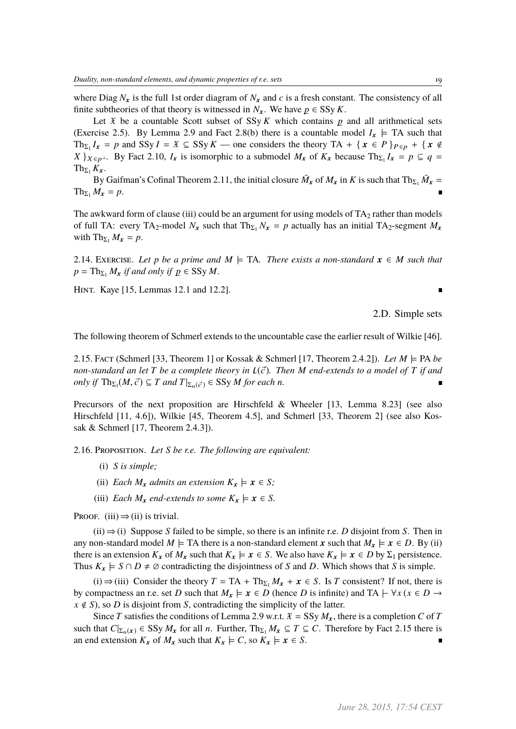where Diag  $N_x$  is the full 1st order diagram of  $N_x$  and c is a fresh constant. The consistency of all finite subtheories of that theory is witnessed in *N<sub>x</sub>*. We have  $p \in SSy K$ .

Let  $\mathcal X$  be a countable Scott subset of SSy  $K$  which contains  $p$  and all arithmetical sets (Exercise 2.5). By Lemma 2.9 and Fact 2.8(b) there is a countable model  $I_x \models TA$  such that Th<sub> $\Sigma_1$ </sub>  $I_x = p$  and SSy  $I = \mathcal{X} \subseteq \text{SSy } K$  — one considers the theory TA + { $x \in P$ } $P \in p + \{x \notin E\}$  $X \}_{X \in p^{\perp}}$ . By Fact 2.10,  $I_x$  is isomorphic to a submodel  $M_x$  of  $K_x$  because  $\text{Th}_{\Sigma_1} I_x = p \subseteq q =$  $Th_{\Sigma_1} K_x$ .

By Gaifman's Cofinal Theorem 2.11, the initial closure  $\bar{M}_x$  of  $M_x$  in  $K$  is such that Th<sub>Σ1</sub>  $\bar{M}_x =$  $\text{Th}_{\Sigma_1} M_x = p.$ 

The awkward form of clause (iii) could be an argument for using models of  $TA_2$  rather than models of full TA: every TA<sub>2</sub>-model  $N_x$  such that Th<sub> $\Sigma_1$ </sub>  $N_x = p$  actually has an initial TA<sub>2</sub>-segment  $M_x$ with  $\text{Th}_{\Sigma_1} M_x = p$ .

2.14. EXERCISE. Let p be a prime and  $M \models TA$ . There exists a non-standard  $x \in M$  such that  $p = \text{Th}_{\Sigma_1} M_x$  *if and only if*  $p \in \text{SSy } M$ *.* 

Hint. Kaye [15, Lemmas 12.1 and 12.2].

2.D. Simple sets

 $\blacksquare$ 

The following theorem of Schmerl extends to the uncountable case the earlier result of Wilkie [46].

2.15. Fact (Schmerl [33, Theorem 1] or Kossak & Schmerl [17, Theorem 2.4.2]). Let  $M \models \text{PA}$  be *non-standard an let*  $T$  *be a complete theory in*  $L(\vec{c})$ *. Then*  $M$  *end-extends to a model of*  $T$  *if and*  $\text{only if } \text{Th}_{\Sigma_1}(M, \vec{c}) \subseteq T \text{ and } T|_{\Sigma_n(\vec{c})} \in \text{SSy } M \text{ for each } n.$ 

Precursors of the next proposition are Hirschfeld & Wheeler [13, Lemma 8.23] (see also Hirschfeld [11, 4.6]), Wilkie [45, Theorem 4.5], and Schmerl [33, Theorem 2] (see also Kossak & Schmerl [17, Theorem 2.4.3]).

2.16. Proposition. *Let S be r.e. The following are equivalent:*

- (i) *S is simple;*
- (ii) *Each*  $M_x$  *admits an extension*  $K_x \models x \in S$ ;
- (iii) *Each*  $M_x$  *end-extends to some*  $K_x \models x \in S$ *.*

PROOF. (iii)  $\Rightarrow$  (ii) is trivial.

(ii) ⇒ (i) Suppose *S* failed to be simple, so there is an infinite r.e. *D* disjoint from *S*. Then in any non-standard model  $M \models TA$  there is a non-standard element x such that  $M_x \models x \in D$ . By (ii) there is an extension  $K_x$  of  $M_x$  such that  $K_x \models x \in S$ . We also have  $K_x \models x \in D$  by  $\Sigma_1$  persistence. Thus  $K_x \models S \cap D \neq \emptyset$  contradicting the disjointness of *S* and *D*. Which shows that *S* is simple.

(i) ⇒ (iii) Consider the theory  $T = TA + Th_{\Sigma_1} M_x + x \in S$ . Is *T* consistent? If not, there is by compactness an r.e. set *D* such that  $M_x \models x \in D$  (hence *D* is infinite) and TA  $\vdash \forall x (x \in D \rightarrow \bot)$  $x \notin S$ ), so *D* is disjoint from *S*, contradicting the simplicity of the latter.

Since *T* satisfies the conditions of Lemma 2.9 w.r.t.  $\mathfrak{X} = \text{SSy } M_{\mathbf{x}}$ , there is a completion *C* of *T* such that  $C|_{\Sigma_n(x)} \in SSy M_x$  for all *n*. Further,  $Th_{\Sigma_1} M_x \subseteq T \subseteq C$ . Therefore by Fact 2.15 there is an end extension  $K_x$  of  $M_x$  such that  $K_x \models C$ , so  $K_x \models x \in S$ .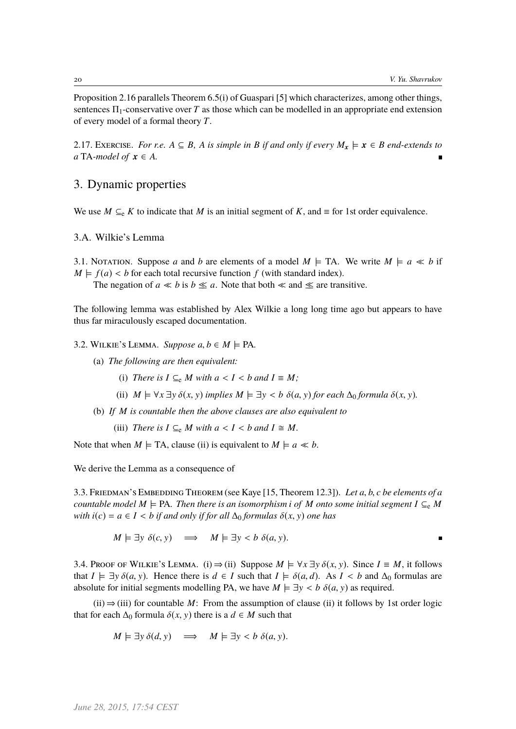$\blacksquare$ 

Proposition 2.16 parallels Theorem 6.5(i) of Guaspari [5] which characterizes, among other things, sentences  $\Pi_1$ -conservative over *T* as those which can be modelled in an appropriate end extension of every model of a formal theory *T*.

2.17. Exercise. *For r.e.*  $A \subseteq B$ , *A is simple in B if and only if every*  $M_x \models x \in B$  *end-extends to a* TA-model of  $x \in A$ .

### 3. Dynamic properties

We use  $M \subseteq_{e} K$  to indicate that  $M$  is an initial segment of  $K$ , and  $\equiv$  for 1st order equivalence.

3.A. Wilkie's Lemma

3.1. Notation. Suppose *a* and *b* are elements of a model  $M \models TA$ . We write  $M \models a \ll b$  if  $M \models f(a) < b$  for each total recursive function  $f$  (with standard index).

The negation of  $a \ll b$  is  $b \ll a$ . Note that both  $\ll$  and  $\ll$  are transitive.

The following lemma was established by Alex Wilkie a long long time ago but appears to have thus far miraculously escaped documentation.

3.2. WILKIE'S LEMMA. *Suppose*  $a, b \in M \models PA$ .

- (a) *The following are then equivalent:*
	- (i) *There is*  $I \subseteq_e M$  *with*  $a < I < b$  *and*  $I \equiv M$ ;
	- (ii)  $M \models \forall x \exists y \delta(x, y)$  *implies*  $M \models \exists y < b \delta(a, y)$  *for each*  $\Delta_0$  *formula*  $\delta(x, y)$ *.*
- (b) *If M is countable then the above clauses are also equivalent to*

(iii) *There is*  $I \subseteq_{e} M$  *with*  $a < I < b$  *and*  $I \cong M$ *.* 

Note that when  $M \models TA$ , clause (ii) is equivalent to  $M \models a \ll b$ .

We derive the Lemma as a consequence of

3.3. Friedman's Embedding Theorem (see Kaye [15, Theorem 12.3]). *Let <sup>a</sup>*, *<sup>b</sup>*, *<sup>c</sup> be elements of a countable model*  $M \models PA$ *. Then there is an isomorphism i of*  $M$  *onto some initial segment*  $I \subseteq_e M$ *with*  $i(c) = a \in I < b$  *if and only if for all*  $\Delta_0$  *formulas*  $\delta(x, y)$  *one has* 

 $M \models \exists y \ \delta(c, y) \implies M \models \exists y \lt b \ \delta(a, y).$ 

3.4. PROOF OF WILKIE's LEMMA. (i)  $\Rightarrow$  (ii) Suppose  $M \models \forall x \exists y \delta(x, y)$ . Since  $I \equiv M$ , it follows that  $I \models \exists y \delta(a, y)$ . Hence there is  $d \in I$  such that  $I \models \delta(a, d)$ . As  $I \leq b$  and  $\Delta_0$  formulas are absolute for initial segments modelling PA, we have  $M \models \exists y < b \; \delta(a, y)$  as required.

 $(ii) \Rightarrow (iii)$  for countable *M*: From the assumption of clause (ii) it follows by 1st order logic that for each  $\Delta_0$  formula  $\delta(x, y)$  there is a  $d \in M$  such that

$$
M \models \exists y \, \delta(d, y) \quad \Longrightarrow \quad M \models \exists y < b \, \delta(a, y).
$$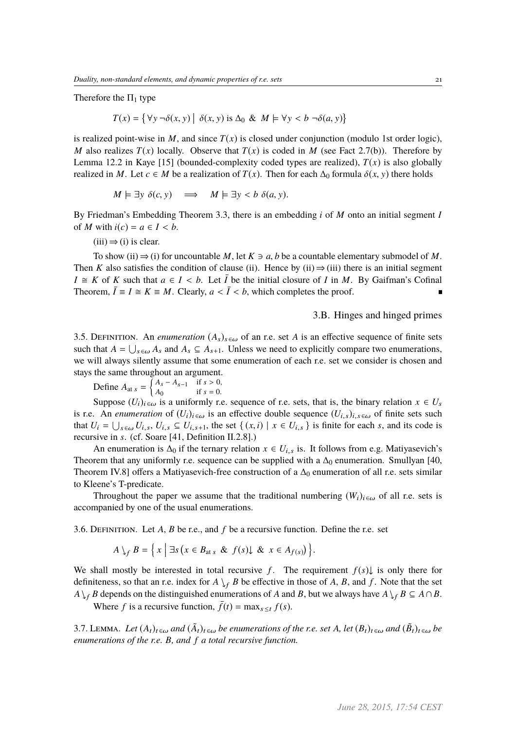Therefore the  $\Pi_1$  type

$$
T(x) = \{ \forall y \,\neg \delta(x, y) \mid \delta(x, y) \text{ is } \Delta_0 \& M \models \forall y < b \,\neg \delta(a, y) \}
$$

is realized point-wise in  $M$ , and since  $T(x)$  is closed under conjunction (modulo 1st order logic), *M* also realizes  $T(x)$  locally. Observe that  $T(x)$  is coded in *M* (see Fact 2.7(b)). Therefore by Lemma 12.2 in Kaye [15] (bounded-complexity coded types are realized),  $T(x)$  is also globally realized in *M*. Let  $c \in M$  be a realization of  $T(x)$ . Then for each  $\Delta_0$  formula  $\delta(x, y)$  there holds

$$
M \models \exists y \; \delta(c, y) \quad \Longrightarrow \quad M \models \exists y < b \; \delta(a, y).
$$

By Friedman's Embedding Theorem 3.3, there is an embedding *i* of *M* onto an initial segment *I* of *M* with  $i(c) = a \in I < b$ .

 $(iii) \Rightarrow (i)$  is clear.

To show (ii)  $\Rightarrow$  (i) for uncountable *M*, let  $K \ni a, b$  be a countable elementary submodel of *M*. Then *K* also satisfies the condition of clause (ii). Hence by (ii)  $\Rightarrow$  (iii) there is an initial segment  $I \cong K$  of *K* such that  $a \in I < b$ . Let  $\overline{I}$  be the initial closure of *I* in *M*. By Gaifman's Cofinal Theorem,  $\overline{I} \equiv I \cong K \equiv M$ . Clearly,  $a < \overline{I} < b$ , which completes the proof.

3.B. Hinges and hinged primes

3.5. DEFINITION. An *enumeration*  $(A_s)_{s \in \omega}$  of an r.e. set *A* is an effective sequence of finite sets such that  $A = \bigcup_{s \in \omega} A_s$  and  $A_s \subseteq A_{s+1}$ . Unless we need to explicitly compare two enumerations, we will always silently assume that some enumeration of each r.e. set we consider is chosen and stays the same throughout an argument.

Define  $A_{at s} = \begin{cases} A_s - A_{s-1} & \text{if } s > 0, \\ A_0 & \text{if } s = 0. \end{cases}$ 

Suppose  $(U_i)_{i \in \omega}$  is a uniformly r.e. sequence of r.e. sets, that is, the binary relation  $x \in U_s$ is r.e. An *enumeration* of  $(U_i)_{i \in \omega}$  is an effective double sequence  $(U_i, s)_{i, s \in \omega}$  of finite sets such that  $U_i = \bigcup_{s \in \omega} U_{i,s}, U_{i,s} \subseteq U_{i,s+1}$ , the set  $\{(x,i) \mid x \in U_{i,s}\}$  is finite for each *s*, and its code is recursive in *s*, (of Sogre [41, Definition II.2.81.) recursive in *s*. (cf. Soare [41, Definition II.2.8].)

An enumeration is  $\Delta_0$  if the ternary relation  $x \in U_{i,s}$  is. It follows from e.g. Matiyasevich's Theorem that any uniformly r.e. sequence can be supplied with a  $\Delta_0$  enumeration. Smullyan [40, Theorem IV.8] offers a Matiyasevich-free construction of a  $\Delta_0$  enumeration of all r.e. sets similar to Kleene's T-predicate.

Throughout the paper we assume that the traditional numbering  $(W_i)_{i \in \omega}$  of all r.e. sets is accompanied by one of the usual enumerations.

3.6. Definition. Let *A*, *B* be r.e., and *f* be a recursive function. Define the r.e. set

$$
A \setminus_{f} B = \Big\{ x \mid \exists s \, (x \in B_{\text{at } s} \& f(s) \downarrow \& x \in A_{f(s)} ) \Big\}.
$$

We shall mostly be interested in total recursive *f*. The requirement  $f(s) \downarrow$  is only there for definiteness, so that an r.e. index for  $A \, \downarrow_f B$  be effective in those of *A*, *B*, and *f*. Note that the set *A* $\downarrow$ <sub>f</sub> *B* depends on the distinguished enumerations of *A* and *B*, but we always have  $A \downarrow$ <sub>f</sub>  $B \subseteq A \cap B$ .

Where *f* is a recursive function,  $\bar{f}(t) = \max_{s \le t} f(s)$ .

3.7. LEMMA. Let  $(A_t)_{t \in \omega}$  and  $(\tilde{A}_t)_{t \in \omega}$  be enumerations of the r.e. set A, let  $(B_t)_{t \in \omega}$  and  $(\tilde{B}_t)_{t \in \omega}$  be *enumerations of the r.e. B, and f a total recursive function.*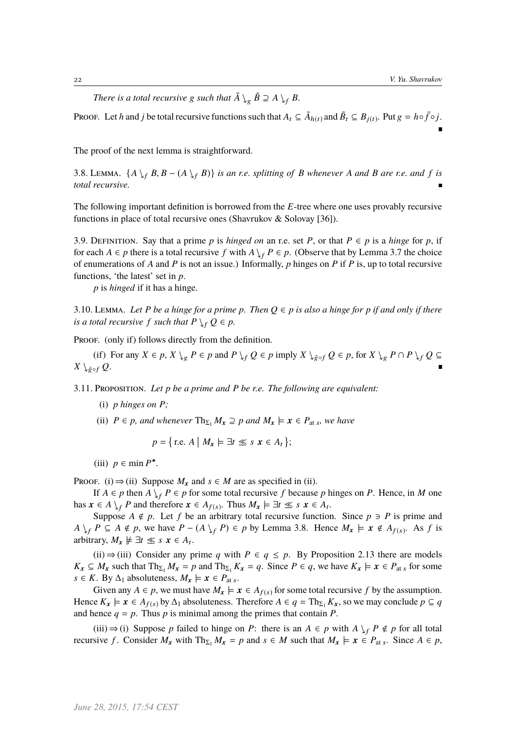*There is a total recursive* g *such that*  $\tilde{A} \searrow_{g} \tilde{B} \supseteq A \searrow_{f} B$ .

Proof. Let *h* and *j* be total recursive functions such that  $A_t \subseteq \tilde{A}_{h(t)}$  and  $\tilde{B}_t \subseteq B_{j(t)}$ . Put  $g = h \circ \bar{f} \circ j$ .

The proof of the next lemma is straightforward.

3.8. LEMMA.  $\{A \setminus_{f} B, B - (A \setminus_{f} B)\}$  *is an r.e. splitting of B whenever A and B are r.e. and f is total recursive.*

The following important definition is borrowed from the *E*-tree where one uses provably recursive functions in place of total recursive ones (Shavrukov & Solovay [36]).

3.9. DEFINITION. Say that a prime p is hinged on an r.e. set P, or that  $P \in p$  is a hinge for p, if for each  $A \in p$  there is a total recursive f with  $A \setminus_{f} P \in p$ . (Observe that by Lemma 3.7 the choice of enumerations of *A* and *P* is not an issue.) Informally, *p* hinges on *P* if *P* is, up to total recursive functions, 'the latest' set in *p*.

*p* is *hinged* if it has a hinge.

3.10. LEMMA. Let P be a hinge for a prime p. Then  $Q \in p$  is also a hinge for p if and only if there *is a total recursive f such that*  $P \setminus_{f} Q \in p$ *.* 

PROOF. (only if) follows directly from the definition.

(if) For any  $X \in p$ ,  $X \setminus q$   $P \in p$  and  $P \setminus f$   $Q \in p$  imply  $X \setminus q$   $Q \in p$ , for  $X \setminus q$   $P \cap P \setminus f$   $Q \subseteq q$ *X* \ $_{\bar{g} \circ f}$  *Q*.

3.11. Proposition. *Let p be a prime and P be r.e. The following are equivalent:*

- (i) *p hinges on P;*
- (ii)  $P \in p$ *, and whenever*  $\text{Th}_{\Sigma_1} M_x \supseteq p$  *and*  $M_x \models x \in P_{\text{at } s}$ *, we have*

*p* =  $\mathbb{R}^2$ r.e. *A* l.  $M_x \models \exists t \leq s \ x \in A_t$ j. ;

(iii)  $p \in \min P^{\star}$ .

PROOF. (i)  $\Rightarrow$  (ii) Suppose  $M_x$  and  $s \in M$  are as specified in (ii).

If  $A \in p$  then  $A \setminus_{f} P \in p$  for some total recursive f because p hinges on P. Hence, in M one has  $x \in A \setminus_f P$  and therefore  $x \in A_{f(s)}$ . Thus  $M_x \models \exists t \leq s \ x \in A_t$ .

Suppose  $A \notin p$ . Let f be an arbitrary total recursive function. Since  $p \ni P$  is prime and  $A \downarrow_f P \subseteq A \notin p$ , we have  $P - (A \downarrow_f P) \in p$  by Lemma 3.8. Hence  $M_x \models x \notin A_{f(s)}$ . As *f* is arbitrary,  $M_x \not\models \exists t \leq s \ x \in A_t$ .

(ii)  $\Rightarrow$  (iii) Consider any prime *q* with *P* ∈ *q* ≤ *p*. By Proposition 2.13 there are models *K*<sub>x</sub> ⊆ *M*<sub>x</sub> such that  $\text{Th}_{\Sigma_1} M_x = p$  and  $\text{Th}_{\Sigma_1} K_x = q$ . Since  $P \in q$ , we have  $K_x \models x \in P_{\text{at } s}$  for some *s* ∈ *K*. By  $\Delta_1$  absoluteness,  $M_x \models x \in P_{at s}$ .

Given any  $A \in p$ , we must have  $M_x \models x \in A_{f(s)}$  for some total recursive f by the assumption. Hence  $K_x \models x \in A_{f(s)}$  by  $\Delta_1$  absoluteness. Therefore  $A \in q = \text{Th}_{\Sigma_1} K_x$ , so we may conclude  $p \subseteq q$ and hence  $q = p$ . Thus p is minimal among the primes that contain P.

(iii) ⇒ (i) Suppose *p* failed to hinge on *P*: there is an  $A \in p$  with  $A \n\leq p \notin p$  for all total recursive *f*. Consider  $M_x$  with  $Th_{\Sigma_1} M_x = p$  and  $s \in M$  such that  $M_x \models x \in P_{\text{at } s}$ . Since  $A \in p$ ,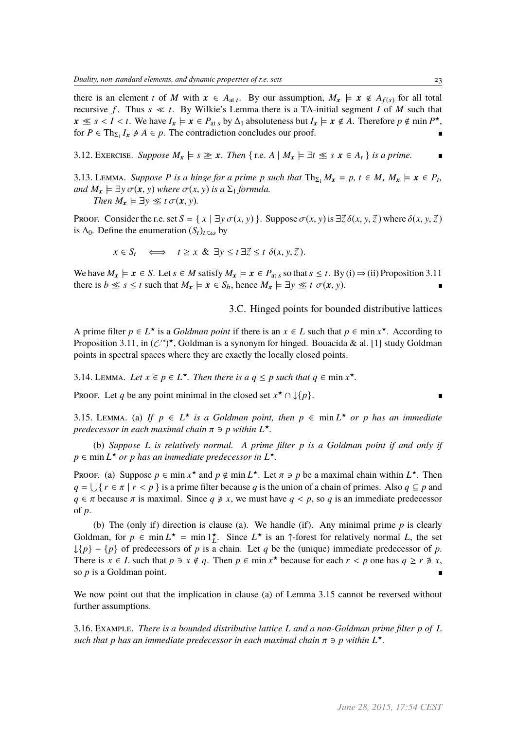there is an element *t* of *M* with  $x \in A_{at}$ . By our assumption,  $M_x \models x \notin A_{f(s)}$  for all total recursive *f*. Thus  $s \ll t$ . By Wilkie's Lemma there is a TA-initial segment *I* of *M* such that  $x \le s < I < t$ . We have  $I_x \models x \in P_{\text{at } s}$  by  $\Delta_1$  absoluteness but  $I_x \models x \notin A$ . Therefore  $p \notin \min P^*$ ,<br>for  $P \in \text{The } I \neq A \subseteq n$ . The contradiction concludes our proof for  $P \in \text{Th}_{\Sigma_1} I_x \not\ni A \in p$ . The contradiction concludes our proof.

3.12. EXERCISE. *Suppose*  $M_x \models s \geq x$ . Then  $\{ \text{r.e. } A \mid M_x \models \exists t \leq s \ x \in A_t \}$  *is a prime.* 

3.13. Lemma. *Suppose P* is a hinge for a prime p such that  $\text{Th}_{\Sigma_1} M_x = p$ ,  $t \in M$ ,  $M_x \models x \in P_t$ , *and*  $M_x \models \exists y \sigma(x, y)$  *where*  $\sigma(x, y)$  *is a*  $\Sigma_1$  *formula. Then*  $M_x \models \exists y \leq t \sigma(x, y)$ *.* 

Proof. Consider the r.e. set  $S = \{x \mid \exists y \sigma(x, y)\}\$ . Suppose  $\sigma(x, y)$  is  $\exists \vec{z} \delta(x, y, \vec{z})$  where  $\delta(x, y, \vec{z})$ is  $\Delta_0$ . Define the enumeration  $(S_t)_{t \in \omega}$  by

$$
x \in S_t
$$
  $\iff$   $t \ge x \& \exists y \le t \exists \vec{z} \le t \ \delta(x, y, \vec{z}).$ 

We have  $M_x \models x \in S$ . Let  $s \in M$  satisfy  $M_x \models x \in P_{\text{at } s}$  so that  $s \leq t$ . By (i)  $\Rightarrow$  (ii) Proposition 3.11 there is  $b \leq s \leq t$  such that  $M_x \models x \in S_b$ , hence  $M_x \models \exists y \leq t \ \sigma(x, y)$ .

3.C. Hinged points for bounded distributive lattices

A prime filter  $p \in L^*$  is a *Goldman point* if there is an  $x \in L$  such that  $p \in \min x^*$ . According to Proposition 3.11, in  $(\mathcal{C}^*)^*$ , Goldman is a synonym for hinged. Bouacida & al. [1] study Goldman points in spectral spaces where they are exactly the locally closed points.

3.14. LEMMA. Let  $x \in p \in L^*$ . Then there is  $a \neq q \leq p$  such that  $q \in \min x^*$ .

Proof. Let *q* be any point minimal in the closed set  $x^* \cap \mathcal{L}{p}$ .

3.15. LEMMA. (a) If  $p \in L^*$  *is a Goldman point, then*  $p \in \min L^*$  *or p has an immediate predecessor in each maximal chain*  $\pi \ni p$  *within*  $L^{\star}$ *.* 

(b) *Suppose L is relatively normal. A prime filter p is a Goldman point if and only if*  $p \in \min L^{\star}$  *or p has an immediate predecessor in*  $L^{\star}$ *.* 

Proof. (a) Suppose  $p \in \min x^*$  and  $p \notin \min L^*$ . Let  $\pi \ni p$  be a maximal chain within  $L^*$ . Then  $a = |f|$   $r \in \pi | x \leq n$  is a prime filter because *a* is the union of a chain of primes. Also  $a \subseteq n$  and  $q = \bigcup \{ r \in \pi \mid r < p \}$  is a prime filter because *q* is the union of a chain of primes. Also  $q \subseteq p$  and  $q \in \pi$  because  $\pi$  is maximal. Since  $q \neq x$  we must have  $q \leq n$  so *q* is an immediate predecessor  $q \in \pi$  because  $\pi$  is maximal. Since  $q \neq x$ , we must have  $q \leq p$ , so  $q$  is an immediate predecessor of *p*.

(b) The (only if) direction is clause (a). We handle (if). Any minimal prime *p* is clearly Goldman, for  $p \in \min L^* = \min l_L^*$ . Since  $L^*$  is an  $\uparrow$ -forest for relatively normal *L*, the set  $\downarrow$ {*p*} – {*p*} of predecessors of *p* is a chain. Let *q* be the (unique) immediate predecessor of *p*. There is  $x \in L$  such that  $p \ni x \notin q$ . Then  $p \in \min x^*$  because for each  $r < p$  one has  $q \ge r \not\ni x$ , so *n* is a Goldman point so *p* is a Goldman point.

We now point out that the implication in clause (a) of Lemma 3.15 cannot be reversed without further assumptions.

3.16. Example. *There is a bounded distributive lattice L and a non-Goldman prime filter p of L such that p has an immediate predecessor in each maximal chain*  $\pi \ni p$  *within*  $L^{\star}$ *.*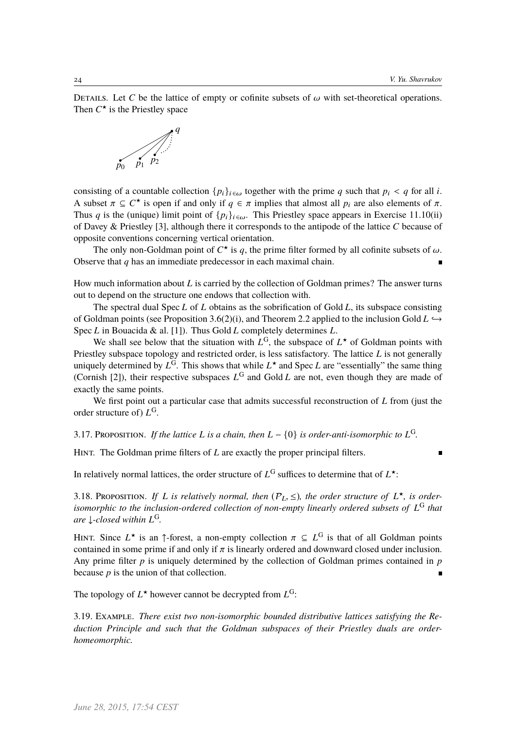DETAILS. Let *C* be the lattice of empty or cofinite subsets of  $\omega$  with set-theoretical operations. Then  $C^*$  is the Priestley space



consisting of a countable collection  $\{p_i\}_{i \in \omega}$  together with the prime *q* such that  $p_i < q$  for all *i*. A subset  $\pi \subseteq C^*$  is open if and only if  $q \in \pi$  implies that almost all  $p_i$  are also elements of  $\pi$ .<br>Thus *a* is the (unique) limit point of  $f_n$ , l. This Priestley space appears in Exercise 11.10(ii) Thus *q* is the (unique) limit point of  $\{p_i\}_{i \in \omega}$ . This Priestley space appears in Exercise 11.10(ii) of Davey & Priestley [3], although there it corresponds to the antipode of the lattice *C* because of opposite conventions concerning vertical orientation.

The only non-Goldman point of  $C^*$  is q, the prime filter formed by all cofinite subsets of  $\omega$ . Observe that *q* has an immediate predecessor in each maximal chain.

How much information about *L* is carried by the collection of Goldman primes? The answer turns out to depend on the structure one endows that collection with.

The spectral dual Spec *L* of *L* obtains as the sobrification of Gold *L*, its subspace consisting of Goldman points (see Proposition 3.6(2)(i), and Theorem 2.2 applied to the inclusion Gold  $L \rightarrow$ Spec *L* in Bouacida & al. [1]). Thus Gold *L* completely determines *L*.

We shall see below that the situation with  $L^G$ , the subspace of  $L^*$  of Goldman points with Priestley subspace topology and restricted order, is less satisfactory. The lattice *L* is not generally uniquely determined by  $L^G$ . This shows that while  $L^*$  and Spec *L* are "essentially" the same thing (Cornish [2]), their respective subspaces  $L^G$  and Gold *L* are not, even though they are made of exactly the same points.

We first point out a particular case that admits successful reconstruction of *L* from (just the order structure of) *L* G.

3.17. Proposition. *If the lattice L is a chain, then*  $L - \{0\}$  *is order-anti-isomorphic to*  $L^G$ .

HINT. The Goldman prime filters of *L* are exactly the proper principal filters.

In relatively normal lattices, the order structure of  $L^G$  suffices to determine that of  $L^*$ :

3.18. PROPOSITION. *If L is relatively normal, then*  $(P_L, \leq)$ *, the order structure of*  $L^{\star}$ *, is order-*<br>*isomorphic to the inclusion-ordered collection of non-empty linearly ordered subsets of*  $I^G$  that *isomorphic to the inclusion-ordered collection of non-empty linearly ordered subsets of L* <sup>G</sup> *that are* ↓*-closed within L* G*.*

HINT. Since  $L^*$  is an  $\uparrow$ -forest, a non-empty collection  $\pi \subseteq L^G$  is that of all Goldman points contained in some prime if and only if  $\pi$  is linearly ordered and downward closed under inclusion. contained in some prime if and only if  $\pi$  is linearly ordered and downward closed under inclusion. Any prime filter *p* is uniquely determined by the collection of Goldman primes contained in *p* because *p* is the union of that collection.

The topology of  $L^*$  however cannot be decrypted from  $L^G$ :

3.19. Example. *There exist two non-isomorphic bounded distributive lattices satisfying the Reduction Principle and such that the Goldman subspaces of their Priestley duals are orderhomeomorphic.*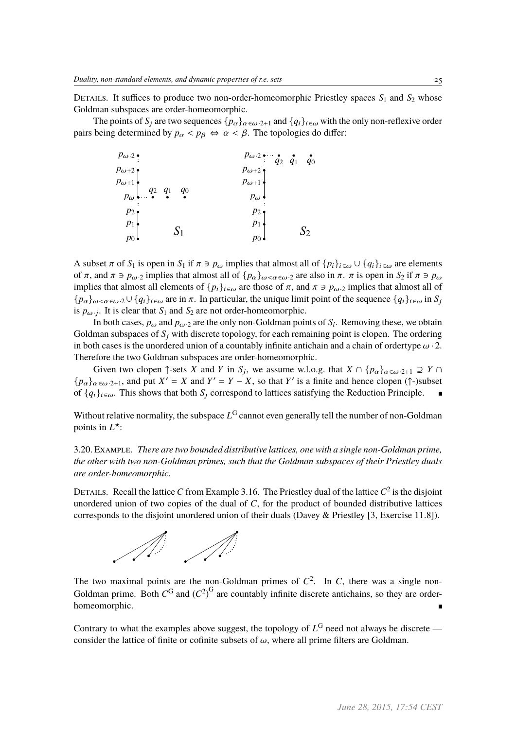DETAILS. It suffices to produce two non-order-homeomorphic Priestley spaces  $S_1$  and  $S_2$  whose Goldman subspaces are order-homeomorphic.

The points of  $S_j$  are two sequences  $\{p_\alpha\}_{\alpha \in \omega \cdot 2+1}$  and  $\{q_i\}_{i \in \omega}$  with the only non-reflexive order pairs being determined by  $p_{\alpha} < p_{\beta} \Leftrightarrow \alpha < \beta$ . The topologies do differ:

| $p_{\omega}$ .2 $\bullet$                                               | $p_{\omega} \cdot 2 \cdot \cdot \cdot q_2 \cdot q_1 \cdot q_0$ |
|-------------------------------------------------------------------------|----------------------------------------------------------------|
| $p_{\omega+2}$                                                          | $p_{\omega+2}$                                                 |
| $p_{\omega+1}$<br>$p_{\omega}$ $q_2$ $q_1$ $q_0$<br>$\bullet$ $\bullet$ | $p_{\omega+1}$                                                 |
|                                                                         | $p_\omega$                                                     |
| $p_2$                                                                   | $p_2$                                                          |
| $p_1$<br>S <sub>1</sub>                                                 | $p_1$<br>$S_2$                                                 |
| $p_0$                                                                   | $p_0$                                                          |

A subset  $\pi$  of  $S_1$  is open in  $S_1$  if  $\pi \ni p_\omega$  implies that almost all of  $\{p_i\}_{i \in \omega} \cup \{q_i\}_{i \in \omega}$  are elements of  $\pi$ , and  $\pi \ni p_{\omega} \ni$  implies that almost all of  $\{p_{\alpha}\}_{{\omega} \leq {\alpha} \in {\omega} \cdot 2}$  are also in  $\pi$ .  $\pi$  is open in  $S_2$  if  $\pi \ni p_{\omega}$ implies that almost all elements of  $\{p_i\}_{i \in \omega}$  are those of  $\pi$ , and  $\pi \ni p_\omega$  implies that almost all of  ${p_\alpha}_{\omega<\alpha\in\omega}$ ·2∪  ${q_i}_{i\in\omega}$  are in  $\pi$ . In particular, the unique limit point of the sequence  ${q_i}_{i\in\omega}$  in  $S_i$ is  $p_{\omega j}$ . It is clear that  $S_1$  and  $S_2$  are not order-homeomorphic.

In both cases,  $p_{\omega}$  and  $p_{\omega}$  are the only non-Goldman points of  $S_i$ . Removing these, we obtain Goldman subspaces of *S*<sup>j</sup> with discrete topology, for each remaining point is clopen. The ordering in both cases is the unordered union of a countably infinite antichain and a chain of ordertype  $\omega$ . Therefore the two Goldman subspaces are order-homeomorphic.

Given two clopen  $\uparrow$ -sets *X* and *Y* in *S<sub>j</sub>*, we assume w.l.o.g. that  $X \cap \{p_\alpha\}_{\alpha \in \omega}$ -2+1  $\supseteq Y \cap$  $\{p_{\alpha}\}_{{\alpha}\in{\omega}:2+1}$ , and put  $X' = X$  and  $Y' = Y - X$ , so that *Y*' is a finite and hence clopen (↑-)subset of  $\{q_i\}_{i \in \omega}$ . This shows that both  $S_i$  correspond to lattices satisfying the Reduction Principle.

Without relative normality, the subspace *L* <sup>G</sup> cannot even generally tell the number of non-Goldman points in  $L^*$ :

3.20. Example. *There are two bounded distributive lattices, one with a single non-Goldman prime, the other with two non-Goldman primes, such that the Goldman subspaces of their Priestley duals are order-homeomorphic.*

DETAILS. Recall the lattice C from Example 3.16. The Priestley dual of the lattice  $C^2$  is the disjoint unordered union of two copies of the dual of *C*, for the product of bounded distributive lattices corresponds to the disjoint unordered union of their duals (Davey & Priestley [3, Exercise 11.8]).



The two maximal points are the non-Goldman primes of  $C^2$ . In *C*, there was a single non-Goldman prime. Both  $C^G$  and  $(C^2)^G$  are countably infinite discrete antichains, so they are orderhomeomorphic.

Contrary to what the examples above suggest, the topology of  $L<sup>G</sup>$  need not always be discrete consider the lattice of finite or cofinite subsets of  $\omega$ , where all prime filters are Goldman.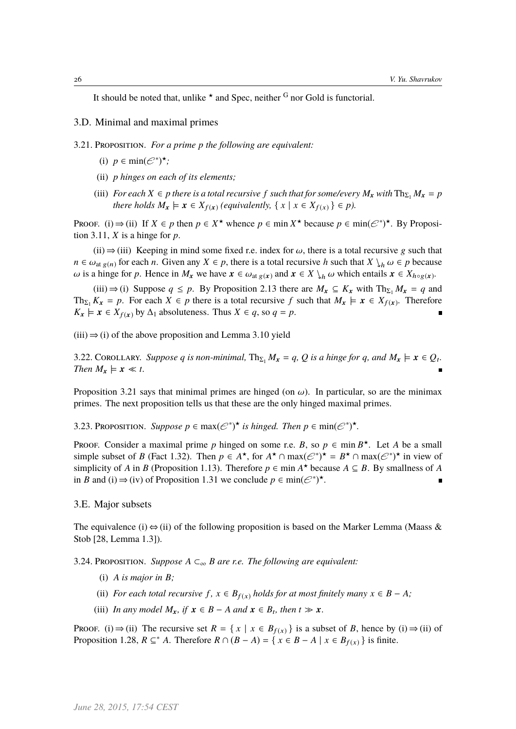It should be noted that, unlike  $\star$  and Spec, neither <sup>G</sup> nor Gold is functorial.

- 3.D. Minimal and maximal primes
- 3.21. Proposition. *For a prime p the following are equivalent:*
	- (i)  $p \in \min(\mathcal{C}^*)^{\star}$ ;
	- (ii) *p hinges on each of its elements;*
	- (iii) *For each*  $X \in p$  *there is a total recursive*  $f$  *such that for some/every*  $M_x$  *with*  $\text{Th}_{\Sigma_1} M_x = p$ *there holds*  $M_x \models x \in X_{f(x)}$  (equivalently,  $\{ x \mid x \in X_{f(x)} \} \in p$ ).

Proof. (i)  $\Rightarrow$  (ii) If  $X \in p$  then  $p \in X^*$  whence  $p \in \min X^*$  because  $p \in \min(\mathcal{C}^*)^*$ . By Proposition 3.11,  $X$  is a hinge for  $p$ .

(ii)  $\Rightarrow$  (iii) Keeping in mind some fixed r.e. index for  $\omega$ , there is a total recursive g such that  $n \in \omega_{\text{at } g(n)}$  for each *n*. Given any  $X \in p$ , there is a total recursive *h* such that  $X \setminus_h \omega \in p$  because  $ω$  is a hinge for *p*. Hence in *M*<sub>x</sub> we have  $x ∈ ω_{at g(x)}$  and  $x ∈ X \setminus_h ω$  which entails  $x ∈ X_{h \circ g(x)}$ .

(iii) ⇒ (i) Suppose  $q \text{ ≤ } p$ . By Proposition 2.13 there are  $M_x \text{ ⊆ } K_x$  with  $Th_{\Sigma_1} M_x = q$  and Th<sub> $\Sigma_1$ </sub>  $K_x = p$ . For each  $X \in p$  there is a total recursive f such that  $M_x \models x \in X_{f(x)}$ . Therefore  $K_x \models x \in X_{f(x)}$  by  $\Delta_1$  absoluteness. Thus  $X \in q$ , so  $q = p$ .

 $(iii) \Rightarrow (i)$  of the above proposition and Lemma 3.10 yield

3.22. COROLLARY. Suppose q is non-minimal,  $\text{Th}_{\Sigma_1} M_x = q$ , Q is a hinge for q, and  $M_x \models x \in Q_t$ . *Then*  $M_x \models x \ll t$ *.* 

Proposition 3.21 says that minimal primes are hinged (on  $\omega$ ). In particular, so are the minimax primes. The next proposition tells us that these are the only hinged maximal primes.

3.23. Proposition. Suppose  $p \in \max(\mathcal{C}^*)^{\star}$  is hinged. Then  $p \in \min(\mathcal{C}^*)^{\star}$ .

Proof. Consider a maximal prime p hinged on some r.e. B, so  $p \in \min B^*$ . Let A be a small simple subset of *B* (Fact 1.32). Then  $p \in A^*$ , for  $A^* \cap \max(\mathcal{C}^*)^* = B^* \cap \max(\mathcal{C}^*)^*$  in view of simplicity of *A* in *B* (Proposition 1.13). Therefore  $p \in \text{min } A^{\star}$  because  $A \subseteq B$ . By smallness of *A* in *B* and (i)  $\Rightarrow$  (iv) of Proposition 1.31 we conclude  $p \in min(\mathcal{C}^*)^*$ .

### 3.E. Major subsets

The equivalence (i)  $\Leftrightarrow$  (ii) of the following proposition is based on the Marker Lemma (Maass & Stob [28, Lemma 1.3]).

3.24. PROPOSITION. *Suppose*  $A \subset_{\infty} B$  *are r.e. The following are equivalent:* 

- (i) *A is major in B;*
- (ii) *For each total recursive*  $f$ ,  $x \in B_{f(x)}$  *holds for at most finitely many*  $x \in B A$ *;*
- (iii) *In any model*  $M_x$ , if  $x \in B A$  *and*  $x \in B_t$ , *then*  $t \gg x$ .

Proof. (i)  $\Rightarrow$  (ii) The recursive set  $R = \{x \mid x \in B_{f(x)}\}$  is a subset of *B*, hence by (i)  $\Rightarrow$  (ii) of Proposition 1.28,  $R \subseteq M^* A$ . Therefore  $R \cap (B - A) = \{ x \in B - A \mid x \in B_{f(x)} \}$  is finite.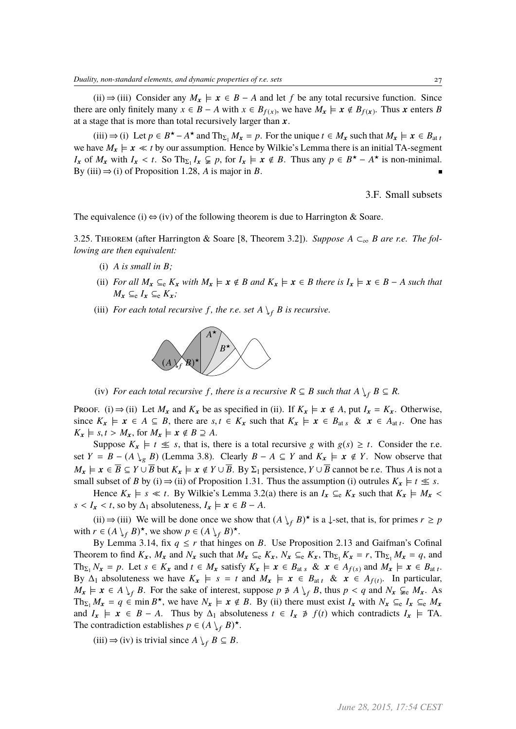(ii)  $\Rightarrow$  (iii) Consider any  $M_x \models x \in B - A$  and let *f* be any total recursive function. Since there are only finitely many  $x \in B - A$  with  $x \in B_{f(x)}$ , we have  $M_x \models x \notin B_{f(x)}$ . Thus x enters *B* at a stage that is more than total recursively larger than  $x$ .

(iii)  $\Rightarrow$  (i) Let  $p \in B^* - A^*$  and  $\text{Th}_{\Sigma_1} M_x = p$ . For the unique  $t \in M_x$  such that  $M_x \models x \in B_{at}$ we have  $M_x \models x \ll t$  by our assumption. Hence by Wilkie's Lemma there is an initial TA-segment *I*<sub>x</sub> of *M*<sub>x</sub> with *I*<sub>x</sub> < *t*. So Th<sub>Σ1</sub> *I*<sub>x</sub>  $\subsetneq$  *p*, for *I*<sub>x</sub>  $\models$  *x*  $\notin$  *B*. Thus any  $p \in B^{\star} - A^{\star}$  is non-minimal.<br>By (iii)  $\rightarrow$  (i) of Proposition 1.28 *A* is major in *B*. By (iii)  $\Rightarrow$  (i) of Proposition 1.28, *A* is major in *B*.

3.F. Small subsets

The equivalence (i)  $\Leftrightarrow$  (iv) of the following theorem is due to Harrington & Soare.

3.25. Theorem (after Harrington & Soare [8, Theorem 3.2]). *Suppose A* ⊂<sup>∞</sup> *B are r.e. The following are then equivalent:*

- (i) *A is small in B;*
- (ii) *For all*  $M_x \subseteq_e K_x$  *with*  $M_x \models x \notin B$  *and*  $K_x \models x \in B$  *there is*  $I_x \models x \in B A$  *such that*  $M_r$  ⊆e  $I_r$  ⊆e  $K_r$ ;
- (iii) *For each total recursive f, the r.e. set*  $A \setminus_{f} B$  *is recursive.*



(iv) *For each total recursive f*, there is a recursive  $R \subseteq B$  such that  $A \setminus_{f} B \subseteq R$ .

Proof. (i)  $\Rightarrow$  (ii) Let  $M_x$  and  $K_x$  be as specified in (ii). If  $K_x \models x \notin A$ , put  $I_x = K_x$ . Otherwise, since  $K_x \models x \in A \subseteq B$ , there are  $s, t \in K_x$  such that  $K_x \models x \in B_{\text{at } s}$  &  $x \in A_{\text{at } t}$ . One has  $K_x \models s, t > M_x$ , for  $M_x \models x \notin B \supseteq A$ .

Suppose  $K_x \models t \leq s$ , that is, there is a total recursive g with  $g(s) \geq t$ . Consider the r.e. set *Y* = *B* − (*A*  $\setminus_{g}$  *B*) (Lemma 3.8). Clearly *B* − *A* ⊆ *Y* and  $K_x$   $\models$  *x* ∉ *Y*. Now observe that  $M_x \models x \in \overline{B} \subseteq Y \cup \overline{B}$  but  $K_x \models x \notin Y \cup \overline{B}$ . By  $\Sigma_1$  persistence,  $Y \cup \overline{B}$  cannot be r.e. Thus *A* is not a small subset of *B* by (i)  $\Rightarrow$  (ii) of Proposition 1.31. Thus the assumption (i) outrules  $K_x \models t \leq s$ .

Hence  $K_x \models s \ll t$ . By Wilkie's Lemma 3.2(a) there is an  $I_x \subseteq_e K_x$  such that  $K_x \models M_x$  $s < I_x < t$ , so by  $\Delta_1$  absoluteness,  $I_x \models x \in B - A$ .

(ii)  $\Rightarrow$  (iii) We will be done once we show that  $(A \rvert_f B)^*$  is a ↓-set, that is, for primes  $r \geq p$ with  $r \in (A \setminus f B)^{\star}$ , we show  $p \in (A \setminus f B)^{\star}$ .

By Lemma 3.14, fix  $q \le r$  that hinges on *B*. Use Proposition 2.13 and Gaifman's Cofinal Theorem to find  $K_x$ ,  $M_x$  and  $N_x$  such that  $M_x \subseteq_{e} K_x$ ,  $N_x \subseteq_{e} K_x$ ,  $Th_{\Sigma_1} K_x = r$ ,  $Th_{\Sigma_1} M_x = q$ , and Th<sub> $\Sigma_1$ </sub>  $N_x = p$ . Let  $s \in K_x$  and  $t \in M_x$  satisfy  $K_x \models x \in B_{\text{at } s}$  &  $x \in A_{f(s)}$  and  $M_x \models x \in B_{\text{at } t}$ . By  $\Delta_1$  absoluteness we have  $K_x \models s = t$  and  $M_x \models x \in B_{at t}$  &  $x \in A_{f(t)}$ . In particular,  $M_x \models x \in A \setminus f B$ . For the sake of interest, suppose  $p \not\ni A \setminus f B$ , thus  $p < q$  and  $N_x \subsetneq_e M_x$ . As Th<sub> $\Sigma_1$ </sub>  $M_x = q \in \min B^*$ , we have  $N_x \models x \notin B$ . By (ii) there must exist  $I_x$  with  $N_x \subseteq e I_x \subseteq e M_x$ and  $I_x \models x \in B - A$ . Thus by  $\Delta_1$  absoluteness  $t \in I_x \neq f(t)$  which contradicts  $I_x \models \text{TA}$ . The contradiction establishes  $p \in (A \setminus f B)^{\star}$ .

(iii)  $\Rightarrow$  (iv) is trivial since  $A \downarrow_f B \subseteq B$ .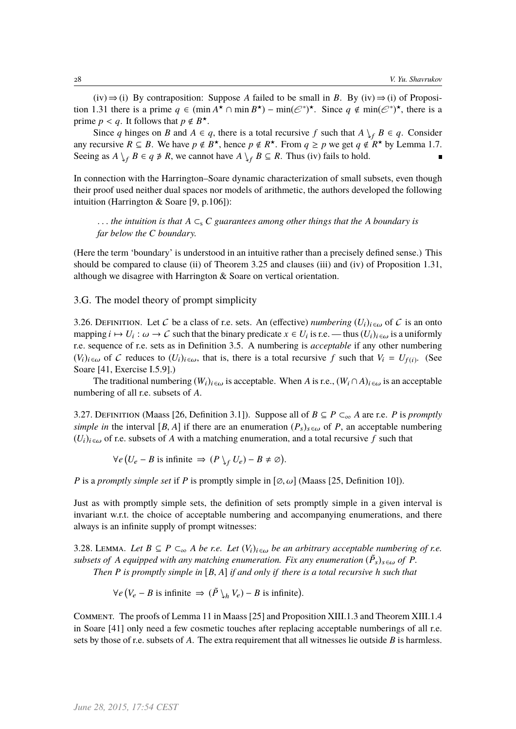$(iv) \Rightarrow (i)$  By contraposition: Suppose *A* failed to be small in *B*. By  $(iv) \Rightarrow (i)$  of Proposition 1.31 there is a prime  $q \in (\min A^* \cap \min B^*) - \min (\mathcal{C}^*)^*$ . Since  $q \notin \min (\mathcal{C}^*)^*$ , there is a prime  $p < q$ . It follows that  $p \notin B^*$ .<br>Since *a* binges on *B* and  $A \in \mathbb{R}$ 

Since *q* hinges on *B* and  $A \in q$ , there is a total recursive *f* such that  $A \setminus f$   $B \in q$ . Consider any recursive  $R \subseteq B$ . We have  $p \notin B^*$ , hence  $p \notin R^*$ . From  $q \geq p$  we get  $q \notin R^*$  by Lemma 1.7. Seeing as  $A \setminus_{f} B \in q \neq R$ , we cannot have  $A \setminus_{f} B \subseteq R$ . Thus (iv) fails to hold.

In connection with the Harrington–Soare dynamic characterization of small subsets, even though their proof used neither dual spaces nor models of arithmetic, the authors developed the following intuition (Harrington & Soare [9, p.106]):

. . . *the intuition is that <sup>A</sup>* <sup>⊂</sup><sup>s</sup> *<sup>C</sup> guarantees among other things that the <sup>A</sup> boundary is far below the C boundary.*

(Here the term 'boundary' is understood in an intuitive rather than a precisely defined sense.) This should be compared to clause (ii) of Theorem 3.25 and clauses (iii) and (iv) of Proposition 1.31, although we disagree with Harrington & Soare on vertical orientation.

3.G. The model theory of prompt simplicity

3.26. DEFINITION. Let C be a class of r.e. sets. An (effective) *numbering*  $(U_i)_{i \in \omega}$  of C is an onto mapping  $i \mapsto U_i : \omega \to C$  such that the binary predicate  $x \in U_i$  is r.e. — thus  $(U_i)_{i \in \omega}$  is a uniformly re-sequence of re-sets as in Definition 3.5. A numbering is *accentable* if any other numbering r.e. sequence of r.e. sets as in Definition 3.5. A numbering is *acceptable* if any other numbering  $(V_i)_{i \in \omega}$  of C reduces to  $(U_i)_{i \in \omega}$ , that is, there is a total recursive f such that  $V_i = U_{f(i)}$ . (See Soare [41, Exercise I.5.9].)

The traditional numbering  $(W_i)_{i \in \omega}$  is acceptable. When *A* is r.e.,  $(W_i \cap A)_{i \in \omega}$  is an acceptable numbering of all r.e. subsets of *A*.

3.27. DEFINITION (Maass [26, Definition 3.1]). Suppose all of  $B \subseteq P \subset_{\infty} A$  are r.e. *P* is *promptly simple in* the interval [*B*, *A*] if there are an enumeration  $(P_s)_{s \in \omega}$  of *P*, an acceptable numbering  $(U_i)_{i \in \omega}$  of r.e. subsets of A with a matching enumeration, and a total recursive f such that

> ∀*e U<sub>e</sub>* − *B* is infinite  $\Rightarrow$   $(P \n\searrow_f U_e) - B \neq \emptyset$ l.

*P* is a *promptly simple set* if *P* is promptly simple in  $[\emptyset, \omega]$  (Maass [25, Definition 10]).

Just as with promptly simple sets, the definition of sets promptly simple in a given interval is invariant w.r.t. the choice of acceptable numbering and accompanying enumerations, and there always is an infinite supply of prompt witnesses:

3.28. LEMMA. Let  $B \subseteq P \subset_{\infty} A$  be r.e. Let  $(V_i)_{i \in \omega}$  be an arbitrary acceptable numbering of r.e. *subsets of A equipped with any matching enumeration. Fix any enumeration*  $(\tilde{P}_s)_{s \in \omega}$  *of P*.<br>Then *P* is presently simple in [*P* A] if and only if there is a total possuming h such that *Then <sup>P</sup> is promptly simple in* [*B*, *<sup>A</sup>*] *if and only if there is a total recursive <sup>h</sup> such that*

> ∀*e*  $(V_e - B \text{ is infinite} \Rightarrow (\tilde{P} \setminus_h V_e) - B \text{ is infinite}).$

Comment. The proofs of Lemma 11 in Maass [25] and Proposition XIII.1.3 and Theorem XIII.1.4 in Soare [41] only need a few cosmetic touches after replacing acceptable numberings of all r.e. sets by those of r.e. subsets of *A*. The extra requirement that all witnesses lie outside *B* is harmless.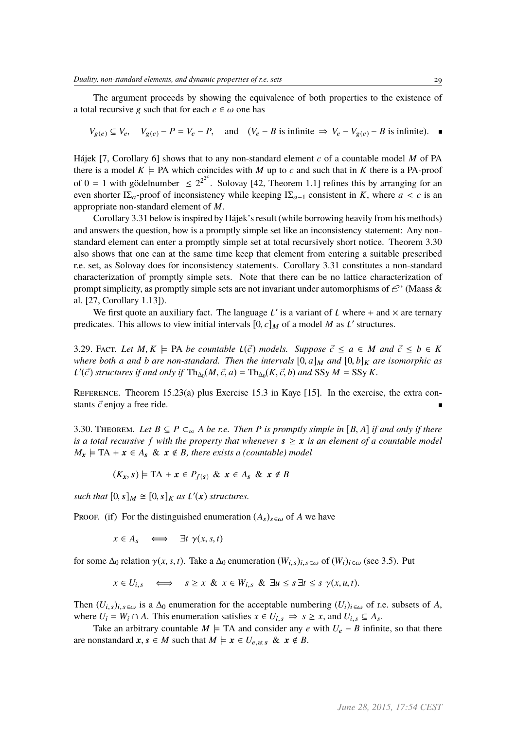The argument proceeds by showing the equivalence of both properties to the existence of a total recursive g such that for each  $e \in \omega$  one has

$$
V_{g(e)} \subseteq V_e, \quad V_{g(e)} - P = V_e - P, \quad \text{and} \quad (V_e - B \text{ is infinite} \implies V_e - V_{g(e)} - B \text{ is infinite}). \quad \blacksquare
$$

Hájek [7, Corollary 6] shows that to any non-standard element *c* of a countable model *M* of PA there is a model  $K \models PA$  which coincides with *M* up to *c* and such that in *K* there is a PA-proof of  $0 = 1$  with gödelnumber  $\leq 2^{2^{2^c}}$ . Solovay [42, Theorem 1.1] refines this by arranging for an even shorter I $\Sigma_a$ -proof of inconsistency while keeping I $\Sigma_{a-1}$  consistent in *K*, where *a* < *c* is an appropriate non-standard element of *M*.

Corollary 3.31 below is inspired by Hájek's result (while borrowing heavily from his methods) and answers the question, how is a promptly simple set like an inconsistency statement: Any nonstandard element can enter a promptly simple set at total recursively short notice. Theorem 3.30 also shows that one can at the same time keep that element from entering a suitable prescribed r.e. set, as Solovay does for inconsistency statements. Corollary 3.31 constitutes a non-standard characterization of promptly simple sets. Note that there can be no lattice characterization of prompt simplicity, as promptly simple sets are not invariant under automorphisms of  $\mathcal{C}^*$  (Maass & al. [27, Corollary 1.13]).

We first quote an auxiliary fact. The language  $L'$  is a variant of L where + and  $\times$  are ternary predicates. This allows to view initial intervals  $[0, c]_M$  of a model *M* as *L'* structures.

3.29. FACT. Let  $M, K \models PA$  be countable  $L(\vec{c})$  models. Suppose  $\vec{c} \leq a \in M$  and  $\vec{c} \leq b \in K$ *where both a and b are non-standard. Then the intervals*  $[0, a]_M$  *and*  $[0, b]_K$  *are isomorphic as*  $\mathcal{L}'(\vec{c})$  structures if and only if  $\text{Th}_{\Delta_0}(M, \vec{c}, a) = \text{Th}_{\Delta_0}(K, \vec{c}, b)$  and SSy  $M = \text{SSy } K$ .

REFERENCE. Theorem 15.23(a) plus Exercise 15.3 in Kaye [15]. In the exercise, the extra constants  $\vec{c}$  enjoy a free ride.

3.30. THEOREM. Let  $B \subseteq P \subset_{\infty} A$  be r.e. Then P is promptly simple in [B, A] if and only if there *is a total recursive f* with the property that whenever  $s \geq x$  *is an element of a countable model*  $M_x \models \text{TA} + x \in A_s \& x \notin B$ , there exists a (countable) model

$$
(K_x, s) \models \mathrm{TA} + x \in P_{f(s)} \& x \in A_s \& x \notin B
$$

such that  $[0, s]_M \cong [0, s]_K$  *as*  $\mathcal{L}'(x)$  *structures.* 

PROOF. (if) For the distinguished enumeration  $(A_s)_{s \in \omega}$  of *A* we have

$$
x \in A_s \quad \Longleftrightarrow \quad \exists t \ \gamma(x, s, t)
$$

for some  $\Delta_0$  relation  $\gamma(x, s, t)$ . Take a  $\Delta_0$  enumeration  $(W_{i, s})_{i, s \in \omega}$  of  $(W_i)_{i \in \omega}$  (see 3.5). Put

$$
x \in U_{i,s} \quad \Longleftrightarrow \quad s \ge x \ \& \ x \in W_{i,s} \ \& \ \exists u \le s \ \exists t \le s \ \gamma(x,u,t).
$$

Then  $(U_{i,s})_{i,s\in\omega}$  is a  $\Delta_0$  enumeration for the acceptable numbering  $(U_i)_{i\in\omega}$  of r.e. subsets of *A*, where  $U_i = W_i \cap A$ . This enumeration satisfies  $x \in U_{i,s} \implies s \geq x$ , and  $U_{i,s} \subseteq A_s$ .

Take an arbitrary countable *M*  $\models$  TA and consider any *e* with  $U_e - B$  infinite, so that there are nonstandard  $x, s \in M$  such that  $M \models x \in U_{e, \text{at } s}$  &  $x \notin B$ .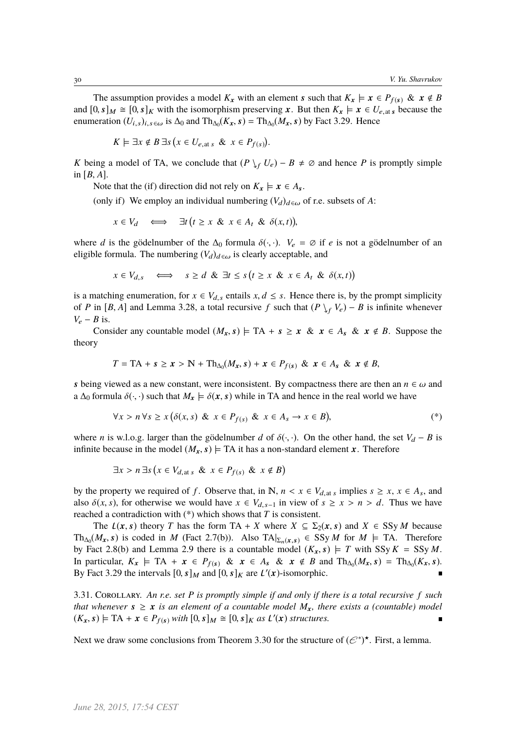The assumption provides a model  $K_x$  with an element s such that  $K_x \models x \in P_{f(s)} \& x \notin B$ and  $[0, s]_M \cong [0, s]_K$  with the isomorphism preserving x. But then  $K_x \models x \in U_{e, \text{at } s}$  because the enumeration  $(U_{i,s})_{i,s \in \omega}$  is  $\Delta_0$  and  $\text{Th}_{\Delta_0}(K_x, s) = \text{Th}_{\Delta_0}(M_x, s)$  by Fact 3.29. Hence

$$
K \models \exists x \notin B \,\exists s \, \big(x \in U_{e, \text{at } s} \ \& \ x \in P_{f(s)}\big).
$$

*K* being a model of TA, we conclude that  $(P \nvert_{f} U_e) - B \neq \emptyset$  and hence *P* is promptly simple in  $[B, A]$ .

Note that the (if) direction did not rely on  $K_x \models x \in A_s$ .

(only if) We employ an individual numbering  $(V_d)_{d\in\omega}$  of r.e. subsets of A:

$$
x \in V_d \quad \Longleftrightarrow \quad \exists t \, \big( t \ge x \, \& \, x \in A_t \, \& \, \delta(x, t) \big),
$$

where *d* is the gödelnumber of the  $\Delta_0$  formula  $\delta(\cdot, \cdot)$ .  $V_e = \emptyset$  if *e* is not a gödelnumber of an eligible formula. The numbering  $(V_d)_{d\in\omega}$  is clearly acceptable, and

l,

$$
x \in V_{d,s} \quad \Longleftrightarrow \quad s \ge d \And \exists t \le s \left(t \ge x \And x \in A_t \And \delta(x,t)\right)
$$

is a matching enumeration, for  $x \in V_{d,s}$  entails  $x, d \leq s$ . Hence there is, by the prompt simplicity of *P* in [*B*, *A*] and Lemma 3.28, a total recursive *f* such that  $(P \downarrow_f V_e) - B$  is infinite whenever  $V_e - B$  is.

Consider any countable model  $(M_x, s) \models TA + s \ge x \& x \in A_s \& x \notin B$ . Suppose the theory

$$
T = \text{TA} + s \geq x > \text{N} + \text{Th}_{\Delta_0}(M_x, s) + x \in P_{f(s)} \& x \in A_s \& x \notin B,
$$

s being viewed as a new constant, were inconsistent. By compactness there are then an  $n \in \omega$  and a  $\Delta_0$  formula  $\delta(\cdot, \cdot)$  such that  $M_x \models \delta(x, s)$  while in TA and hence in the real world we have

$$
\forall x > n \,\forall s \ge x \big(\delta(x, s) \& x \in P_{f(s)} \& x \in A_s \rightarrow x \in B\big), \tag{*}
$$

l,

J

where *n* is w.l.o.g. larger than the gödelnumber *d* of  $\delta(\cdot, \cdot)$ . On the other hand, the set  $V_d - B$  is infinite because in the model  $(M_x, s) \models TA$  it has a non-standard element x. Therefore

$$
\exists x > n \exists s \left( x \in V_{d, \text{at } s} \& x \in P_{f(s)} \& x \notin B \right)
$$

i.

l.

by the property we required of *f*. Observe that, in N,  $n < x \in V_{d,at s}$  implies  $s \ge x$ ,  $x \in A_s$ , and also  $\delta(x, s)$ , for otherwise we would have  $x \in V_{d,s-1}$  in view of  $s \geq x > n > d$ . Thus we have reached a contradiction with (\*) which shows that *T* is consistent.

The  $L(x, s)$  theory *T* has the form TA + *X* where  $X \subseteq \Sigma_2(x, s)$  and  $X \in SSyM$  because Th<sub>∆0</sub>( $M_x$ , s) is coded in *M* (Fact 2.7(b)). Also TA $|_{\Sigma_n(x,s)} \in \text{SSy } M$  for  $M \models$  TA. Therefore by Eqs. (*X*) and Lemma 2.9 there is a countable model  $(K, s) \models T$  with  $S_{\Sigma}K = S_{\Sigma}M$ by Fact 2.8(b) and Lemma 2.9 there is a countable model  $(K_x, s) \models T$  with SSy  $K = SSy M$ . In particular,  $K_x \models \text{TA} + x \in P_{f(s)}$  &  $x \in A_s$  &  $x \notin B$  and  $\text{Th}_{\Delta_0}(M_x, s) = \text{Th}_{\Delta_0}(K_x, s)$ .<br>By East 3.20 the intervals [0, s], and [0, s], are  $L'(x)$  isomorphic By Fact 3.29 the intervals  $[0, s]_M$  and  $[0, s]_K$  are  $L'(x)$ -isomorphic.

3.31. Corollary. *An r.e. set P is promptly simple if and only if there is a total recursive f such that whenever*  $s \geq x$  *is an element of a countable model*  $M_x$ *, there exists a (countable) model*  $(K_x, s) \models \text{TA} + x \in P_{f(s)}$  *with*  $[0, s]_M \cong [0, s]_K$  *as*  $L'(x)$  *structures.*  $\blacksquare$ 

Next we draw some conclusions from Theorem 3.30 for the structure of  $(\mathcal{C}^*)^{\star}$ . First, a lemma.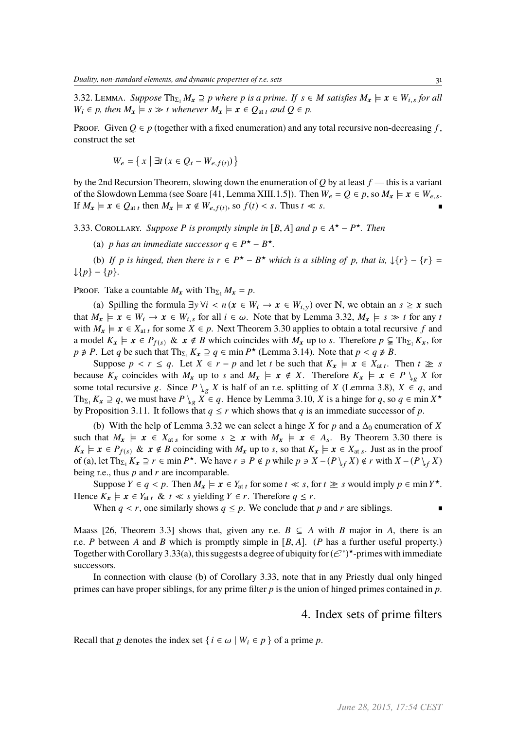3.32. LEMMA. *Suppose*  $\text{Th}_{\Sigma_1} M_x \supseteq p$  *where p is a prime. If*  $s \in M$  *satisfies*  $M_x \models x \in W_{i,s}$  *for all*  $W_i \in p$ , then  $M_x \models s \gg t$  whenever  $M_x \models x \in Q_{at}$  and  $Q \in p$ .

Proof. Given  $Q \in p$  (together with a fixed enumeration) and any total recursive non-decreasing f, construct the set

$$
W_e = \left\{ x \mid \exists t \left( x \in Q_t - W_{e,f(t)} \right) \right\}
$$

by the 2nd Recursion Theorem, slowing down the enumeration of *Q* by at least *f* — this is a variant of the Slowdown Lemma (see Soare [41, Lemma XIII.1.5]). Then  $W_e = Q \in p$ , so  $M_x \models x \in W_{e,s}$ . If  $M_x \models x \in Q_{at t}$  then  $M_x \models x \notin W_{e, f(t)}$ , so  $f(t) < s$ . Thus  $t \ll s$ .

3.33. COROLLARY. *Suppose P* is promptly simple in [B, A] and  $p \in A^{\star} - P^{\star}$ . Then

(a) *p* has an immediate successor  $q \in P^{\star} - B^{\star}$ .

(b) If *p* is hinged, then there is  $r \in P^{\star} - B^{\star}$  which is a sibling of *p*, that is,  $\downarrow \{r\} - \{r\} =$ ↓{*p*} − {*p*}*.*

PROOF. Take a countable  $M_x$  with  $\text{Th}_{\Sigma_1} M_x = p$ .

(a) Spilling the formula  $\exists y \forall i < n (x \in W_i \rightarrow x \in W_{i,y})$  over N, we obtain an  $s \ge x$  such that  $M_x \models x \in W_i \rightarrow x \in W_{i,s}$  for all  $i \in \omega$ . Note that by Lemma 3.32,  $M_x \models s \gg t$  for any *t* with  $M_x \models x \in X_{at t}$  for some  $X \in p$ . Next Theorem 3.30 applies to obtain a total recursive f and a model  $K_x \models x \in P_{f(s)} \& x \notin B$  which coincides with  $M_x$  up to *s*. Therefore  $p \subsetneq Th_{\Sigma_1} K_x$ , for *p*  $\neq$  *P*. Let *q* be such that  $\text{Th}_{\Sigma_1} K_x \supseteq q \in \min P^{\star}$  (Lemma 3.14). Note that  $p < q \neq B$ .<br>Suppose  $p \leq r \leq q$ . Let  $X \in r - p$  and let *t* be such that  $K \vdash r \in X$ .

Suppose  $p < r \le q$ . Let  $X \in r - p$  and let *t* be such that  $K_x \models x \in X_{at}$ . Then  $t \ge s$ because  $K_x$  coincides with  $M_x$  up to *s* and  $M_x \models x \notin X$ . Therefore  $K_x \models x \in P \setminus_{\varphi} X$  for some total recursive g. Since  $P \setminus_{g} X$  is half of an r.e. splitting of *X* (Lemma 3.8),  $X \in q$ , and Th<sub>Σ1</sub>  $K_x \supseteq q$ , we must have  $P \setminus_g X \in q$ . Hence by Lemma 3.10, *X* is a hinge for *q*, so  $q \in \min X^*$ by Proposition 3.11. It follows that  $q \le r$  which shows that *q* is an immediate successor of *p*.

(b) With the help of Lemma 3.32 we can select a hinge *X* for *p* and a  $\Delta_0$  enumeration of *X* such that  $M_x \models x \in X_{\text{at } s}$  for some  $s \ge x$  with  $M_x \models x \in A_s$ . By Theorem 3.30 there is  $K_x \models x \in P_{f(s)}$  &  $x \notin B$  coinciding with  $M_x$  up to *s*, so that  $K_x \models x \in X_{at s}$ . Just as in the proof of (a), let  $\text{Th}_{\Sigma_1} K_x \supseteq r \in \min P^\star$ . We have  $r \ni P \notin p$  while  $p \ni X - (P \setminus_f X) \notin r$  with  $X - (P \setminus_f X)$ being r.e., thus *p* and *r* are incomparable.

Suppose  $Y \in q < p$ . Then  $M_x \models x \in Y_{at t}$  for some  $t \ll s$ , for  $t \geq s$  would imply  $p \in \min Y^*$ . Hence  $K_x \models x \in Y_{at}$   $t \ll s$  yielding  $Y \in r$ . Therefore  $q \leq r$ .

When  $q < r$ , one similarly shows  $q \leq p$ . We conclude that p and r are siblings.

Maass [26, Theorem 3.3] shows that, given any r.e.  $B \subseteq A$  with *B* major in *A*, there is an r.e. *<sup>P</sup>* between *<sup>A</sup>* and *<sup>B</sup>* which is promptly simple in [*B*, *<sup>A</sup>*]. (*<sup>P</sup>* has a further useful property.) Together with Corollary 3.33(a), this suggests a degree of ubiquity for  $(\mathcal{C}^*)^{\star}$ -primes with immediate successors.

In connection with clause (b) of Corollary 3.33, note that in any Priestly dual only hinged primes can have proper siblings, for any prime filter *p* is the union of hinged primes contained in *p*.

### 4. Index sets of prime filters

Recall that *p* denotes the index set  $\{i \in \omega \mid W_i \in p\}$  of a prime *p*.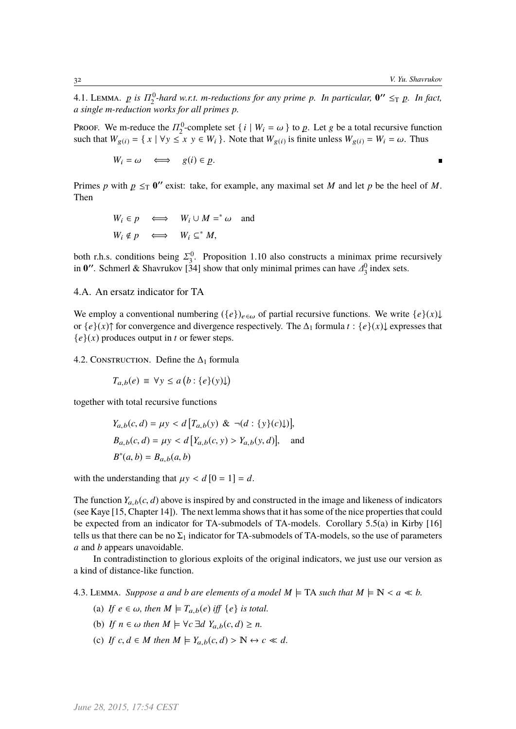n.

4.1. LEMMA. *p* is  $\Pi_2^0$ -hard w.r.t. m-reductions for any prime p. In particular,  $0'' \leq_T p$ . In fact, *a single m-reduction works for all primes p.*

PROOF. We m-reduce the  $\Pi_2^0$ -complete set  $\{i \mid W_i = \omega\}$  to  $p$ . Let g be a total recursive function such that  $W_{\omega} = \{x \mid W_i \le x, y \in W_i\}$ . Note that  $W_{\omega}$  is finite uplace  $W_{\omega} = W_i = \omega$ . Thus such that  $W_{g(i)} = \{ x \mid \forall y \leq x \ y \in W_i \}$ . Note that  $W_{g(i)}$  is finite unless  $W_{g(i)} = W_i = \omega$ . Thus

 $W_i = \omega \iff g(i) \in p.$ 

Primes *p* with  $p \leq_T 0$ <sup>*''*</sup> exist: take, for example, any maximal set *M* and let *p* be the heel of *M*. Then

$$
W_i \in p \iff W_i \cup M =^* \omega \text{ and}
$$
  

$$
W_i \notin p \iff W_i \subseteq^* M,
$$

both r.h.s. conditions being  $\Sigma_3^0$ . Proposition 1.10 also constructs a minimax prime recursively<br>in  $\mathbf{0}''$ . Schmerl & Shavrukov [341 show that only minimal primes can have  $A^0$  index sets in **0''**. Schmerl & Shavrukov [34] show that only minimal primes can have  $\Delta_3^0$  index sets.

4.A. An ersatz indicator for TA

We employ a conventional numbering  $({e})_{e \in \omega}$  of partial recursive functions. We write  ${e}(x)$ or  $\{e\}(x)$ ↑ for convergence and divergence respectively. The  $\Delta_1$  formula  $t : \{e\}(x)$  expresses that  ${e}(x)$  produces output in *t* or fewer steps.

4.2. CONSTRUCTION. Define the  $\Delta_1$  formula

$$
T_{a,b}(e) \equiv \forall y \le a (b : \{e\}(y)\downarrow)
$$

together with total recursive functions

$$
Y_{a,b}(c,d) = \mu y < d \left[ T_{a,b}(y) \& \neg(d : \{y\}(c)\downarrow) \right],
$$
\n
$$
B_{a,b}(c,d) = \mu y < d \left[ Y_{a,b}(c,y) > Y_{a,b}(y,d) \right],
$$
\nand\n
$$
B^*(a,b) = B_{a,b}(a,b)
$$

with the understanding that  $\mu y < d$  [0 = 1] = *d*.

The function  $Y_{a,b}(c, d)$  above is inspired by and constructed in the image and likeness of indicators (see Kaye [15, Chapter 14]). The next lemma shows that it has some of the nice properties that could be expected from an indicator for TA-submodels of TA-models. Corollary 5.5(a) in Kirby [16] tells us that there can be no  $\Sigma_1$  indicator for TA-submodels of TA-models, so the use of parameters *a* and *b* appears unavoidable.

In contradistinction to glorious exploits of the original indicators, we just use our version as a kind of distance-like function.

4.3. LEMMA. *Suppose a and b are elements of a model*  $M \models TA$  *such that*  $M \models N < a \ll b$ .

- (a) If  $e \in \omega$ , then  $M \models T_{a,b}(e)$  iff  $\{e\}$  is total.
- (b) If  $n \in \omega$  then  $M \models \forall c \exists d$   $Y_{a,b}(c,d) > n$ .
- (c) If  $c, d \in M$  then  $M \models Y_{a,b}(c,d) > \mathbb{N} \leftrightarrow c \ll d$ .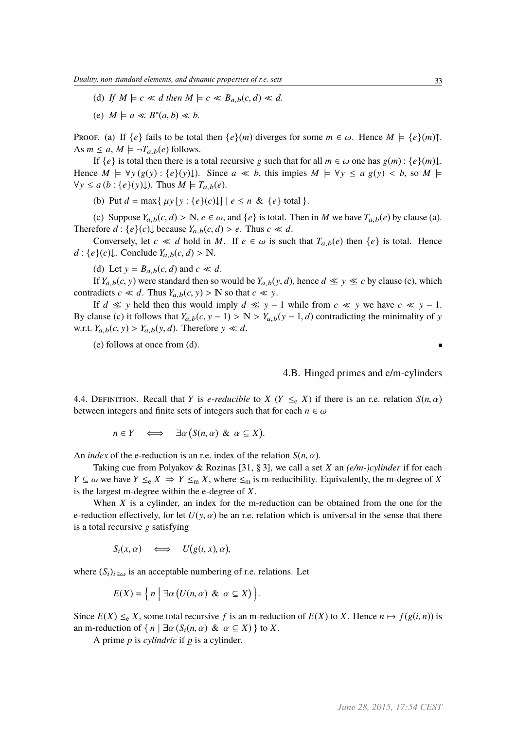- (d) If  $M \models c \ll d$  then  $M \models c \ll B_{a,b}(c,d) \ll d$ .
- (e)  $M \models a \ll B^*(a, b) \ll b$ .

Proof. (a) If  $\{e\}$  fails to be total then  $\{e\}(m)$  diverges for some  $m \in \omega$ . Hence  $M \models \{e\}(m)$ <sup> $\uparrow$ </sup>. As  $m \le a$ ,  $M \models \neg T_{a,b}(e)$  follows.

If  ${e}$  is total then there is a total recursive g such that for all  $m \in \omega$  one has  $g(m) : {e}(m) \downarrow$ . Hence  $M \models \forall y (g(y) : \{e\}(y) \downarrow)$ . Since  $a \ll b$ , this impies  $M \models \forall y \le a (g(y) < b$ , so  $M \models$  $\forall y \leq a (b : \{e\}(y)\}\)$ . Thus  $M \models T_{a,b}(e)$ .

(b) Put  $d = \max\{ \mu y [y : \{e\}(c) \cup \} | e \le n \& \{e\} \text{ total } \}.$ 

(c) Suppose  $Y_{a,b}(c,d) > \mathbb{N}, e \in \omega$ , and  $\{e\}$  is total. Then in *M* we have  $T_{a,b}(e)$  by clause (a). Therefore  $d : \{e\}(c) \downarrow$  because  $Y_{a,b}(c,d) > e$ . Thus  $c \ll d$ .

Conversely, let  $c \ll d$  hold in *M*. If  $e \in \omega$  is such that  $T_{a,b}(e)$  then  $\{e\}$  is total. Hence  $d: \{e\}(c)\downarrow$ . Conclude  $Y_{a,b}(c,d) > \mathbb{N}$ .

(d) Let  $y = B_{a,b}(c, d)$  and  $c \ll d$ .

If  $Y_{a,b}(c, y)$  were standard then so would be  $Y_{a,b}(y, d)$ , hence  $d \leq y \leq c$  by clause (c), which contradicts  $c \ll d$ . Thus  $Y_{a,b}(c, y) > \mathbb{N}$  so that  $c \ll y$ .

If *d* ≤ y held then this would imply *d* ≤ y − 1 while from *c* ≤ y we have  $c$  ≤ y − 1. By clause (c) it follows that  $Y_{a,b}(c, y - 1) > N > Y_{a,b}(y - 1, d)$  contradicting the minimality of y w.r.t.  $Y_{a,b}(c, y) > Y_{a,b}(y, d)$ . Therefore  $y \ll d$ .

(e) follows at once from (d).

4.B. Hinged primes and e/m-cylinders

4.4. DEFINITION. Recall that *Y* is *e-reducible* to *X* (*Y*  $\leq_e$  *X*) if there is an r.e. relation *S*(*n*,  $\alpha$ ) between integers and finite sets of integers such that for each  $n \in \omega$ 

l,

 $n \in Y \iff \exists \alpha$ *<sup>S</sup>*(*n*, α) & α <sup>⊆</sup> *<sup>X</sup>*

An *index* of the e-reduction is an r.e. index of the relation  $S(n, \alpha)$ .

Taking cue from Polyakov & Rozinas [31, § 3], we call a set *X* an *(e/m-)cylinder* if for each *Y* ⊆ ω we have *Y*  $\leq_e$  *X*  $\Rightarrow$  *Y*  $\leq_m$  *X*, where  $\leq_m$  is m-reducibility. Equivalently, the m-degree of *X* is the largest m-degree within the e-degree of *X*.

When *X* is a cylinder, an index for the m-reduction can be obtained from the one for the e-reduction effectively, for let  $U(y, \alpha)$  be an r.e. relation which is universal in the sense that there is a total recursive g satisfying

$$
S_i(x, \alpha) \quad \Longleftrightarrow \quad U(g(i, x), \alpha),
$$

where  $(S_i)_{i \in \omega}$  is an acceptable numbering of r.e. relations. Let

$$
E(X) = \left\{ n \mid \exists \alpha \left( U(n, \alpha) \& \alpha \subseteq X \right) \right\}.
$$

Since  $E(X) \leq_e X$ , some total recursive f is an m-reduction of  $E(X)$  to X. Hence  $n \mapsto f(g(i, n))$  is an m-reduction of  $\{ n | \exists \alpha (S_i(n, \alpha) \& \alpha \subseteq X) \}$  to X.

A prime  $p$  is *cylindric* if  $p$  is a cylinder.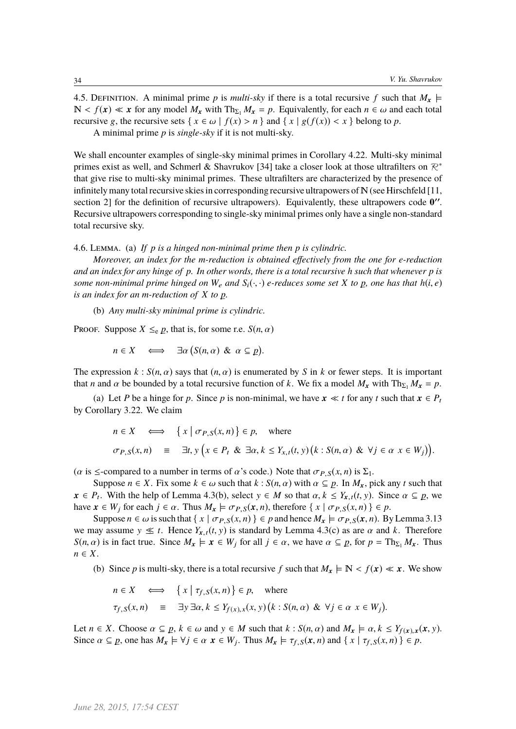4.5. DEFINITION. A minimal prime p is *multi-sky* if there is a total recursive f such that  $M_x \models$  $\mathbb{N} < f(x) \ll x$  for any model  $M_x$  with  $\text{Th}_{\Sigma_1} M_x = p$ . Equivalently, for each  $n \in \omega$  and each total recursive g, the recursive sets  $\{x \in \omega \mid f(x) > n\}$  and  $\{x \mid g(f(x)) < x\}$  belong to p.

A minimal prime *p* is *single-sky* if it is not multi-sky.

We shall encounter examples of single-sky minimal primes in Corollary 4.22. Multi-sky minimal primes exist as well, and Schmerl & Shavrukov [34] take a closer look at those ultrafilters on  $\mathcal{R}^*$ that give rise to multi-sky minimal primes. These ultrafilters are characterized by the presence of infinitely many total recursive skies in corresponding recursive ultrapowers of  $N$  (see Hirschfeld [11, section 2] for the definition of recursive ultrapowers). Equivalently, these ultrapowers code  $0''$ . Recursive ultrapowers corresponding to single-sky minimal primes only have a single non-standard total recursive sky.

### 4.6. Lemma. (a) *If p is a hinged non-minimal prime then p is cylindric.*

*Moreover, an index for the m-reduction is obtained effectively from the one for e-reduction and an index for any hinge of p. In other words, there is a total recursive h such that whenever p is some non-minimal prime hinged on*  $W_e$  *and*  $S_i(\cdot, \cdot)$  *e-reduces some set*  $X$  *to*  $p$ *, one has that*  $h(i, e)$  *is an index for an m reduction of*  $X$  *to*  $p$ *is an index for an m-reduction of X to – p.*

(b) *Any multi-sky minimal prime is cylindric.*

Proof. Suppose  $X \leq_e p$ , that is, for some r.e.  $S(n, \alpha)$ 

$$
n \in X \quad \Longleftrightarrow \quad \exists \alpha \big( S(n, \alpha) \And \alpha \subseteq p \big).
$$

The expression  $k : S(n, \alpha)$  says that  $(n, \alpha)$  is enumerated by *S* in *k* or fewer steps. It is important that *n* and  $\alpha$  be bounded by a total recursive function of *k*. We fix a model  $M_x$  with  $\text{Th}_{\Sigma_1} M_x = p$ .

(a) Let *P* be a hinge for *p*. Since *p* is non-minimal, we have  $x \ll t$  for any *t* such that  $x \in P_t$ by Corollary 3.22. We claim

$$
n \in X \iff \{x \mid \sigma_{P,S}(x,n)\} \in p, \text{ where}
$$
  
\n
$$
\sigma_{P,S}(x,n) \equiv \exists t, y \left(x \in P_t \& \exists \alpha, k \le Y_{x,t}(t,y) \left(k : S(n,\alpha) \& \forall j \in \alpha \ x \in W_j\right)\right).
$$

( $\alpha$  is  $\leq$ -compared to a number in terms of  $\alpha$ 's code.) Note that  $\sigma_{P,S}(x, n)$  is  $\Sigma_1$ .

Suppose  $n \in X$ . Fix some  $k \in \omega$  such that  $k : S(n, \alpha)$  with  $\alpha \subseteq p$ . In  $M_x$ , pick any *t* such that  $p$ . With the help of Lamma 4.3(b), select  $y \in M$  so that  $\alpha, k \in Y$ ,  $f(x)$ . Since  $\alpha \subseteq p$ , we  $x \in P_t$ . With the help of Lemma 4.3(b), select  $y \in M$  so that  $\alpha, k \leq Y_{x,t}(t, y)$ . Since  $\alpha \subseteq p$ , we have  $x \in W_t$  for each  $i \in \alpha$ . Thus  $M_t \vdash \text{Cone}(x, n)$ , therefore  $\{x \mid \text{Cone}(x, n) \in p$ have  $x \in W_j$  for each  $j \in \alpha$ . Thus  $M_x \models \sigma_{P,S}(x, n)$ , therefore  $\{ x \mid \sigma_{P,S}(x, n) \} \in p$ .

Suppose  $n \in \omega$  is such that  $\{x \mid \sigma_{P,S}(x,n)\}\in \rho$  and hence  $M_x \models \sigma_{P,S}(x,n)$ . By Lemma 3.13 we may assume  $y \leq t$ . Hence  $Y_{x,t}(t, y)$  is standard by Lemma 4.3(c) as are  $\alpha$  and k. Therefore *S*(*n*,  $\alpha$ ) is in fact true. Since  $M_x \models x \in W_j$  for all  $j \in \alpha$ , we have  $\alpha \subseteq p$ , for  $p = \text{Th}_{\Sigma_1} M_x$ . Thus *n* ∈ *X*.

(b) Since *p* is multi-sky, there is a total recursive *f* such that  $M_x \models \mathbb{N} < f(x) \ll x$ . We show

$$
n \in X \iff \{x \mid \tau_{f,S}(x,n)\} \in p, \text{ where}
$$
  

$$
\tau_{f,S}(x,n) \equiv \exists y \exists \alpha, k \le Y_{f(x),x}(x,y) (k : S(n, \alpha) \& \forall j \in \alpha \ x \in W_j)
$$

Let  $n \in X$ . Choose  $\alpha \subseteq p$ ,  $k \in \omega$  and  $y \in M$  such that  $k : S(n, \alpha)$  and  $M_x \models \alpha$ ,  $k \le Y_{f(x),x}(x, y)$ .<br>Since  $\alpha \subseteq p$  one has  $M \models \forall i \in \alpha$ ,  $x \in W$ . Thus  $M \models \tau_{\alpha} g(x, y)$  and  $f(x | \tau_{\alpha} g(x, y)) \subseteq p$ . Since  $\alpha \subseteq p$ , one has  $M_x \models \forall j \in \alpha \ x \in W_j$ . Thus  $M_x \models \tau_{f,S}(x, n)$  and  $\{ x \mid \tau_{f,S}(x, n) \} \in p$ .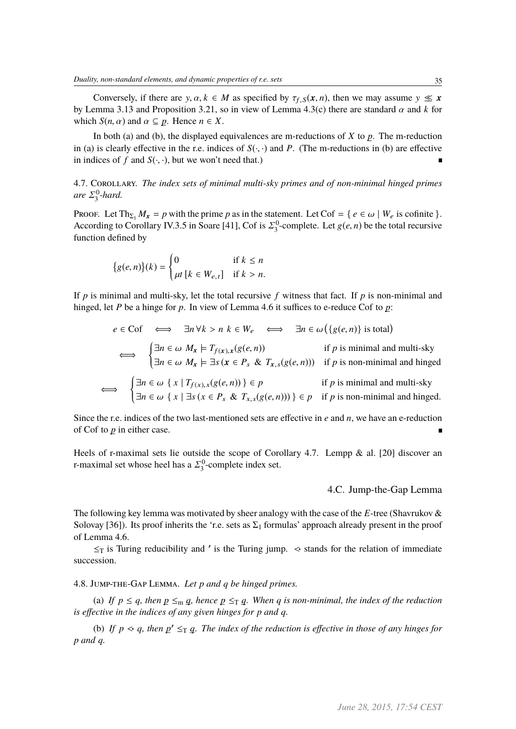Conversely, if there are y,  $\alpha, k \in M$  as specified by  $\tau_{f, S}(x, n)$ , then we may assume  $y \leq x$ by Lemma 3.13 and Proposition 3.21, so in view of Lemma 4.3(c) there are standard  $\alpha$  and  $k$  for which  $S(n, \alpha)$  and  $\alpha \subseteq p$ . Hence  $n \in X$ .

In both (a) and (b), the displayed equivalences are m-reductions of  $X$  to  $p$ . The m-reduction in (a) is clearly effective in the r.e. indices of  $S(\cdot, \cdot)$  and *P*. (The m-reductions in (b) are effective in indices of  $f$  and  $S(\cdot, \cdot)$ , but we won't need that.)

## 4.7. Corollary. *The index sets of minimal multi-sky primes and of non-minimal hinged primes* are  $\Sigma_3^0$ -hard.

Proof. Let  $\text{Th}_{\Sigma_1} M_x = p$  with the prime *p* as in the statement. Let  $\text{Cof} = \{e \in \omega \mid W_e \text{ is cofinite}\}.$ According to Corollary IV.3.5 in Soare [41], Cof is  $\Sigma_3^0$ -complete. Let  $g(e, n)$  be the total recursive function defined by function defined by

$$
\{g(e,n)\}(k) = \begin{cases} 0 & \text{if } k \le n \\ \mu t \ [k \in W_{e,t}] & \text{if } k > n. \end{cases}
$$

If  $p$  is minimal and multi-sky, let the total recursive  $f$  witness that fact. If  $p$  is non-minimal and hinged, let *P* be a hinge for *p*. In view of Lemma 4.6 it suffices to e-reduce Cof to  $p$ :

$$
e \in \text{Cof} \iff \exists n \,\forall k > n \,\, k \in W_e \iff \exists n \in \omega \left( \{ g(e, n) \} \text{ is total} \right)
$$
\n
$$
\iff \begin{cases}\n\exists n \in \omega \,\, M_x \models T_{f(x),x}(g(e, n)) & \text{if } p \text{ is minimal and multi-sky} \\
\exists n \in \omega \,\, M_x \models \exists s \,(x \in P_s \,\, \& T_{x,s}(g(e, n))) & \text{if } p \text{ is non-minimal and hinged}\n\end{cases}
$$
\n
$$
\iff \begin{cases}\n\exists n \in \omega \,\, \{ x \mid T_{f(x),x}(g(e, n)) \} \in p & \text{if } p \text{ is minimal and multi-sky} \\
\exists n \in \omega \,\, \{ x \mid \exists s \,(x \in P_s \,\, & T_{x,s}(g(e, n))) \} \in p & \text{if } p \text{ is non-minimal and hinged.}\n\end{cases}
$$

Since the r.e. indices of the two last-mentioned sets are effective in *e* and *n*, we have an e-reduction of Cof to  $p$  in either case.

Heels of r-maximal sets lie outside the scope of Corollary 4.7. Lempp & al. [20] discover an r-maximal set whose heel has a  $\Sigma_3^0$ -complete index set.

4.C. Jump-the-Gap Lemma

The following key lemma was motivated by sheer analogy with the case of the *E*-tree (Shavrukov & Solovay [36]). Its proof inherits the 'r.e. sets as  $\Sigma_1$  formulas' approach already present in the proof of Lemma 4.6.

 $\leq_T$  is Turing reducibility and ' is the Turing jump.  $\leq$  stands for the relation of immediate succession.

4.8. Jump-the-Gap Lemma. *Let p and q be hinged primes.*

(a) If  $p \le q$ , then  $p \leq_m q$ , hence  $p \leq_T q$ . When q is non-minimal, the index of the reduction *is effective in the indices of any given hinges for p and q.*

(b) If  $p \ll q$ , then  $p' \leq_T q$ . The index of the reduction is effective in those of any hinges for *p and q.*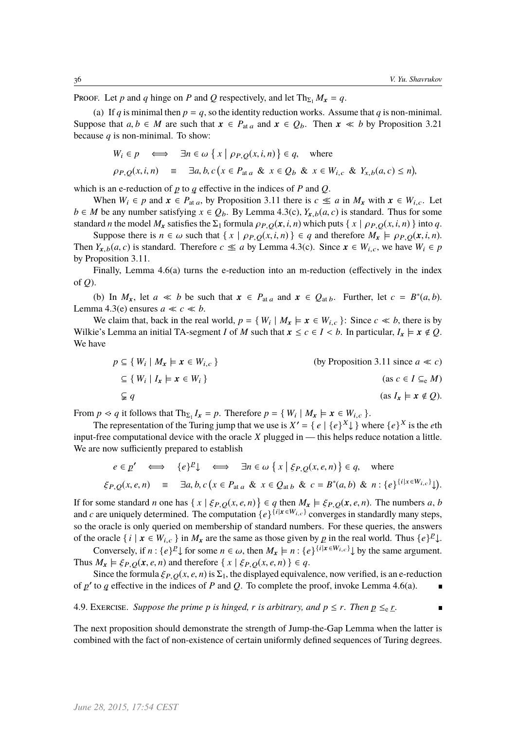$\blacksquare$ 

PROOF. Let *p* and *q* hinge on *P* and *Q* respectively, and let  $Th_{\Sigma_1} M_x = q$ .

(a) If *q* is minimal then  $p = q$ , so the identity reduction works. Assume that *q* is non-minimal. Suppose that  $a, b \in M$  are such that  $x \in P_{\text{at } a}$  and  $x \in Q_b$ . Then  $x \ll b$  by Proposition 3.21 because *q* is non-minimal. To show:  $\overline{\phantom{a}}$  $\overline{a}$ l.

$$
W_i \in p \iff \exists n \in \omega \ \{ x \mid \rho_{P,Q}(x,i,n) \} \in q, \quad \text{where}
$$
  

$$
\rho_{P,Q}(x,i,n) \equiv \exists a,b,c \ (x \in P_{\text{at } a} \ \& x \in Q_b \ \& x \in W_{i,c} \ \& Y_{x,b}(a,c) \le n),
$$

which is an e-reduction of  $p$  to  $q$  effective in the indices of  $P$  and  $Q$ .

When  $W_i \in p$  and  $x \in P_{\text{at } a}$ , by Proposition 3.11 there is  $c \leq a$  in  $M_x$  with  $x \in W_{i,c}$ . Let *b* ∈ *M* be any number satisfying  $x \in Q_b$ . By Lemma 4.3(c),  $Y_{x,b}(a, c)$  is standard. Thus for some standard *n* the model  $M_x$  satisfies the  $\Sigma_1$  formula  $\rho_{P,Q}(x, i, n)$  which puts  $\{ x \mid \rho_{P,Q}(x, i, n) \}$  into *q*.

Suppose there is  $n \in \omega$  such that  $\{x \mid \rho_{P,Q}(x,i,n)\} \in q$  and therefore  $M_x \models \rho_{P,Q}(x,i,n)$ . Then  $Y_{x,b}(a, c)$  is standard. Therefore  $c \leq a$  by Lemma 4.3(c). Since  $x \in W_{i,c}$ , we have  $W_i \in p$ by Proposition 3.11.

Finally, Lemma 4.6(a) turns the e-reduction into an m-reduction (effectively in the index of *Q*).

(b) In  $M_x$ , let  $a \ll b$  be such that  $x \in P_{at a}$  and  $x \in Q_{at b}$ . Further, let  $c = B^*(a, b)$ .<br>ma 4.3(e) ensures  $a \ll c \ll b$ Lemma 4.3(e) ensures  $a \ll c \ll b$ .

We claim that, back in the real world,  $p = \{ W_i \mid M_x \models x \in W_{i,c} \}$ : Since  $c \ll b$ , there is by<br>ie's Lemma an initial TA segment L of M such that  $x \le c \in L \le b$ . In particular  $L \models x \notin O$ Wilkie's Lemma an initial TA-segment *I* of *M* such that  $x \le c \in I < b$ . In particular,  $I_x \models x \notin Q$ . We have

$$
p \subseteq \{ W_i \mid M_x \models x \in W_{i,c} \}
$$
\n
$$
\subseteq \{ W_i \mid I_x \models x \in W_i \}
$$
\n(by Proposition 3.11 since  $a \ll c$ )

\n
$$
\subseteq \{ W_i \mid I_x \models x \in W_i \}
$$
\n(as  $c \in I \subseteq_e M$ )

\n
$$
\subseteq q
$$
\n(as  $I_x \models x \notin Q$ ).

From *p*  $\lt q$  it follows that  $\text{Th}_{\Sigma_1} I_x = p$ . Therefore  $p = \{W_i \mid M_x \models x \in W_{i,c}\}$ .<br>The representation of the Turing jump that we use is  $X' = \{g \mid f_g(X) \}$ ,

The representation of the Turing jump that we use is  $X' = \{e \mid \{e\}^X \}$  where  $\{e\}^X$  is the *e*th input-free computational device with the oracle *X* plugged in — this helps reduce notation a little. We are now sufficiently prepared to establish

$$
e \in \underline{p'} \iff \{e\}^{\underline{p}} \downarrow \iff \exists n \in \omega \{x \mid \xi_{P,Q}(x,e,n)\} \in q, \text{ where}
$$
  

$$
\xi_{P,Q}(x,e,n) \equiv \exists a,b,c \, (x \in P_{\text{at }a} \& x \in Q_{\text{at }b} \& c = B^*(a,b) \& n: \{e\}^{\{i \mid x \in W_{i,c}\}})
$$

If for some standard *n* one has  $\{ x \mid \xi_{P,Q}(x, e, n) \} \in q$  then  $M_x \models \xi_{P,Q}(x, e, n)$ . The numbers *a*, *b* and *c* are uniquely determined. The computation  $\{e\}^{\{i|x \in W_{i,c}\}}$  converges in standardly many staps. and *c* are uniquely determined. The computation  $\{e\}^{\{i|x \in W_{i,c}\}}$  converges in standardly many steps, so the oracle is only queried on membership of standard numbers. For these queries, the answers of the oracle  $\{i \mid x \in W_{i,c}\}$  in  $M_x$  are the same as those given by  $p$  in the real world. Thus  $\{e\}^p\downarrow$ .

Conversely, if  $n : \{e\}^{\mathcal{P}} \downarrow$  for some  $n \in \omega$ , then  $M_x \models n : \{e\}^{\{i \mid x \in W_{i,c}\}} \downarrow$  by the same argument.<br>  $M \models \xi_{\text{max}}(x, e, n)$  and therefore  $\{x \mid \xi_{\text{max}}(x, e, n)\} \in \mathcal{E}$ Thus  $M_x \models \xi_{P,Q}(x, e, n)$  and therefore  $\{x \mid \xi_{P,Q}(x, e, n)\}\in q$ .

Since the formula  $\xi_{P,Q}(x, e, n)$  is  $\Sigma_1$ , the displayed equivalence, now verified, is an e-reduction to a effective in the indices of P and O. To complete the proof invoke I emma 4.6(a) of  $p'$  to  $q$  effective in the indices of  $P$  and  $Q$ . To complete the proof, invoke Lemma 4.6(a).

4.9. Exercise. Suppose the prime p is hinged, r is arbitrary, and  $p \le r$ . Then  $p \le e \le r$ .

The next proposition should demonstrate the strength of Jump-the-Gap Lemma when the latter is combined with the fact of non-existence of certain uniformly defined sequences of Turing degrees.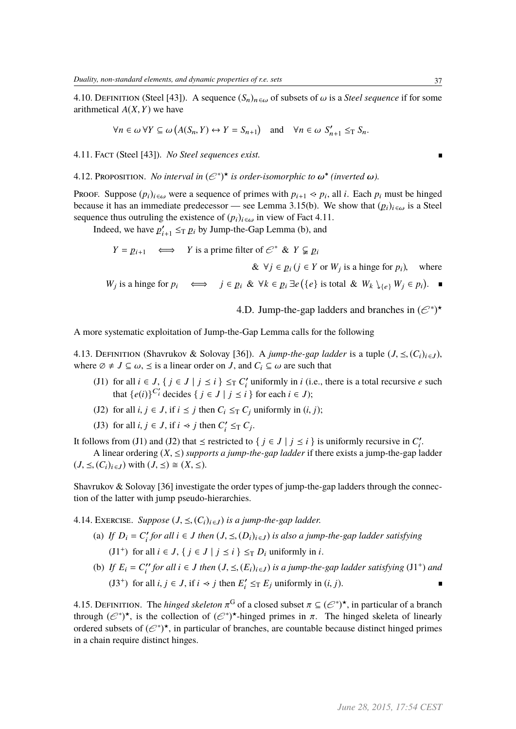4.10. DEFINITION (Steel [43]). A sequence  $(S_n)_{n \in \omega}$  of subsets of  $\omega$  is a *Steel sequence* if for some arithmetical *<sup>A</sup>*(*X*,*Y*) we have

$$
\forall n \in \omega \,\forall Y \subseteq \omega \,\big(A(S_n, Y) \leftrightarrow Y = S_{n+1}\big) \quad \text{and} \quad \forall n \in \omega \,\, S'_{n+1} \leq_{\mathrm{T}} S_n.
$$

4.11. Fact (Steel [43]). *No Steel sequences exist.*

4.12. Proposition. *No interval in*  $(\mathcal{C}^*)^*$  *is order-isomorphic to*  $\omega^*$  (inverted  $\omega$ ).

Proof. Suppose  $(p_i)_{i \in \omega}$  were a sequence of primes with  $p_{i+1} \ll p_i$ , all *i*. Each  $p_i$  must be hinged<br>because it has an immediate predecessor see I emma 3.15(b). We show that  $(p_i)$ , is a Steel because it has an immediate predecessor — see Lemma 3.15(b). We show that  $(p_i)_{i \in \omega}$  is a Steel sequence thus outruling the existence of  $(p_i)_{i \in \omega}$  in view of Fact 4.11.

Indeed, we have  $p_i'$  $i_{+1}$   $\leq_T p_i$  by Jump-the-Gap Lemma (b), and

$$
Y = p_{i+1} \iff Y \text{ is a prime filter of } \mathcal{C}^* \& Y \subsetneq p_i
$$
\n
$$
\& \forall j \in p_i \ (j \in Y \text{ or } W_j \text{ is a hinge for } p_i), \text{ where}
$$
\n
$$
W_j \text{ is a hinge for } p_i \iff j \in p_i \ \& \ \forall k \in p_i \ \exists e \ (\{e\} \text{ is total } \& W_k \setminus_{\{e\}} W_j \in p_i).
$$

4.D. Jump-the-gap ladders and branches in  $(\mathcal{E}^*)^*$ 

A more systematic exploitation of Jump-the-Gap Lemma calls for the following

4.13. DEFINITION (Shavrukov & Solovay [36]). A *jump-the-gap ladder* is a tuple  $(J, \leq, (C_i)_{i \in J})$ , where  $\emptyset \neq J \subseteq \omega$ ,  $\leq$  is a linear order on *J*, and  $C_i \subseteq \omega$  are such that

- (J1) for all  $i \in J$ ,  $\{ j \in J \mid j \le i \} \le T C_i'$  $i'$  uniformly in *i* (i.e., there is a total recursive *e* such that  $\{e(i)\}^{C_i}$  decides  $\{ j \in J \mid j \leq i \}$  for each  $i \in J$ );
- (J2) for all  $i, j \in J$ , if  $i \leq j$  then  $C_i \leq_T C_j$  uniformly in  $(i, j)$ ;
- (J3) for all  $i, j \in J$ , if  $i \prec j$  then  $C_i'$  $i' \leq_T C_j$ .

It follows from (J1) and (J2) that  $\leq$  restricted to {  $j \in J \mid j \leq i$  } is uniformly recursive in  $C_i'$  $i^{\prime}$ 

A linear ordering  $(X, \leq)$  *supports a jump-the-gap ladder* if there exists a jump-the-gap ladder  $(J, \leq, (C_i)_{i \in J})$  with  $(J, \leq) \cong (X, \leq)$ .

Shavrukov & Solovay [36] investigate the order types of jump-the-gap ladders through the connection of the latter with jump pseudo-hierarchies.

4.14. EXERCISE. *Suppose*  $(J, \leq, (C_i)_{i \in J})$  *is a jump-the-gap ladder.* 

- (a) If  $D_i = C_i'$ *<sup><i>r</sup>*</sup> *for all i* ∈ *J then*  $(J, \leq, (D_i)_{i \in J})$  *is also a jump-the-gap ladder satisfying* (J1<sup>+</sup>) for all  $i \in J$ ,  $\{j \in J \mid j \le i\} \le_T D_i$  uniformly in *i*.
- (b) *If*  $E_i = C_i''$ *<sup><i>i*</sup></sup> for all i ∈ *J then*  $(J, \leq, (E_i)_{i \in J})$  *is a jump-the-gap ladder satisfying*  $(J1^+)$  *and* (J3<sup>+</sup>) for all  $i, j \in J$ , if  $i \prec j$  then  $E'_i$  $i' \leq T$  *E<sub>j</sub>* uniformly in  $(i, j)$ .

4.15. DEFINITION. The *hinged skeleton*  $\pi^G$  of a closed subset  $\pi \subseteq (\mathcal{C}^*)^{\star}$ , in particular of a branch through  $(\mathcal{C}^*)^{\star}$  is the collection of  $(\mathcal{C}^*)^{\star}$ -hinged primes in  $\pi$ . The hinged skeleta of linea through  $(\mathcal{C}^*)^*$ , is the collection of  $(\mathcal{C}^*)^*$ -hinged primes in  $\pi$ . The hinged skeleta of linearly ordered subsets of  $(\mathcal{C}^*)^*$  in particular of branches are countable because distinct hinged primes ordered subsets of  $(\mathcal{C}^*)^*$ , in particular of branches, are countable because distinct hinged primes in a chain require distinct hinges.

 $\blacksquare$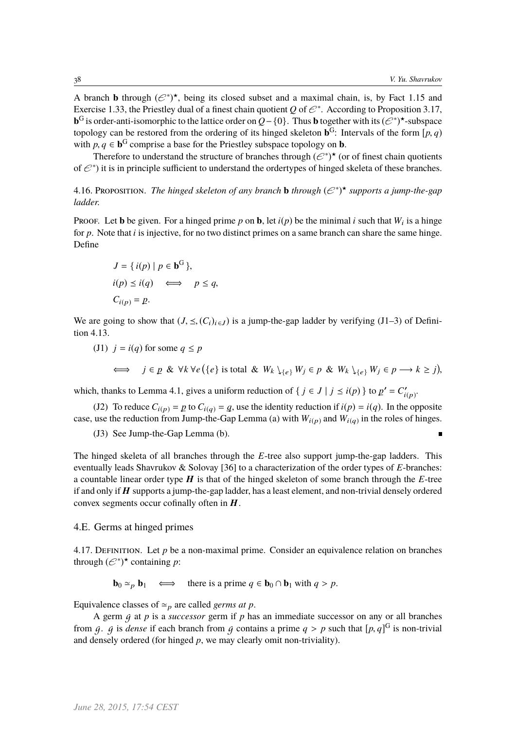$\blacksquare$ 

A branch **b** through  $(\mathcal{C}^*)^*$ , being its closed subset and a maximal chain, is, by Fact 1.15 and Exercise 1.33, the Priestley dual of a finest chain quotient *Q* of  $\mathcal{C}^*$ . According to Proposition 3.17, **b**<sup>G</sup> is order-anti-isomorphic to the lattice order on  $Q - \{0\}$ . Thus **b** together with its  $(\mathcal{E}^*)$ <sup>★</sup>-subspace topology can be restored from the ordering of its hinged skeleton  $\mathbf{b}^G$ : Intervals of the form  $[p, q)$ <br>with  $p, q \in \mathbf{b}^G$  comprise a base for the Priestley subspace topology on **b** with *p*,  $q \in \mathbf{b}^G$  comprise a base for the Priestley subspace topology on **b**.<br>Therefore to understand the structure of branches through  $(\mathcal{L}^*)^*$  (or

Therefore to understand the structure of branches through  $(\mathcal{C}^*)^{\star}$  (or of finest chain quotients of  $\mathcal{C}^*$ ) it is in principle sufficient to understand the ordertypes of hinged skeleta of these branches.

4.16. Proposition. *The hinged skeleton of any branch* **b** *through*  $(e^*)^*$  *supports a jump-the-gap ladder.*

Proof. Let **b** be given. For a hinged prime p on **b**, let  $i(p)$  be the minimal i such that  $W_i$  is a hinge for *p*. Note that *i* is injective, for no two distinct primes on a same branch can share the same hinge. Define

$$
J = \{ i(p) \mid p \in \mathbf{b}^{G} \},
$$
  
\n
$$
i(p) \leq i(q) \iff p \leq q,
$$
  
\n
$$
C_{i(p)} = p.
$$

We are going to show that  $(J, \leq, (C_i)_{i \in I})$  is a jump-the-gap ladder by verifying (J1–3) of Definition 4.13.

(J1)  $j = i(q)$  for some  $q \leq p$ 

$$
\iff j \in p \& \forall k \forall e (\{e\} \text{ is total } \& W_k \setminus_{\{e\}} W_j \in p \& W_k \setminus_{\{e\}} W_j \in p \longrightarrow k \ge j),
$$

which, thanks to Lemma 4.1, gives a uniform reduction of  $\{ j \in J \mid j \le i(p) \}$  to  $p' = C'_{i(p)}$ .

(J2) To reduce  $C_{i(p)} = p$  to  $C_{i(q)} = q$ , use the identity reduction if  $i(p) = i(q)$ . In the opposite case, use the reduction from Jump-the-Gap Lemma (a) with  $W_{i(p)}$  and  $W_{i(q)}$  in the roles of hinges.

(J3) See Jump-the-Gap Lemma (b).

The hinged skeleta of all branches through the *E*-tree also support jump-the-gap ladders. This eventually leads Shavrukov & Solovay [36] to a characterization of the order types of *E*-branches: a countable linear order type H is that of the hinged skeleton of some branch through the *E*-tree if and only if  $H$  supports a jump-the-gap ladder, has a least element, and non-trivial densely ordered convex segments occur cofinally often in  $H$ .

### 4.E. Germs at hinged primes

4.17. DEFINITION. Let  $p$  be a non-maximal prime. Consider an equivalence relation on branches through  $(e^*)^*$  containing *p*:

**b**<sub>0</sub>  $\approx$ <sub>*p*</sub> **b**<sub>1</sub>  $\iff$  there is a prime *q* ∈ **b**<sub>0</sub> ∩ **b**<sub>1</sub> with *q* > *p*.

Equivalence classes of  $\simeq_p$  are called *germs at p*.

A germ g at *p* is a *successor* germ if *p* has an immediate successor on any or all branches from  $g$ .  $g$  is *dense* if each branch from  $g$  contains a prime  $q > p$  such that  $[p, q]^G$  is non-trivial and densely ordered (for hinged *n*, we may clearly omit non-triviality) and densely ordered (for hinged *p*, we may clearly omit non-triviality).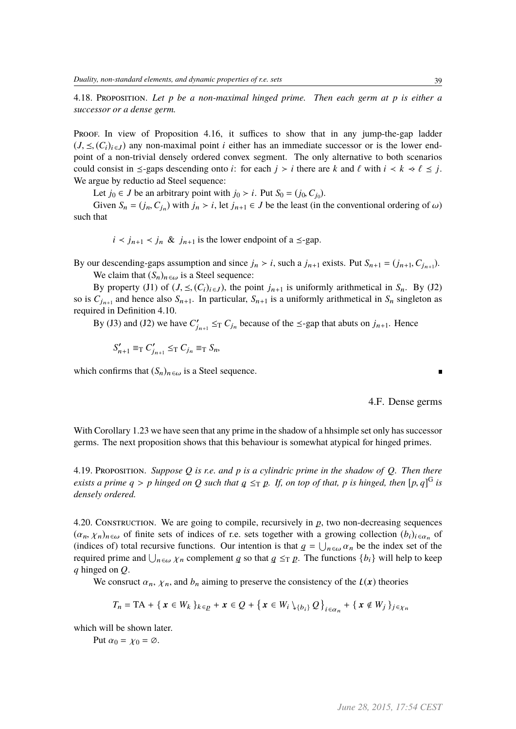4.18. Proposition. *Let p be a non-maximal hinged prime. Then each germ at p is either a successor or a dense germ.*

Proof. In view of Proposition 4.16, it suffices to show that in any jump-the-gap ladder  $(J, \leq, (C_i)_{i \in J})$  any non-maximal point *i* either has an immediate successor or is the lower endpoint of a non-trivial densely ordered convex segment. The only alternative to both scenarios could consist in  $\leq$ -gaps descending onto *i*: for each  $j > i$  there are  $k$  and  $\ell$  with  $i < k < \ell \leq j$ . We argue by reductio ad Steel sequence:

Let *j*<sup>0</sup> ∈ *J* be an arbitrary point with *j*<sup>0</sup> > *i*. Put *S*<sup>0</sup> = (*j*<sub>0</sub>,*C<sub>j<sup>0</sub></sup>).<br>Given <i>S*<sub>1</sub> = (*i*, *C*<sub>1</sub>) with *i*,  $\ge$  *i*, let *i*,  $\le$  *C*<sub>1</sub> be the legat (in t</sub>

Given  $S_n = (j_n, C_{j_n})$  with  $j_n > i$ , let  $j_{n+1} \in J$  be the least (in the conventional ordering of  $\omega$ ) such that

 $i < j_{n+1} < j_n \& j_{n+1}$  is the lower endpoint of a  $\leq$ -gap.

By our descending-gaps assumption and since  $j_n > i$ , such a  $j_{n+1}$  exists. Put  $S_{n+1} = (j_{n+1}, C_{j_{n+1}})$ .<br>We object that  $(S_n)$  is a Steel sequence: We claim that  $(S_n)_{n \in \omega}$  is a Steel sequence:

By property (J1) of  $(J, \leq, (C_i)_{i \in J})$ , the point  $j_{n+1}$  is uniformly arithmetical in  $S_n$ . By (J2) so is  $C_{j_{n+1}}$  and hence also  $S_{n+1}$ . In particular,  $S_{n+1}$  is a uniformly arithmetical in  $S_n$  singleton as required in Definition 4.10.

By (J3) and (J2) we have  $C_i'$  $j_{n+1} \leq_T C_{j_n}$  because of the  $\leq$ -gap that abuts on  $j_{n+1}$ . Hence

$$
S'_{n+1} \equiv_{\mathrm{T}} C'_{j_{n+1}} \leq_{\mathrm{T}} C_{j_n} \equiv_{\mathrm{T}} S_n,
$$

which confirms that  $(S_n)_{n \in \omega}$  is a Steel sequence.

4.F. Dense germs

With Corollary 1.23 we have seen that any prime in the shadow of a hhsimple set only has successor germs. The next proposition shows that this behaviour is somewhat atypical for hinged primes.

4.19. Proposition. *Suppose Q is r.e. and p is a cylindric prime in the shadow of Q. Then there exists a prime*  $q > p$  *hinged on*  $Q$  *such that*  $q \leq_T p$ *. If, on top of that, p is hinged, then*  $[p, q]^G$  *is densely ordered densely ordered.*

4.20. CONSTRUCTION. We are going to compile, recursively in  $p$ , two non-decreasing sequences  $(\alpha_n, \chi_n)_{n \in \omega}$  of finite sets of indices of r.e. sets together with a growing collection  $(b_i)_{i \in \alpha_n}$  of (indices of) total recursive functions. Our intention is that  $a = 1$ ,  $\alpha$ , be the index set of the (indices of) total recursive functions. Our intention is that  $q = \bigcup_{n \in \omega} \alpha_n$  be the index set of the required prime and  $\bigcup_{n \in \omega} \alpha_n$  complement as so that  $a \leq \pi n$ . The functions  $f_b \downarrow$  will help to keep required prime and  $\bigcup_{n \in \omega} \chi_n$  complement *q* so that  $q \leq_T p$ . The functions  $\{b_i\}$  will help to keep *q* hinged on *Q q* hinged on *Q*.

We consruct  $\alpha_n$ ,  $\chi_n$ , and  $b_n$  aiming to preserve the consistency of the  $L(x)$  theories

$$
T_n = \text{TA} + \{ \mathbf{x} \in W_k \}_{k \in \mathcal{D}} + \mathbf{x} \in \mathcal{Q} + \{ \mathbf{x} \in W_i \setminus \{b_i\} \mathcal{Q} \}_{i \in \alpha_n} + \{ \mathbf{x} \notin W_j \}_{j \in \chi_n}
$$

which will be shown later.

Put  $\alpha_0 = \chi_0 = \emptyset$ .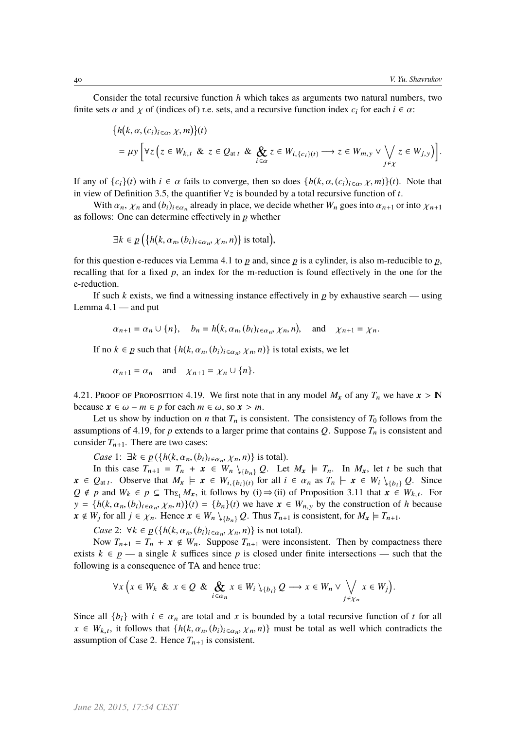Consider the total recursive function *h* which takes as arguments two natural numbers, two finite sets  $\alpha$  and  $\gamma$  of (indices of) r.e. sets, and a recursive function index  $c_i$  for each  $i \in \alpha$ :

$$
\{h(k, \alpha, (c_i)_{i \in \alpha}, \chi, m)\}(t)
$$
  
=  $\mu y \Big[ \forall z \Big( z \in W_{k,t} \& z \in Q_{at t} \& \bigotimes_{i \in \alpha} z \in W_{i, \{c_i\}(t)} \longrightarrow z \in W_{m,y} \vee \bigvee_{j \in \chi} z \in W_{j,y} \Big) \Big].$ 

If any of  $\{c_i\}(t)$  with  $i \in \alpha$  fails to converge, then so does  $\{h(k, \alpha, (c_i)_{i \in \alpha}, \chi, m)\}(t)$ . Note that in view of Definition 3.5, the quantifier ∀*z* is bounded by a total recursive function of *t*.

With  $\alpha_n$ ,  $\chi_n$  and  $(b_i)_{i \in \alpha_n}$  already in place, we decide whether *W<sub>n</sub>* goes into  $\alpha_{n+1}$  or into  $\chi_{n+1}$ as follows: One can determine effectively in  *whether* 

$$
\exists k \in p \big(\{h(k, \alpha_n, (b_i)_{i \in \alpha_n}, \chi_n, n)\}\
$$
is total $),$ 

for this question e-reduces via Lemma 4.1 to  $p$  and, since  $p$  is a cylinder, is also m-reducible to  $p$ , recalling that for a fixed  $p$ , an index for the m-reduction is found effectively in the one for the e-reduction.

If such *k* exists, we find a witnessing instance effectively in  $p$  by exhaustive search — using Lemma  $4.1$  — and put

J

$$
\alpha_{n+1} = \alpha_n \cup \{n\}, \quad b_n = h(k, \alpha_n, (b_i)_{i \in \alpha_n}, \chi_n, n), \text{ and } \chi_{n+1} = \chi_n.
$$

If no  $k \in p$  such that  $\{h(k, \alpha_n, (b_i)_{i \in \alpha_n}, \chi_n, n)\}$  is total exists, we let

i.

$$
\alpha_{n+1} = \alpha_n
$$
 and  $\chi_{n+1} = \chi_n \cup \{n\}.$ 

4.21. Proof of Proposition 4.19. We first note that in any model  $M_x$  of any  $T_n$  we have  $x > N$ because  $x \in \omega - m \in p$  for each  $m \in \omega$ , so  $x > m$ .

Let us show by induction on *n* that  $T_n$  is consistent. The consistency of  $T_0$  follows from the assumptions of 4.19, for  $p$  extends to a larger prime that contains  $Q$ . Suppose  $T_n$  is consistent and consider  $T_{n+1}$ . There are two cases:

*Case* 1:  $\exists k \in p(\{h(k, \alpha_n, (b_i)_{i \in \alpha_n}, \chi_n, n)\}$  is total).

In this case  $T_{n+1} = T_n + x \in W_n \setminus_{\{b_n\}} Q$ . Let  $M_x \models T_n$ . In  $M_x$ , let *t* be such that  $x \in Q_{at}$ , Observe that  $M_x \models x \in W_{i, \{b_i\}(t)}$  for all  $i \in \alpha_n$  as  $T_n \models x \in W_i \setminus \{b_i\}$  *Q*. Since  $Q \notin n$  and  $W_i \in n \subset \text{Th}_{n}$  *M* it follows by (i)  $\rightarrow$  (ii) of Proposition 3.11 that  $x \in W_i$ . For *Q* ∉ *p* and  $W_k \text{ } \in p \subseteq Th_{\Sigma_1} M_x$ , it follows by (i) ⇒ (ii) of Proposition 3.11 that  $x \in W_{k,t}$ . For  $y = \{h(k, \alpha_n, (b_i)_{i \in \alpha_n}, \chi_n, n)\}(t) = \{b_n\}(t)$  we have  $x \in W_{n,y}$  by the construction of *h* because  $x \notin W$ , for all  $i \in \mathcal{Y}$ . Hence  $x \in W$ ,  $\forall x \in \mathcal{Q}$ . Thus *T* is consistent for  $M \vdash T$ .  $x \notin W_i$  for all  $j \in \chi_n$ . Hence  $x \in W_n \setminus \{b_n\} Q$ . Thus  $T_{n+1}$  is consistent, for  $M_x \models T_{n+1}$ .

*Case* 2:  $\forall k \in p(\{h(k, \alpha_n, (b_i)_{i \in \alpha_n}, \chi_n, n)\})$  is not total).

Now  $T_{n+1} = T_n + x \notin W_n$ . Suppose  $T_{n+1}$  were inconsistent. Then by compactness there exists  $k \in p$  — a single k suffices since p is closed under finite intersections — such that the following is a consequence of TA and hence true:

$$
\forall x \left( x \in W_k \& x \in Q \& \bigotimes_{i \in \alpha_n} x \in W_i \setminus \{b_i\} \& Q \longrightarrow x \in W_n \vee \bigvee_{j \in \chi_n} x \in W_j \right).
$$

Since all  $\{b_i\}$  with  $i \in \alpha_n$  are total and x is bounded by a total recursive function of t for all  $x \in W_{k,t}$ , it follows that  $\{h(k, \alpha_n, (b_i)_{i \in \alpha_n}, \chi_n, n)\}$  must be total as well which contradicts the assumption of Case 2. Hence  $T_{n+1}$  is consistent.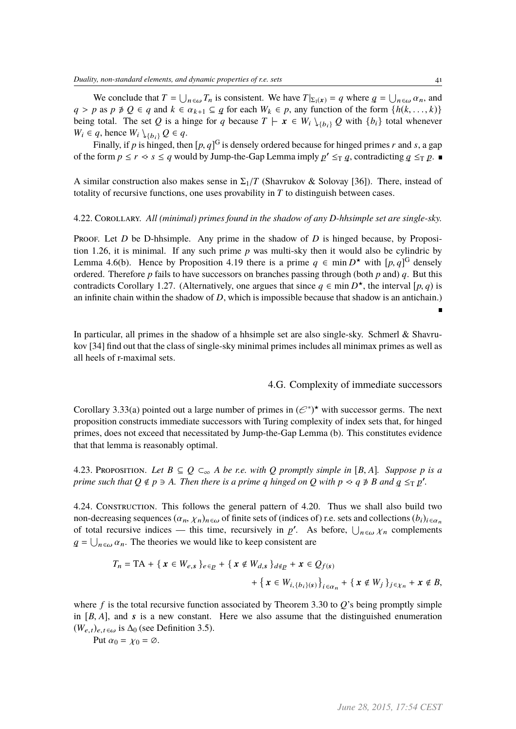We conclude that  $T = \bigcup_{n \in \omega} T_n$  is consistent. We have  $T|_{\Sigma_1(x)} = q$  where  $q = \bigcup_{n \in \omega} \alpha_n$ , and  $p \geq 0 \leq q$  and  $k \in \alpha$ ;  $q \in q$  for each  $W_k \in p$  any function of the form  $f_k(k) \geq k$ *q* > *p* as *p*  $\neq$  *Q* ∈ *q* and *k* ∈  $\alpha_{k+1}$  ⊆ *q* for each  $W_k$  ∈ *p*, any function of the form {*h*(*k*, . . ., *k*)} being total. The set *Q* is a binge for *a* because  $T \vdash r \in W_1$ )  $Q$  with {*h*, l total whe being total. The set *Q* is a hinge for *q* because  $T \vdash x \in W_i \setminus \{b_i\} Q$  with  $\{b_i\}$  total whenever  $W_i \in q$ , hence  $W_i \setminus \{b_i\} Q \in q$ .

Finally, if *p* is hinged, then  $[p, q]^G$  is densely ordered because for hinged primes *r* and *s*, a gap of the form  $p \le r \le s \le q$  would by Jump-the-Gap Lemma imply  $p' \le_T q$ , contradicting  $q \le_T p$ .

A similar construction also makes sense in  $\Sigma_1/T$  (Shavrukov & Solovay [36]). There, instead of totality of recursive functions, one uses provability in *T* to distinguish between cases.

#### 4.22. Corollary. *All (minimal) primes found in the shadow of any D-hhsimple set are single-sky.*

Proof. Let *D* be D-hhsimple. Any prime in the shadow of *D* is hinged because, by Proposition 1.26, it is minimal. If any such prime *p* was multi-sky then it would also be cylindric by Lemma 4.6(b). Hence by Proposition 4.19 there is a prime  $q \in \min D^*$  with  $[p, q]^G$  densely ordered. Therefore *n* fails to have successors on branches passing through (both *n* and) *q*. But this ordered. Therefore *p* fails to have successors on branches passing through (both *p* and) *q*. But this contradicts Corollary 1.27. (Alternatively, one argues that since  $q \in \min D^*$ , the interval  $[p, q)$  is<br>an infinite chain within the shadow of *D*, which is impossible because that shadow is an antichain) an infinite chain within the shadow of *D*, which is impossible because that shadow is an antichain.)

In particular, all primes in the shadow of a hhsimple set are also single-sky. Schmerl & Shavrukov [34] find out that the class of single-sky minimal primes includes all minimax primes as well as all heels of r-maximal sets.

### 4.G. Complexity of immediate successors

Corollary 3.33(a) pointed out a large number of primes in  $(\mathcal{C}^*)^*$  with successor germs. The next proposition constructs immediate successors with Turing complexity of index sets that, for hinged primes, does not exceed that necessitated by Jump-the-Gap Lemma (b). This constitutes evidence that that lemma is reasonably optimal.

4.23. PROPOSITION. Let  $B \subseteq Q \subseteq_{\infty} A$  be r.e. with Q promptly simple in [B, A]. Suppose p is a *prime such that*  $Q \notin p \ni A$ *. Then there is a prime q hinged on*  $Q$  *with*  $p \prec q \not\ni B$  *and*  $q \leq_T p'$ *.* 

4.24. Construction. This follows the general pattern of 4.20. Thus we shall also build two non-decreasing sequences  $(\alpha_n, \chi_n)_{n \in \omega}$  of finite sets of (indices of) r.e. sets and collections  $(b_i)_{i \in \alpha_n}$ of total recursive indices — this time, recursively in  $p'$ . As before,  $\bigcup_{n \in \omega} \chi_n$  complements  $q = \bigcup_{n \in \omega} \alpha_n$ . The theories we would like to keep consistent are

$$
T_n = \text{TA} + \{ \mathbf{x} \in W_{e,s} \}_{e \in p} + \{ \mathbf{x} \notin W_{d,s} \}_{d \notin p} + \mathbf{x} \in Q_{f(s)} + \{ \mathbf{x} \in W_{i,\{b_i\}(s)} \}_{i \in \alpha_n} + \{ \mathbf{x} \notin W_j \}_{j \in \chi_n} + \mathbf{x} \notin B,
$$

where  $f$  is the total recursive function associated by Theorem 3.30 to  $O$ 's being promptly simple in  $[B, A]$ , and s is a new constant. Here we also assume that the distinguished enumeration  $(W_{e,t})_{e,t\in\omega}$  is  $\Delta_0$  (see Definition 3.5).

Put  $\alpha_0 = \chi_0 = \emptyset$ .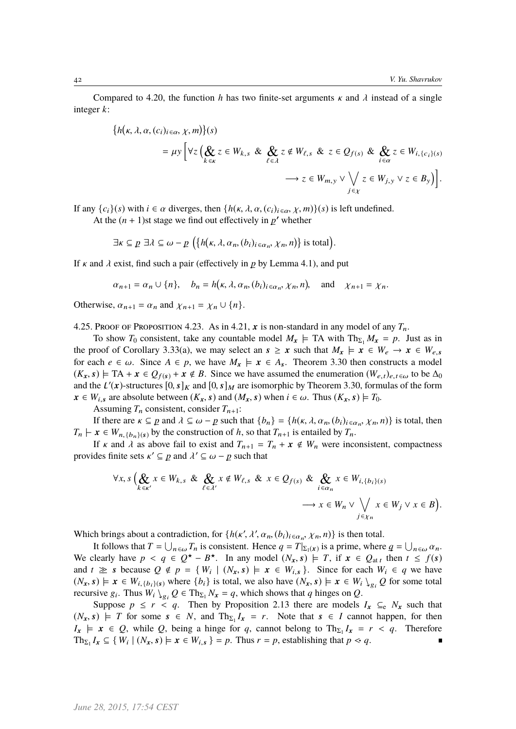Compared to 4.20, the function *h* has two finite-set arguments  $\kappa$  and  $\lambda$  instead of a single integer *k*:

$$
\{h(\kappa, \lambda, \alpha, (c_i)_{i \in \alpha}, \chi, m)\}(s)
$$
  
=  $\mu y \Big[ \forall z \Big( \bigotimes_{k \in \kappa} z \in W_{k,s} \& \bigotimes_{\ell \in \lambda} z \notin W_{\ell,s} \& z \in Q_{f(s)} \& \bigotimes_{i \in \alpha} z \in W_{i, \{c_i\}(s)} \Big) \Big] \rightarrow z \in W_{m, y} \vee \bigvee_{j \in \chi} z \in W_{j, y} \vee z \in B_y \Big) \Big].$ 

J

If any  $\{c_i\}(s)$  with  $i \in \alpha$  diverges, then  $\{h(\kappa, \lambda, \alpha, (c_i)_{i \in \alpha}, \chi, m)\}(s)$  is left undefined.

At the  $(n + 1)$ st stage we find out effectively in  $p'$  whether

$$
\exists \kappa \subseteq p \; \exists \lambda \subseteq \omega - p \; \big( \{ h(\kappa, \lambda, \alpha_n, (b_i)_{i \in \alpha_n}, \chi_n, n) \} \text{ is total} \big).
$$

If  $\kappa$  and  $\lambda$  exist, find such a pair (effectively in  $p$  by Lemma 4.1), and put

i.

$$
\alpha_{n+1} = \alpha_n \cup \{n\}, \quad b_n = h(\kappa, \lambda, \alpha_n, (b_i)_{i \in \alpha_n}, \chi_n, n), \text{ and } \chi_{n+1} = \chi_n.
$$

Otherwise,  $\alpha_{n+1} = \alpha_n$  and  $\chi_{n+1} = \chi_n \cup \{n\}.$ 

4.25. Proof of Proposition 4.23. As in 4.21, x is non-standard in any model of any  $T_n$ .

To show  $T_0$  consistent, take any countable model  $M_x \models$  TA with  $Th_{\Sigma_1} M_x = p$ . Just as in the proof of Corollary 3.33(a), we may select an  $s \ge x$  such that  $M_x \models x \in W_e \rightarrow x \in W_e$ for each  $e \in \omega$ . Since  $A \in p$ , we have  $M_x \models x \in A_s$ . Theorem 3.30 then constructs a model  $(K_x, s) \models \text{TA} + x \in Q_{f(s)} + x \notin B$ . Since we have assumed the enumeration  $(W_{e,t})_{e,t \in \omega}$  to be  $\Delta_0$ and the  $L'(x)$ -structures  $[0, s]_K$  and  $[0, s]_M$  are isomorphic by Theorem 3.30, formulas of the form  $x \in W$ .  $x \in W_{i,s}$  are absolute between  $(K_x, s)$  and  $(M_x, s)$  when  $i \in \omega$ . Thus  $(K_x, s) \models T_0$ .

Assuming  $T_n$  consistent, consider  $T_{n+1}$ :

If there are  $\kappa \subseteq p$  and  $\lambda \subseteq \omega - p$  such that  $\{b_n\} = \{h(\kappa, \lambda, \alpha_n, (b_i)_{i \in \alpha_n}, \chi_n, n)\}\)$  is total, then  $\kappa \in W$  and  $\kappa$  by the construction of  $h$  so that  $T$  as a spatial by  $T$  $T_n \vdash x \in W_{n, \{b_n\}(s)}$  by the construction of *h*, so that  $T_{n+1}$  is entailed by  $T_n$ .

If  $\kappa$  and  $\lambda$  as above fail to exist and  $T_{n+1} = T_n + x \notin W_n$  were inconsistent, compactness provides finite sets  $\kappa' \subseteq p$  and  $\lambda' \subseteq \omega - p$  such that

$$
\forall x, s \left( \bigotimes_{k \in \kappa'} x \in W_{k,s} \& \bigotimes_{\ell \in \lambda'} x \notin W_{\ell,s} \& x \in Q_{f(s)} \& \bigotimes_{i \in \alpha_n} x \in W_{i,\{b_i\}(s)} \rightarrow x \in W_n \vee \bigvee_{j \in \chi_n} x \in W_j \vee x \in B \right).
$$

Which brings about a contradiction, for  $\{h(\kappa', \lambda', \alpha_n, (b_i)_{i \in \alpha_n}, \chi_n, n)\}$  is then total.<br>It follows that  $T = 11$  T is consistent. Hence  $a = T|_{T(\lambda)}$  is a prime, where

It follows that  $T = \bigcup_{n \in \omega} T_n$  is consistent. Hence  $q = T|_{\Sigma_1(x)}$  is a prime, where  $q = \bigcup_{n \in \omega} \alpha_n$ . We clearly have  $p < q \in Q^* - B^*$ . In any model  $(N_x, s) \models T$ , if  $x \in Q_{at}$  then  $t \leq f(s)$ <br>and  $t \gg s$  because  $Q \notin n - f(W, |(N, s) \models r \in W, \exists s$  Since for each  $W, \in g$  we have and  $t \geq s$  because  $Q \notin p = \{W_i \mid (N_x, s) \models x \in W_{i,s}\}$ . Since for each  $W_i \in q$  we have  $(N_s \cap \bigcup_{i=1}^s E_i \cup W_{i,s})$  where  $\{h_i\}$  is total we also have  $(N_s \cap \bigcup_{i=1}^s E_i \cup W_{i,s})$  of for some total  $(N_x, s) \models x \in W_{i, \{b_i\}(s)}$  where  $\{b_i\}$  is total, we also have  $(N_x, s) \models x \in W_i \setminus_{g_i} Q$  for some total recursive  $g_i$ . Thus  $W_i \setminus_{g_i} Q \in \text{Th}_{\Sigma_1} N_x = q$ , which shows that *q* hinges on *Q*.

Suppose  $p \le r < q$ . Then by Proposition 2.13 there are models  $I_x \subseteq_e N_x$  such that  $(N_x, s) \models T$  for some  $s \in N$ , and  $Th_{\Sigma_1}I_x = r$ . Note that  $s \in I$  cannot happen, for then  $I_x \models x \in Q$ , while *Q*, being a hinge for *q*, cannot belong to  $Th_{\Sigma_1}I_x = r < q$ . Therefore  $\text{Th}_{\Sigma_1} I_x \subseteq \{ W_i \mid (N_x, s) \models x \in W_{i,s} \} = p$ . Thus  $r = p$ , establishing that  $p \le q$ .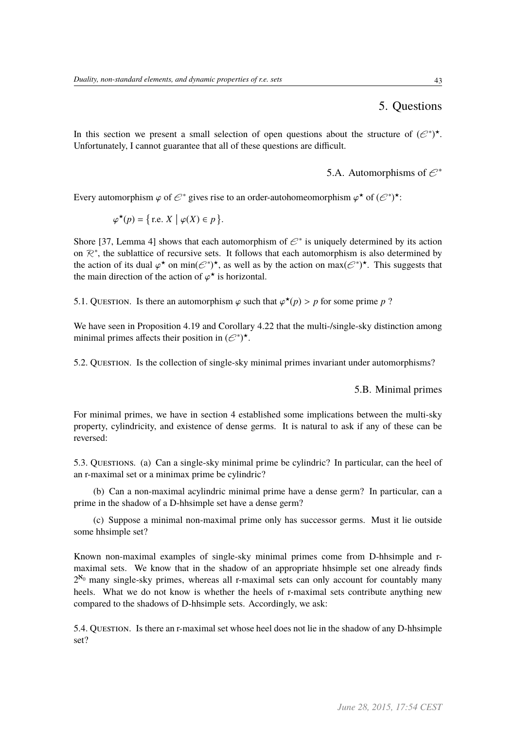### 5. Questions

In this section we present a small selection of open questions about the structure of  $(\mathcal{C}^*)^*$ . Unfortunately, I cannot guarantee that all of these questions are difficult.

5.A. Automorphisms of  $\mathcal{E}^*$ 

Every automorphism  $\varphi$  of  $\mathcal{C}^*$  gives rise to an order-autohomeomorphism  $\varphi^*$  of  $(\mathcal{C}^*)^*$ :

$$
\varphi^{\star}(p) = \{ \text{r.e. } X \mid \varphi(X) \in p \}.
$$

Shore [37, Lemma 4] shows that each automorphism of  $\mathcal{C}^*$  is uniquely determined by its action on  $\mathbb{R}^*$ , the sublattice of recursive sets. It follows that each automorphism is also determined by the action of its dual  $\varphi^*$  on min( $\mathcal{C}^*$ )<sup>\*</sup>, as well as by the action on max( $\mathcal{C}^*$ )<sup>\*</sup>. This suggests that the main direction of the action of  $\varphi^*$  is horizontal the main direction of the action of  $\varphi^*$  is horizontal.

5.1. QUESTION. Is there an automorphism  $\varphi$  such that  $\varphi^*(p) > p$  for some prime *p* ?

We have seen in Proposition 4.19 and Corollary 4.22 that the multi-/single-sky distinction among minimal primes affects their position in  $(\mathcal{C}^*)^{\star}$ .

5.2. Question. Is the collection of single-sky minimal primes invariant under automorphisms?

5.B. Minimal primes

For minimal primes, we have in section 4 established some implications between the multi-sky property, cylindricity, and existence of dense germs. It is natural to ask if any of these can be reversed:

5.3. Questions. (a) Can a single-sky minimal prime be cylindric? In particular, can the heel of an r-maximal set or a minimax prime be cylindric?

(b) Can a non-maximal acylindric minimal prime have a dense germ? In particular, can a prime in the shadow of a D-hhsimple set have a dense germ?

(c) Suppose a minimal non-maximal prime only has successor germs. Must it lie outside some hhsimple set?

Known non-maximal examples of single-sky minimal primes come from D-hhsimple and rmaximal sets. We know that in the shadow of an appropriate hhsimple set one already finds  $2^{\aleph_0}$  many single-sky primes, whereas all r-maximal sets can only account for countably many heels. What we do not know is whether the heels of r-maximal sets contribute anything new compared to the shadows of D-hhsimple sets. Accordingly, we ask:

5.4. Question. Is there an r-maximal set whose heel does not lie in the shadow of any D-hhsimple set?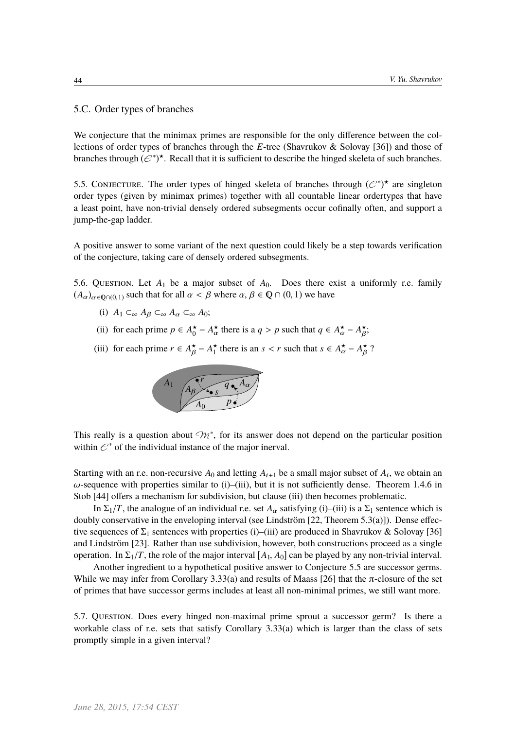β

β

5.C. Order types of branches

We conjecture that the minimax primes are responsible for the only difference between the collections of order types of branches through the *E*-tree (Shavrukov & Solovay [36]) and those of branches through  $(e^*)^*$ . Recall that it is sufficient to describe the hinged skeleta of such branches.

5.5. CONJECTURE. The order types of hinged skeleta of branches through  $(e^*)^*$  are singleton order types (given by minimax primes) together with all countable linear ordertypes that have a least point, have non-trivial densely ordered subsegments occur cofinally often, and support a jump-the-gap ladder.

A positive answer to some variant of the next question could likely be a step towards verification of the conjecture, taking care of densely ordered subsegments.

5.6. Question. Let  $A_1$  be a major subset of  $A_0$ . Does there exist a uniformly r.e. family  $(A_{\alpha})_{\alpha \in \mathbb{Q} \cap (0,1)}$  such that for all  $\alpha < \beta$  where  $\alpha, \beta \in \mathbb{Q} \cap (0,1)$  we have

- (i)  $A_1 \subset_{\infty} A_{\beta} \subset_{\infty} A_{\alpha} \subset_{\infty} A_0;$
- (ii) for each prime  $p \in A_0^* A_\alpha^*$  there is a  $q > p$  such that  $q \in A_\alpha^* A_\beta^*$ ;
- (iii) for each prime  $r \in A_{\beta}^{\star} A_{1}^{\star}$  there is an  $s < r$  such that  $s \in A_{\alpha}^{\star} A_{\beta}^{\star}$ ?



β

This really is a question about  $\mathcal{M}^*$ , for its answer does not depend on the particular position within  $\mathcal{E}^*$  of the individual instance of the major inerval.

Starting with an r.e. non-recursive  $A_0$  and letting  $A_{i+1}$  be a small major subset of  $A_i$ , we obtain an  $\omega$ -sequence with properties similar to (i)–(iii), but it is not sufficiently dense. Theorem 1.4.6 in Stob [44] offers a mechanism for subdivision, but clause (iii) then becomes problematic.

In  $\Sigma_1/T$ , the analogue of an individual r.e. set  $A_\alpha$  satisfying (i)–(iii) is a  $\Sigma_1$  sentence which is doubly conservative in the enveloping interval (see Lindström  $[22,$  Theorem 5.3(a)]). Dense effective sequences of  $\Sigma_1$  sentences with properties (i)–(iii) are produced in Shavrukov & Solovay [36] and Lindström [23]. Rather than use subdivision, however, both constructions proceed as a single operation. In  $\Sigma_1/T$ , the role of the major interval  $[A_1, A_0]$  can be played by any non-trivial interval.

Another ingredient to a hypothetical positive answer to Conjecture 5.5 are successor germs. While we may infer from Corollary 3.33(a) and results of Maass [26] that the  $\pi$ -closure of the set of primes that have successor germs includes at least all non-minimal primes, we still want more.

5.7. Question. Does every hinged non-maximal prime sprout a successor germ? Is there a workable class of r.e. sets that satisfy Corollary 3.33(a) which is larger than the class of sets promptly simple in a given interval?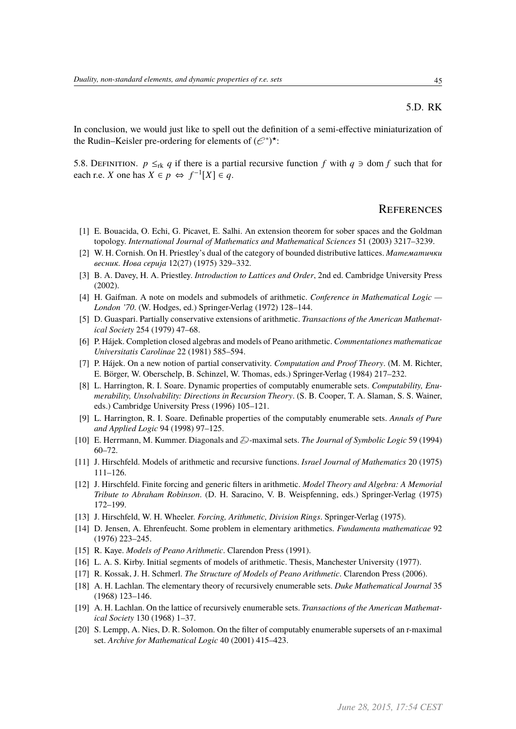In conclusion, we would just like to spell out the definition of a semi-effective miniaturization of the Rudin–Keisler pre-ordering for elements of  $(\mathcal{E}^*)^{\star}$ :

5.8. DEFINITION.  $p \leq_{rk} q$  if there is a partial recursive function  $f$  with  $q \ni \text{dom } f$  such that for each r.e. *X* one has  $X \in p \Leftrightarrow f^{-1}[X] \in q$ .

### **REFERENCES**

- [1] E. Bouacida, O. Echi, G. Picavet, E. Salhi. An extension theorem for sober spaces and the Goldman topology. *International Journal of Mathematics and Mathematical Sciences* 51 (2003) 3217–3239.
- [2] W. H. Cornish. On H. Priestley's dual of the category of bounded distributive lattices. *Математички весник. Нова сериjа* 12(27) (1975) 329–332.
- [3] B. A. Davey, H. A. Priestley. *Introduction to Lattices and Order*, 2nd ed. Cambridge University Press (2002).
- [4] H. Gaifman. A note on models and submodels of arithmetic. *Conference in Mathematical Logic — London '70*. (W. Hodges, ed.) Springer-Verlag (1972) 128–144.
- [5] D. Guaspari. Partially conservative extensions of arithmetic. *Transactions of the American Mathematical Society* 254 (1979) 47–68.
- [6] P. Hájek. Completion closed algebras and models of Peano arithmetic. *Commentationes mathematicae Universitatis Carolinae* 22 (1981) 585–594.
- [7] P. Hájek. On a new notion of partial conservativity. *Computation and Proof Theory*. (M. M. Richter, E. Börger, W. Oberschelp, B. Schinzel, W. Thomas, eds.) Springer-Verlag (1984) 217–232.
- [8] L. Harrington, R. I. Soare. Dynamic properties of computably enumerable sets. *Computability, Enumerability, Unsolvability: Directions in Recursion Theory*. (S. B. Cooper, T. A. Slaman, S. S. Wainer, eds.) Cambridge University Press (1996) 105–121.
- [9] L. Harrington, R. I. Soare. Definable properties of the computably enumerable sets. *Annals of Pure and Applied Logic* 94 (1998) 97–125.
- [10] E. Herrmann, M. Kummer. Diagonals and  $\mathcal{D}$ -maximal sets. *The Journal of Symbolic Logic* 59 (1994) 60–72.
- [11] J. Hirschfeld. Models of arithmetic and recursive functions. *Israel Journal of Mathematics* 20 (1975) 111–126.
- [12] J. Hirschfeld. Finite forcing and generic filters in arithmetic. *Model Theory and Algebra: A Memorial Tribute to Abraham Robinson*. (D. H. Saracino, V. B. Weispfenning, eds.) Springer-Verlag (1975) 172–199.
- [13] J. Hirschfeld, W. H. Wheeler. *Forcing, Arithmetic, Division Rings*. Springer-Verlag (1975).
- [14] D. Jensen, A. Ehrenfeucht. Some problem in elementary arithmetics. *Fundamenta mathematicae* 92 (1976) 223–245.
- [15] R. Kaye. *Models of Peano Arithmetic*. Clarendon Press (1991).
- [16] L. A. S. Kirby. Initial segments of models of arithmetic. Thesis, Manchester University (1977).
- [17] R. Kossak, J. H. Schmerl. *The Structure of Models of Peano Arithmetic*. Clarendon Press (2006).
- [18] A. H. Lachlan. The elementary theory of recursively enumerable sets. *Duke Mathematical Journal* 35 (1968) 123–146.
- [19] A. H. Lachlan. On the lattice of recursively enumerable sets. *Transactions of the American Mathematical Society* 130 (1968) 1–37.
- [20] S. Lempp, A. Nies, D. R. Solomon. On the filter of computably enumerable supersets of an r-maximal set. *Archive for Mathematical Logic* 40 (2001) 415–423.